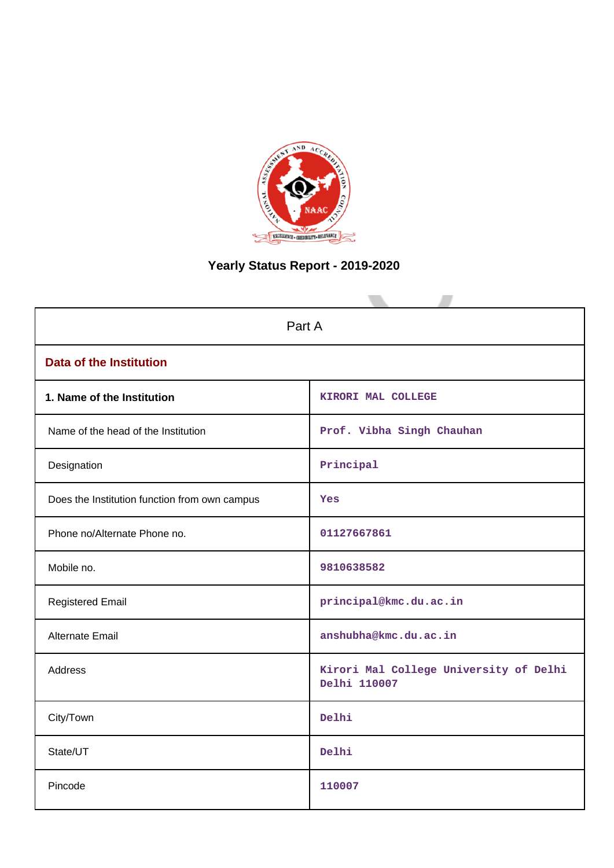

# **Yearly Status Report - 2019-2020**

| Part A                                        |                                                        |  |
|-----------------------------------------------|--------------------------------------------------------|--|
| <b>Data of the Institution</b>                |                                                        |  |
| 1. Name of the Institution                    | KIRORI MAL COLLEGE                                     |  |
| Name of the head of the Institution           | Prof. Vibha Singh Chauhan                              |  |
| Designation                                   | Principal                                              |  |
| Does the Institution function from own campus | Yes                                                    |  |
| Phone no/Alternate Phone no.                  | 01127667861                                            |  |
| Mobile no.                                    | 9810638582                                             |  |
| <b>Registered Email</b>                       | principal@kmc.du.ac.in                                 |  |
| <b>Alternate Email</b>                        | anshubha@kmc.du.ac.in                                  |  |
| <b>Address</b>                                | Kirori Mal College University of Delhi<br>Delhi 110007 |  |
| City/Town                                     | Delhi                                                  |  |
| State/UT                                      | Delhi                                                  |  |
| Pincode                                       | 110007                                                 |  |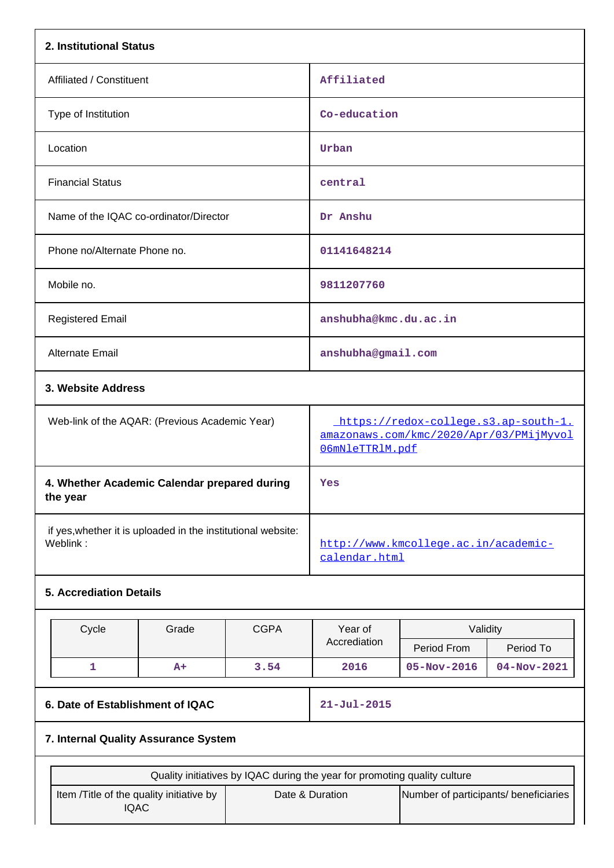| 2. Institutional Status                                                   |                   |                                                                                                    |             |             |  |
|---------------------------------------------------------------------------|-------------------|----------------------------------------------------------------------------------------------------|-------------|-------------|--|
| Affiliated / Constituent                                                  |                   | Affiliated                                                                                         |             |             |  |
| Type of Institution                                                       |                   | Co-education                                                                                       |             |             |  |
| Location                                                                  |                   | Urban                                                                                              |             |             |  |
| <b>Financial Status</b>                                                   |                   | central                                                                                            |             |             |  |
| Name of the IQAC co-ordinator/Director                                    |                   | Dr Anshu                                                                                           |             |             |  |
| Phone no/Alternate Phone no.                                              |                   | 01141648214                                                                                        |             |             |  |
| Mobile no.                                                                |                   | 9811207760                                                                                         |             |             |  |
| <b>Registered Email</b>                                                   |                   | anshubha@kmc.du.ac.in                                                                              |             |             |  |
| Alternate Email                                                           |                   | anshubha@gmail.com                                                                                 |             |             |  |
| 3. Website Address                                                        |                   |                                                                                                    |             |             |  |
| Web-link of the AQAR: (Previous Academic Year)                            |                   | https://redox-college.s3.ap-south-1.<br>amazonaws.com/kmc/2020/Apr/03/PMijMyvol<br>O6mNleTTRlM.pdf |             |             |  |
| 4. Whether Academic Calendar prepared during<br>the year                  |                   | Yes                                                                                                |             |             |  |
| if yes, whether it is uploaded in the institutional website:<br>Weblink:  |                   | http://www.kmcollege.ac.in/academic-<br>calendar.html                                              |             |             |  |
| <b>5. Accrediation Details</b>                                            |                   |                                                                                                    |             |             |  |
| Cycle<br>Grade<br><b>CGPA</b>                                             |                   | Year of                                                                                            | Validity    |             |  |
|                                                                           |                   | Accrediation                                                                                       | Period From | Period To   |  |
| 1<br>A+                                                                   | 3.54              | 2016                                                                                               | 05-Nov-2016 | 04-Nov-2021 |  |
| 6. Date of Establishment of IQAC                                          | $21 - Jul - 2015$ |                                                                                                    |             |             |  |
| 7. Internal Quality Assurance System                                      |                   |                                                                                                    |             |             |  |
| Quality initiatives by IQAC during the year for promoting quality culture |                   |                                                                                                    |             |             |  |
| Item /Title of the quality initiative by<br><b>IQAC</b>                   |                   | Date & Duration<br>Number of participants/ beneficiaries                                           |             |             |  |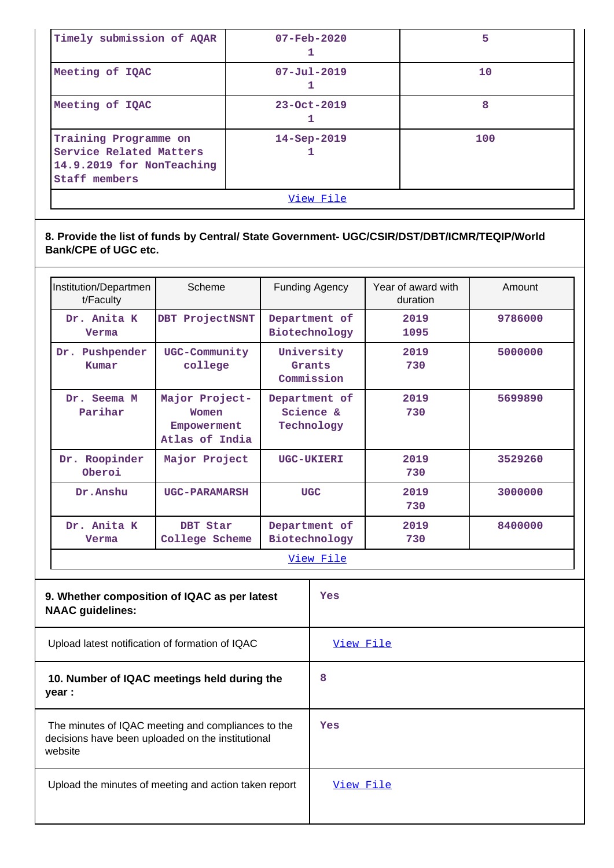| View File                                                                                                         |                          |     |  |
|-------------------------------------------------------------------------------------------------------------------|--------------------------|-----|--|
| Training Programme on<br>$14 - Sep-2019$<br>Service Related Matters<br>14.9.2019 for NonTeaching<br>Staff members |                          | 100 |  |
| Meeting of IQAC                                                                                                   | $23 - Oct - 2019$        | 8   |  |
| Meeting of IQAC                                                                                                   | $07 - Ju1 - 2019$        | 10  |  |
| Timely submission of AQAR                                                                                         | $07 - \text{Feb} - 2020$ | 5   |  |

# **8. Provide the list of funds by Central/ State Government- UGC/CSIR/DST/DBT/ICMR/TEQIP/World Bank/CPE of UGC etc.**

| Institution/Departmen<br>t/Faculty | Scheme                                                   | Year of award with<br><b>Funding Agency</b><br>duration |              | Amount  |  |
|------------------------------------|----------------------------------------------------------|---------------------------------------------------------|--------------|---------|--|
| Dr. Anita K<br>Verma               | DBT ProjectNSNT                                          | Department of<br>Biotechnology                          | 2019<br>1095 | 9786000 |  |
| Pushpender<br>Dr.<br>Kumar         | UGC-Community<br>college                                 | University<br>Grants<br>Commission                      | 2019<br>730  | 5000000 |  |
| Dr. Seema M<br>Parihar             | Major Project-<br>Women<br>Empowerment<br>Atlas of India | Department of<br>Science &<br>Technology                | 2019<br>730  | 5699890 |  |
| Dr. Roopinder<br>Oberoi            | Major Project                                            | <b>UGC-UKIERI</b>                                       | 2019<br>730  | 3529260 |  |
| Dr. Anshu                          | <b>UGC-PARAMARSH</b>                                     | <b>UGC</b>                                              | 2019<br>730  | 3000000 |  |
| Dr. Anita K<br>Verma               | DBT Star<br>College Scheme                               | Department of<br>Biotechnology                          | 2019<br>730  | 8400000 |  |
| <u>View File</u>                   |                                                          |                                                         |              |         |  |

| 9. Whether composition of IQAC as per latest<br><b>NAAC</b> guidelines:                                            | Yes       |
|--------------------------------------------------------------------------------------------------------------------|-----------|
| Upload latest notification of formation of IQAC                                                                    | View File |
| 10. Number of IQAC meetings held during the<br>year :                                                              | 8         |
| The minutes of IQAC meeting and compliances to the<br>decisions have been uploaded on the institutional<br>website | Yes       |
| Upload the minutes of meeting and action taken report                                                              | View File |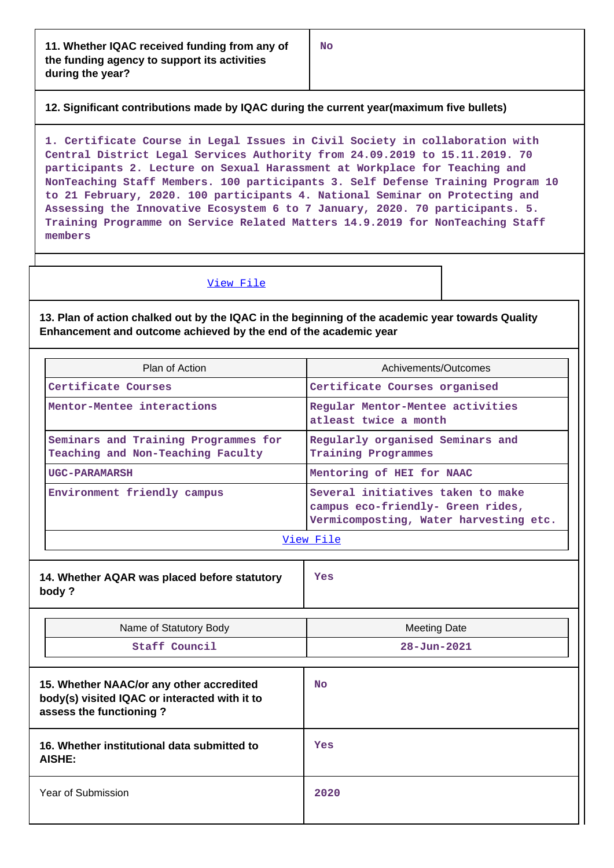**12. Significant contributions made by IQAC during the current year(maximum five bullets)**

**1. Certificate Course in Legal Issues in Civil Society in collaboration with Central District Legal Services Authority from 24.09.2019 to 15.11.2019. 70 participants 2. Lecture on Sexual Harassment at Workplace for Teaching and NonTeaching Staff Members. 100 participants 3. Self Defense Training Program 10 to 21 February, 2020. 100 participants 4. National Seminar on Protecting and Assessing the Innovative Ecosystem 6 to 7 January, 2020. 70 participants. 5. Training Programme on Service Related Matters 14.9.2019 for NonTeaching Staff members**

#### View File

**13. Plan of action chalked out by the IQAC in the beginning of the academic year towards Quality Enhancement and outcome achieved by the end of the academic year**

| Plan of Action                                                                                                       |                             | Achivements/Outcomes                                                                                             |  |  |
|----------------------------------------------------------------------------------------------------------------------|-----------------------------|------------------------------------------------------------------------------------------------------------------|--|--|
| Certificate Courses                                                                                                  |                             | Certificate Courses organised                                                                                    |  |  |
| Mentor-Mentee interactions<br>Seminars and Training Programmes for<br>Teaching and Non-Teaching Faculty              |                             | Regular Mentor-Mentee activities<br>atleast twice a month                                                        |  |  |
|                                                                                                                      |                             | Regularly organised Seminars and<br><b>Training Programmes</b>                                                   |  |  |
|                                                                                                                      | <b>UGC-PARAMARSH</b>        | Mentoring of HEI for NAAC                                                                                        |  |  |
|                                                                                                                      | Environment friendly campus | Several initiatives taken to make<br>campus eco-friendly- Green rides,<br>Vermicomposting, Water harvesting etc. |  |  |
|                                                                                                                      |                             | View File                                                                                                        |  |  |
| 14. Whether AQAR was placed before statutory<br>body?                                                                |                             | Yes                                                                                                              |  |  |
| Name of Statutory Body                                                                                               |                             | <b>Meeting Date</b>                                                                                              |  |  |
|                                                                                                                      | Staff Council               | $28 - Jun - 2021$                                                                                                |  |  |
| 15. Whether NAAC/or any other accredited<br>body(s) visited IQAC or interacted with it to<br>assess the functioning? |                             | <b>No</b>                                                                                                        |  |  |
| 16. Whether institutional data submitted to<br>AISHE:                                                                |                             | Yes                                                                                                              |  |  |
|                                                                                                                      | <b>Year of Submission</b>   | 2020                                                                                                             |  |  |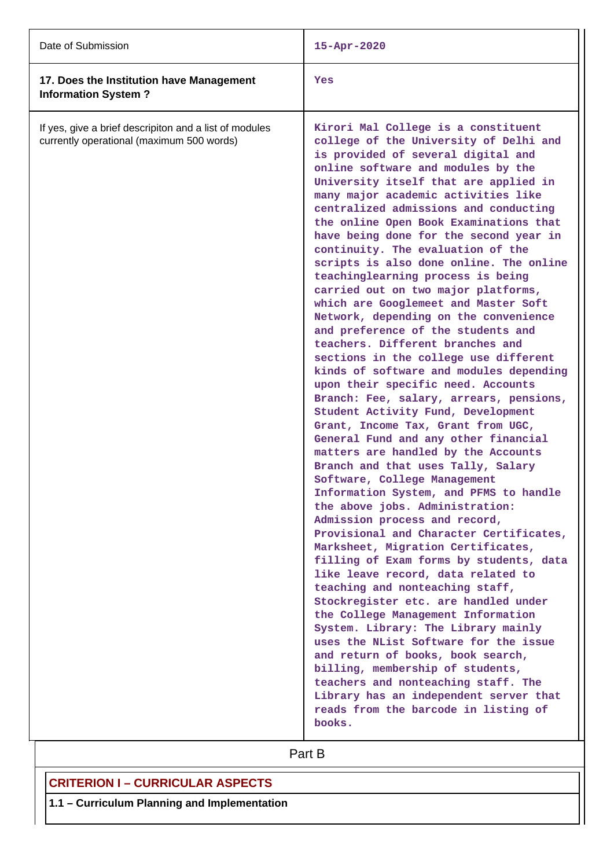| Date of Submission                                                                                  | 15-Apr-2020                                                                                                                                                                                                                                                                                                                                                                                                                                                                                                                                                                                                                                                                                                                                                                                                                                                                                                                                                                                                                                                                                                                                                                                                                                                                                                                                                                                                                                                                                                                                                                                                                                                                                                                                                                                      |
|-----------------------------------------------------------------------------------------------------|--------------------------------------------------------------------------------------------------------------------------------------------------------------------------------------------------------------------------------------------------------------------------------------------------------------------------------------------------------------------------------------------------------------------------------------------------------------------------------------------------------------------------------------------------------------------------------------------------------------------------------------------------------------------------------------------------------------------------------------------------------------------------------------------------------------------------------------------------------------------------------------------------------------------------------------------------------------------------------------------------------------------------------------------------------------------------------------------------------------------------------------------------------------------------------------------------------------------------------------------------------------------------------------------------------------------------------------------------------------------------------------------------------------------------------------------------------------------------------------------------------------------------------------------------------------------------------------------------------------------------------------------------------------------------------------------------------------------------------------------------------------------------------------------------|
| 17. Does the Institution have Management<br><b>Information System?</b>                              | Yes                                                                                                                                                                                                                                                                                                                                                                                                                                                                                                                                                                                                                                                                                                                                                                                                                                                                                                                                                                                                                                                                                                                                                                                                                                                                                                                                                                                                                                                                                                                                                                                                                                                                                                                                                                                              |
| If yes, give a brief descripiton and a list of modules<br>currently operational (maximum 500 words) | Kirori Mal College is a constituent<br>college of the University of Delhi and<br>is provided of several digital and<br>online software and modules by the<br>University itself that are applied in<br>many major academic activities like<br>centralized admissions and conducting<br>the online Open Book Examinations that<br>have being done for the second year in<br>continuity. The evaluation of the<br>scripts is also done online. The online<br>teachinglearning process is being<br>carried out on two major platforms,<br>which are Googlemeet and Master Soft<br>Network, depending on the convenience<br>and preference of the students and<br>teachers. Different branches and<br>sections in the college use different<br>kinds of software and modules depending<br>upon their specific need. Accounts<br>Branch: Fee, salary, arrears, pensions,<br>Student Activity Fund, Development<br>Grant, Income Tax, Grant from UGC,<br>General Fund and any other financial<br>matters are handled by the Accounts<br>Branch and that uses Tally, Salary<br>Software, College Management<br>Information System, and PFMS to handle<br>the above jobs. Administration:<br>Admission process and record,<br>Provisional and Character Certificates,<br>Marksheet, Migration Certificates,<br>filling of Exam forms by students, data<br>like leave record, data related to<br>teaching and nonteaching staff,<br>Stockregister etc. are handled under<br>the College Management Information<br>System. Library: The Library mainly<br>uses the NList Software for the issue<br>and return of books, book search,<br>billing, membership of students,<br>teachers and nonteaching staff. The<br>Library has an independent server that<br>reads from the barcode in listing of<br>books. |

Part B

# **CRITERION I – CURRICULAR ASPECTS**

**1.1 – Curriculum Planning and Implementation**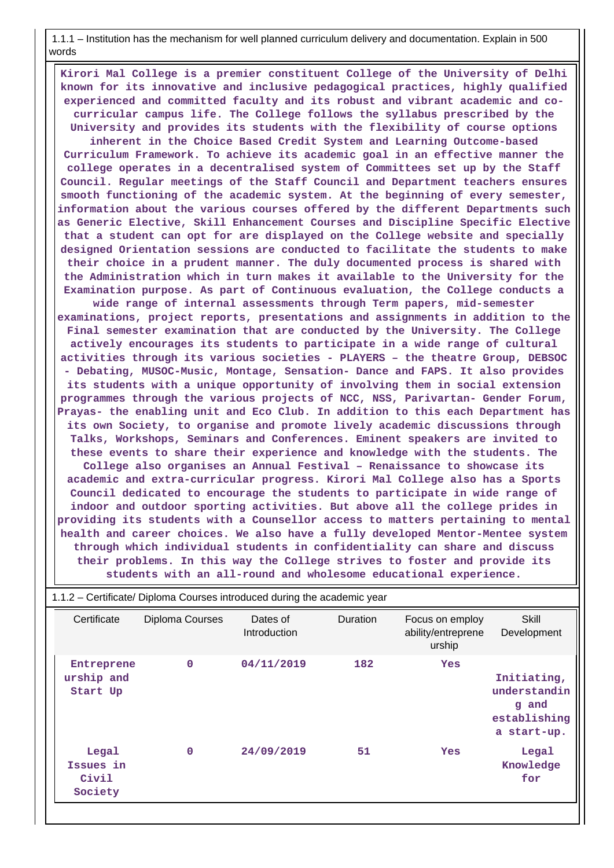1.1.1 – Institution has the mechanism for well planned curriculum delivery and documentation. Explain in 500 words

 **Kirori Mal College is a premier constituent College of the University of Delhi known for its innovative and inclusive pedagogical practices, highly qualified experienced and committed faculty and its robust and vibrant academic and cocurricular campus life. The College follows the syllabus prescribed by the University and provides its students with the flexibility of course options inherent in the Choice Based Credit System and Learning Outcome-based Curriculum Framework. To achieve its academic goal in an effective manner the college operates in a decentralised system of Committees set up by the Staff Council. Regular meetings of the Staff Council and Department teachers ensures smooth functioning of the academic system. At the beginning of every semester, information about the various courses offered by the different Departments such as Generic Elective, Skill Enhancement Courses and Discipline Specific Elective that a student can opt for are displayed on the College website and specially designed Orientation sessions are conducted to facilitate the students to make their choice in a prudent manner. The duly documented process is shared with the Administration which in turn makes it available to the University for the Examination purpose. As part of Continuous evaluation, the College conducts a wide range of internal assessments through Term papers, mid-semester examinations, project reports, presentations and assignments in addition to the Final semester examination that are conducted by the University. The College actively encourages its students to participate in a wide range of cultural activities through its various societies - PLAYERS – the theatre Group, DEBSOC - Debating, MUSOC-Music, Montage, Sensation- Dance and FAPS. It also provides its students with a unique opportunity of involving them in social extension programmes through the various projects of NCC, NSS, Parivartan- Gender Forum, Prayas- the enabling unit and Eco Club. In addition to this each Department has its own Society, to organise and promote lively academic discussions through Talks, Workshops, Seminars and Conferences. Eminent speakers are invited to these events to share their experience and knowledge with the students. The College also organises an Annual Festival – Renaissance to showcase its academic and extra-curricular progress. Kirori Mal College also has a Sports Council dedicated to encourage the students to participate in wide range of indoor and outdoor sporting activities. But above all the college prides in providing its students with a Counsellor access to matters pertaining to mental health and career choices. We also have a fully developed Mentor-Mentee system through which individual students in confidentiality can share and discuss their problems. In this way the College strives to foster and provide its students with an all-round and wholesome educational experience.**

| 1.1.2 – Certificate/ Diploma Courses introduced during the academic year |                 |                          |          |                                                 |                                                                     |
|--------------------------------------------------------------------------|-----------------|--------------------------|----------|-------------------------------------------------|---------------------------------------------------------------------|
| Certificate                                                              | Diploma Courses | Dates of<br>Introduction | Duration | Focus on employ<br>ability/entreprene<br>urship | Skill<br>Development                                                |
| Entreprene<br>urship and<br>Start Up                                     | $\mathbf 0$     | 04/11/2019               | 182      | <b>Yes</b>                                      | Initiating,<br>understandin<br>q and<br>establishing<br>a start-up. |
| Legal<br>Issues in<br>Civil<br>Society                                   | $\mathbf 0$     | 24/09/2019               | 51       | <b>Yes</b>                                      | Legal<br>Knowledge<br>for                                           |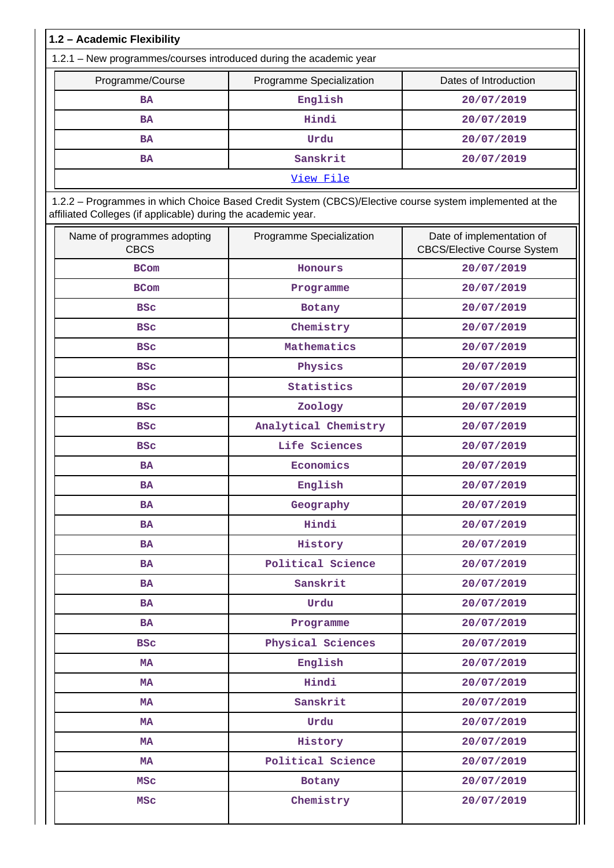| 1.2 - Academic Flexibility                                                                                                                                               |                          |                                                                 |
|--------------------------------------------------------------------------------------------------------------------------------------------------------------------------|--------------------------|-----------------------------------------------------------------|
| 1.2.1 - New programmes/courses introduced during the academic year                                                                                                       |                          |                                                                 |
| Programme/Course                                                                                                                                                         | Programme Specialization | Dates of Introduction                                           |
| <b>BA</b>                                                                                                                                                                | English                  | 20/07/2019                                                      |
| <b>BA</b>                                                                                                                                                                | Hindi                    | 20/07/2019                                                      |
| <b>BA</b>                                                                                                                                                                | Urdu                     | 20/07/2019                                                      |
| <b>BA</b>                                                                                                                                                                | Sanskrit                 | 20/07/2019                                                      |
|                                                                                                                                                                          | View File                |                                                                 |
| 1.2.2 - Programmes in which Choice Based Credit System (CBCS)/Elective course system implemented at the<br>affiliated Colleges (if applicable) during the academic year. |                          |                                                                 |
| Name of programmes adopting<br><b>CBCS</b>                                                                                                                               | Programme Specialization | Date of implementation of<br><b>CBCS/Elective Course System</b> |
| <b>BCom</b>                                                                                                                                                              | Honours                  | 20/07/2019                                                      |
| <b>BCom</b>                                                                                                                                                              | Programme                | 20/07/2019                                                      |
| <b>BSC</b>                                                                                                                                                               | Botany                   | 20/07/2019                                                      |
| <b>BSC</b>                                                                                                                                                               | Chemistry                | 20/07/2019                                                      |
| <b>BSC</b>                                                                                                                                                               | Mathematics              | 20/07/2019                                                      |
| <b>BSC</b>                                                                                                                                                               | Physics                  | 20/07/2019                                                      |
| <b>BSC</b>                                                                                                                                                               | Statistics               | 20/07/2019                                                      |
| <b>BSC</b>                                                                                                                                                               | Zoology                  | 20/07/2019                                                      |
| <b>BSC</b>                                                                                                                                                               | Analytical Chemistry     | 20/07/2019                                                      |
| <b>BSC</b>                                                                                                                                                               | Life Sciences            | 20/07/2019                                                      |
| <b>BA</b>                                                                                                                                                                | Economics                | 20/07/2019                                                      |

| <b>BA</b>  | Economics         | 20/07/2019 |
|------------|-------------------|------------|
| <b>BA</b>  | English           | 20/07/2019 |
| <b>BA</b>  | Geography         | 20/07/2019 |
| <b>BA</b>  | Hindi             | 20/07/2019 |
| <b>BA</b>  | History           | 20/07/2019 |
| <b>BA</b>  | Political Science | 20/07/2019 |
| <b>BA</b>  | Sanskrit          | 20/07/2019 |
| <b>BA</b>  | Urdu              | 20/07/2019 |
| <b>BA</b>  | Programme         | 20/07/2019 |
| <b>BSC</b> | Physical Sciences | 20/07/2019 |
| MA         | English           | 20/07/2019 |
| <b>MA</b>  | Hindi             | 20/07/2019 |

 **MA Sanskrit 20/07/2019** MA Urdu 20/07/2019 MA **History** 1 20/07/2019 MA Political Science 20/07/2019 MSc Botany **20/07/2019** MSc **Chemistry** 20/07/2019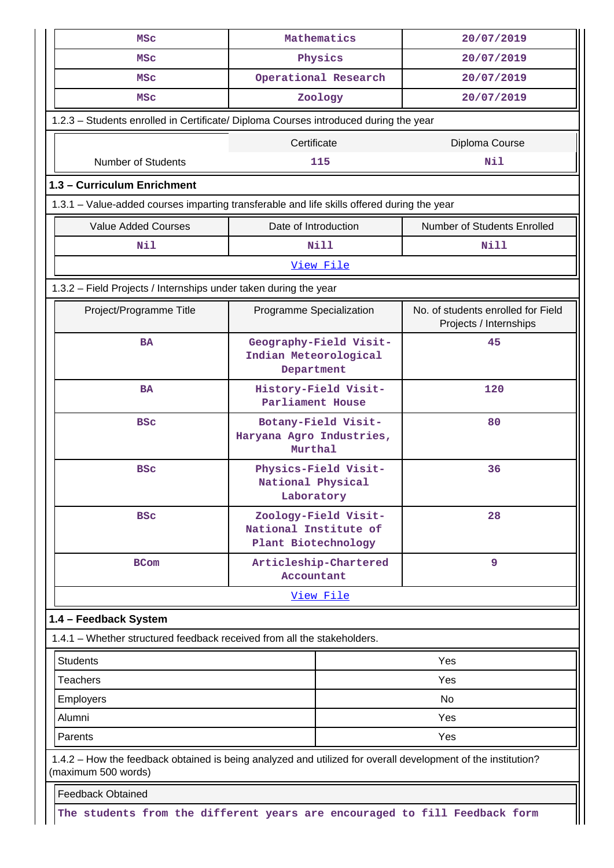| <b>MSC</b>                                                                                                                          |                                                                      | Mathematics           | 20/07/2019                                                   |
|-------------------------------------------------------------------------------------------------------------------------------------|----------------------------------------------------------------------|-----------------------|--------------------------------------------------------------|
| <b>MSC</b>                                                                                                                          | Physics                                                              |                       | 20/07/2019                                                   |
| MSC                                                                                                                                 | Operational Research                                                 |                       | 20/07/2019                                                   |
| <b>MSC</b>                                                                                                                          | Zoology                                                              |                       | 20/07/2019                                                   |
| 1.2.3 - Students enrolled in Certificate/ Diploma Courses introduced during the year                                                |                                                                      |                       |                                                              |
|                                                                                                                                     | Certificate                                                          |                       |                                                              |
| <b>Number of Students</b>                                                                                                           |                                                                      | 115                   | Diploma Course<br>Nil                                        |
|                                                                                                                                     |                                                                      |                       |                                                              |
| 1.3 - Curriculum Enrichment                                                                                                         |                                                                      |                       |                                                              |
| 1.3.1 - Value-added courses imparting transferable and life skills offered during the year                                          |                                                                      |                       |                                                              |
| <b>Value Added Courses</b>                                                                                                          | Date of Introduction                                                 |                       | Number of Students Enrolled                                  |
| Nil                                                                                                                                 |                                                                      | Nill                  | Nill                                                         |
|                                                                                                                                     |                                                                      | View File             |                                                              |
| 1.3.2 - Field Projects / Internships under taken during the year                                                                    |                                                                      |                       |                                                              |
| Project/Programme Title                                                                                                             | Programme Specialization                                             |                       | No. of students enrolled for Field<br>Projects / Internships |
| <b>BA</b>                                                                                                                           | Geography-Field Visit-<br>Indian Meteorological<br>Department        |                       | 45                                                           |
| <b>BA</b>                                                                                                                           | History-Field Visit-<br>Parliament House                             |                       | 120                                                          |
| <b>BSC</b>                                                                                                                          | Botany-Field Visit-<br>Haryana Agro Industries,<br>Murthal           |                       | 80                                                           |
| <b>BSC</b>                                                                                                                          | Physics-Field Visit-<br>National Physical<br>Laboratory              |                       | 36                                                           |
| <b>BSC</b>                                                                                                                          | Zoology-Field Visit-<br>National Institute of<br>Plant Biotechnology |                       | 28                                                           |
| <b>BCom</b>                                                                                                                         | Accountant                                                           | Articleship-Chartered | 9                                                            |
|                                                                                                                                     |                                                                      | View File             |                                                              |
| 1.4 - Feedback System                                                                                                               |                                                                      |                       |                                                              |
| 1.4.1 – Whether structured feedback received from all the stakeholders.                                                             |                                                                      |                       |                                                              |
| <b>Students</b>                                                                                                                     |                                                                      |                       | Yes                                                          |
| <b>Teachers</b>                                                                                                                     | Yes                                                                  |                       |                                                              |
| Employers                                                                                                                           | No                                                                   |                       |                                                              |
| Alumni                                                                                                                              | Yes                                                                  |                       |                                                              |
| Parents                                                                                                                             |                                                                      |                       | Yes                                                          |
| 1.4.2 – How the feedback obtained is being analyzed and utilized for overall development of the institution?<br>(maximum 500 words) |                                                                      |                       |                                                              |
| <b>Feedback Obtained</b>                                                                                                            |                                                                      |                       |                                                              |
| The students from the different years are encouraged to fill Feedback form                                                          |                                                                      |                       |                                                              |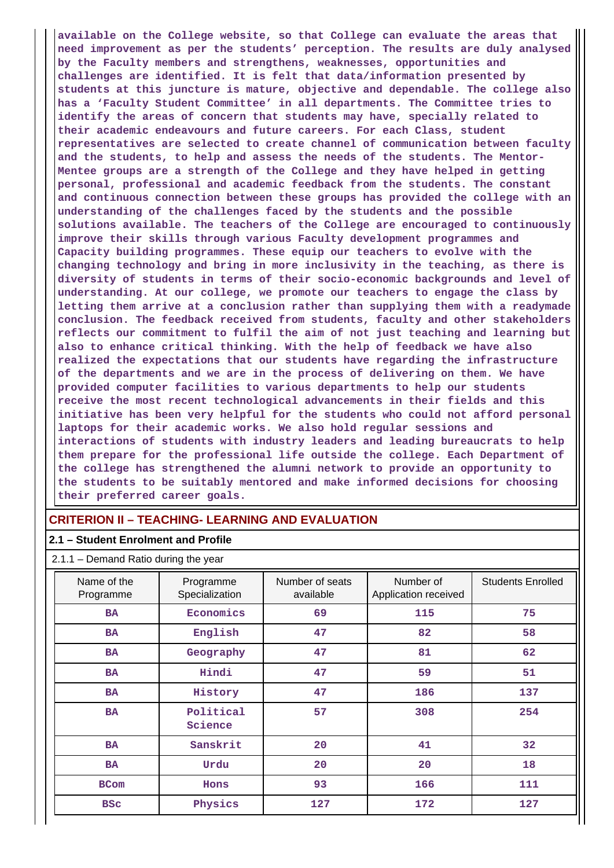**available on the College website, so that College can evaluate the areas that need improvement as per the students' perception. The results are duly analysed by the Faculty members and strengthens, weaknesses, opportunities and challenges are identified. It is felt that data/information presented by students at this juncture is mature, objective and dependable. The college also has a 'Faculty Student Committee' in all departments. The Committee tries to identify the areas of concern that students may have, specially related to their academic endeavours and future careers. For each Class, student representatives are selected to create channel of communication between faculty and the students, to help and assess the needs of the students. The Mentor-Mentee groups are a strength of the College and they have helped in getting personal, professional and academic feedback from the students. The constant and continuous connection between these groups has provided the college with an understanding of the challenges faced by the students and the possible solutions available. The teachers of the College are encouraged to continuously improve their skills through various Faculty development programmes and Capacity building programmes. These equip our teachers to evolve with the changing technology and bring in more inclusivity in the teaching, as there is diversity of students in terms of their socio-economic backgrounds and level of understanding. At our college, we promote our teachers to engage the class by letting them arrive at a conclusion rather than supplying them with a readymade conclusion. The feedback received from students, faculty and other stakeholders reflects our commitment to fulfil the aim of not just teaching and learning but also to enhance critical thinking. With the help of feedback we have also realized the expectations that our students have regarding the infrastructure of the departments and we are in the process of delivering on them. We have provided computer facilities to various departments to help our students receive the most recent technological advancements in their fields and this initiative has been very helpful for the students who could not afford personal laptops for their academic works. We also hold regular sessions and interactions of students with industry leaders and leading bureaucrats to help them prepare for the professional life outside the college. Each Department of the college has strengthened the alumni network to provide an opportunity to the students to be suitably mentored and make informed decisions for choosing their preferred career goals.**

# **CRITERION II – TEACHING- LEARNING AND EVALUATION**

#### **2.1 – Student Enrolment and Profile**

| Name of the<br>Programme | Programme<br>Specialization | Number of seats<br>available | Number of<br>Application received | <b>Students Enrolled</b> |
|--------------------------|-----------------------------|------------------------------|-----------------------------------|--------------------------|
| <b>BA</b>                | Economics                   | 69                           | 115                               | 75                       |
| <b>BA</b>                | English                     | 47                           | 82                                | 58                       |
| <b>BA</b>                | Geography                   | 47                           | 81                                | 62                       |
| <b>BA</b>                | Hindi                       | 47                           | 59                                | 51                       |
| <b>BA</b>                | History                     | 47                           | 186                               | 137                      |
| <b>BA</b>                | Political<br>Science        | 57                           | 308                               | 254                      |
| <b>BA</b>                | Sanskrit                    | 20                           | 41                                | 32                       |
| <b>BA</b>                | Urdu                        | 20                           | 20                                | 18                       |
| <b>BCom</b>              | Hons                        | 93                           | 166                               | 111                      |
| <b>BSC</b>               | Physics                     | 127                          | 172                               | 127                      |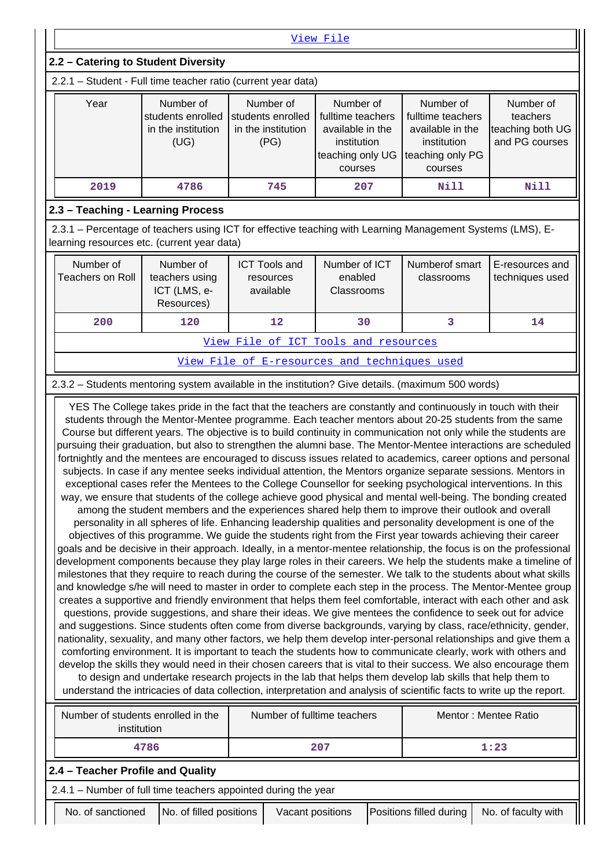|                                                                                                                                                                                                                                                                                                                                                                                                             | View File                                                                                                                                                                                                                   |                                              |     |      |      |  |  |  |  |  |
|-------------------------------------------------------------------------------------------------------------------------------------------------------------------------------------------------------------------------------------------------------------------------------------------------------------------------------------------------------------------------------------------------------------|-----------------------------------------------------------------------------------------------------------------------------------------------------------------------------------------------------------------------------|----------------------------------------------|-----|------|------|--|--|--|--|--|
|                                                                                                                                                                                                                                                                                                                                                                                                             | 2.2 - Catering to Student Diversity                                                                                                                                                                                         |                                              |     |      |      |  |  |  |  |  |
| 2.2.1 - Student - Full time teacher ratio (current year data)                                                                                                                                                                                                                                                                                                                                               |                                                                                                                                                                                                                             |                                              |     |      |      |  |  |  |  |  |
| Year<br>Number of<br>Number of<br>Number of<br>Number of<br>Number of<br>students enrolled<br>students enrolled<br>fulltime teachers<br>fulltime teachers<br>teachers<br>teaching both UG<br>in the institution<br>in the institution<br>available in the<br>available in the<br>and PG courses<br>(UG)<br>(PG)<br>institution<br>institution<br>teaching only UG<br>teaching only PG<br>courses<br>courses |                                                                                                                                                                                                                             |                                              |     |      |      |  |  |  |  |  |
| 2019                                                                                                                                                                                                                                                                                                                                                                                                        | 4786                                                                                                                                                                                                                        | 745                                          | 207 | Nill | Nill |  |  |  |  |  |
| 2.3 - Teaching - Learning Process                                                                                                                                                                                                                                                                                                                                                                           |                                                                                                                                                                                                                             |                                              |     |      |      |  |  |  |  |  |
| 2.3.1 - Percentage of teachers using ICT for effective teaching with Learning Management Systems (LMS), E-<br>learning resources etc. (current year data)                                                                                                                                                                                                                                                   |                                                                                                                                                                                                                             |                                              |     |      |      |  |  |  |  |  |
| Number of<br>Teachers on Roll                                                                                                                                                                                                                                                                                                                                                                               | Number of<br><b>ICT Tools and</b><br>Number of ICT<br>Numberof smart<br>E-resources and<br>teachers using<br>enabled<br>techniques used<br>classrooms<br>resources<br>ICT (LMS, e-<br>available<br>Classrooms<br>Resources) |                                              |     |      |      |  |  |  |  |  |
| 200                                                                                                                                                                                                                                                                                                                                                                                                         | 120                                                                                                                                                                                                                         | 12                                           | 30  | 3    | 14   |  |  |  |  |  |
|                                                                                                                                                                                                                                                                                                                                                                                                             |                                                                                                                                                                                                                             | View File of ICT Tools and resources         |     |      |      |  |  |  |  |  |
|                                                                                                                                                                                                                                                                                                                                                                                                             |                                                                                                                                                                                                                             | View File of E-resources and techniques used |     |      |      |  |  |  |  |  |

### 2.3.2 – Students mentoring system available in the institution? Give details. (maximum 500 words)

 YES The College takes pride in the fact that the teachers are constantly and continuously in touch with their students through the Mentor-Mentee programme. Each teacher mentors about 20-25 students from the same Course but different years. The objective is to build continuity in communication not only while the students are pursuing their graduation, but also to strengthen the alumni base. The Mentor-Mentee interactions are scheduled fortnightly and the mentees are encouraged to discuss issues related to academics, career options and personal subjects. In case if any mentee seeks individual attention, the Mentors organize separate sessions. Mentors in exceptional cases refer the Mentees to the College Counsellor for seeking psychological interventions. In this way, we ensure that students of the college achieve good physical and mental well-being. The bonding created among the student members and the experiences shared help them to improve their outlook and overall personality in all spheres of life. Enhancing leadership qualities and personality development is one of the objectives of this programme. We guide the students right from the First year towards achieving their career goals and be decisive in their approach. Ideally, in a mentor-mentee relationship, the focus is on the professional development components because they play large roles in their careers. We help the students make a timeline of milestones that they require to reach during the course of the semester. We talk to the students about what skills and knowledge s/he will need to master in order to complete each step in the process. The Mentor-Mentee group creates a supportive and friendly environment that helps them feel comfortable, interact with each other and ask questions, provide suggestions, and share their ideas. We give mentees the confidence to seek out for advice and suggestions. Since students often come from diverse backgrounds, varying by class, race/ethnicity, gender, nationality, sexuality, and many other factors, we help them develop inter-personal relationships and give them a comforting environment. It is important to teach the students how to communicate clearly, work with others and develop the skills they would need in their chosen careers that is vital to their success. We also encourage them to design and undertake research projects in the lab that helps them develop lab skills that help them to understand the intricacies of data collection, interpretation and analysis of scientific facts to write up the report.

| Number of students enrolled in the<br>institution |                                                                |                         | Number of fulltime teachers |                         | Mentor: Mentee Ratio |  |
|---------------------------------------------------|----------------------------------------------------------------|-------------------------|-----------------------------|-------------------------|----------------------|--|
|                                                   | 4786                                                           |                         | 207                         |                         | 1:23                 |  |
|                                                   | 2.4 - Teacher Profile and Quality                              |                         |                             |                         |                      |  |
|                                                   | 2.4.1 – Number of full time teachers appointed during the year |                         |                             |                         |                      |  |
|                                                   | No. of sanctioned                                              | No. of filled positions | Vacant positions            | Positions filled during | No. of faculty with  |  |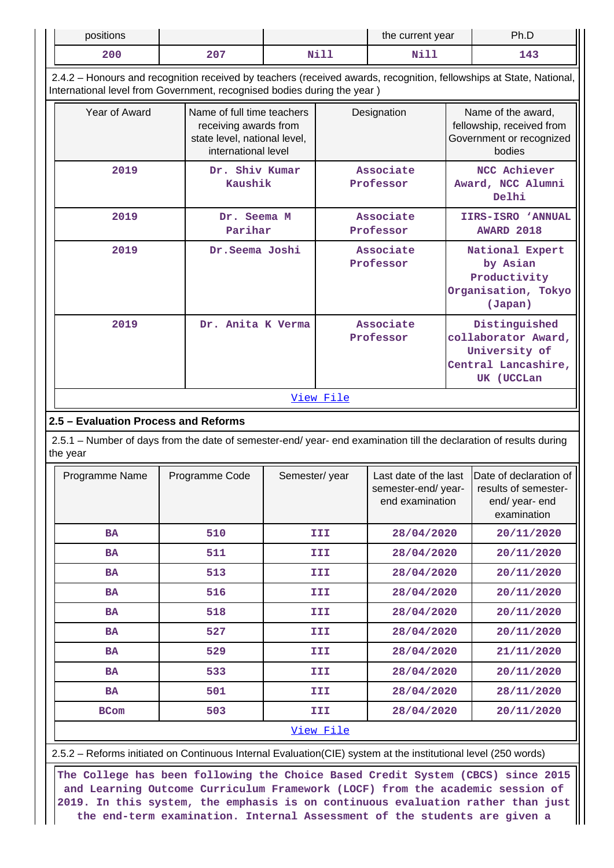| positions                                                                                                                                                                                      |                                                                                                            | the current year |           | Ph.D                                                           |  |                                                                                            |  |  |  |
|------------------------------------------------------------------------------------------------------------------------------------------------------------------------------------------------|------------------------------------------------------------------------------------------------------------|------------------|-----------|----------------------------------------------------------------|--|--------------------------------------------------------------------------------------------|--|--|--|
| 200                                                                                                                                                                                            | 207                                                                                                        | <b>Nill</b>      |           | Nill                                                           |  | 143                                                                                        |  |  |  |
| 2.4.2 - Honours and recognition received by teachers (received awards, recognition, fellowships at State, National,<br>International level from Government, recognised bodies during the year) |                                                                                                            |                  |           |                                                                |  |                                                                                            |  |  |  |
| Year of Award                                                                                                                                                                                  | Name of full time teachers<br>receiving awards from<br>state level, national level,<br>international level |                  |           | Designation                                                    |  | Name of the award,<br>fellowship, received from<br>Government or recognized<br>bodies      |  |  |  |
| 2019                                                                                                                                                                                           | Dr. Shiv Kumar<br>Kaushik                                                                                  |                  |           | Associate<br>Professor                                         |  | NCC Achiever<br>Award, NCC Alumni<br>Delhi                                                 |  |  |  |
| 2019                                                                                                                                                                                           | Dr. Seema M<br>Parihar                                                                                     |                  |           | Associate<br>Professor                                         |  | IIRS-ISRO 'ANNUAL<br><b>AWARD 2018</b>                                                     |  |  |  |
| 2019                                                                                                                                                                                           | Dr.Seema Joshi                                                                                             |                  |           | Associate<br>Professor                                         |  | National Expert<br>by Asian<br>Productivity<br>Organisation, Tokyo<br>(Japan)              |  |  |  |
| 2019                                                                                                                                                                                           | Dr. Anita K Verma                                                                                          |                  |           | Associate<br>Professor                                         |  | Distinguished<br>collaborator Award,<br>University of<br>Central Lancashire,<br>UK (UCCLan |  |  |  |
|                                                                                                                                                                                                |                                                                                                            |                  | View File |                                                                |  |                                                                                            |  |  |  |
| 2.5 - Evaluation Process and Reforms                                                                                                                                                           |                                                                                                            |                  |           |                                                                |  |                                                                                            |  |  |  |
| 2.5.1 - Number of days from the date of semester-end/ year- end examination till the declaration of results during<br>the year                                                                 |                                                                                                            |                  |           |                                                                |  |                                                                                            |  |  |  |
| Programme Name                                                                                                                                                                                 | Programme Code                                                                                             | Semester/year    |           | Last date of the last<br>semester-end/year-<br>end examination |  | Date of declaration of<br>results of semester-<br>end/ year- end<br>examination            |  |  |  |
| <b>BA</b>                                                                                                                                                                                      | 510                                                                                                        |                  | III       | 28/04/2020                                                     |  | 20/11/2020                                                                                 |  |  |  |
| <b>BA</b>                                                                                                                                                                                      | 511                                                                                                        |                  | III       | 28/04/2020                                                     |  | 20/11/2020                                                                                 |  |  |  |
| <b>BA</b>                                                                                                                                                                                      | 513                                                                                                        |                  | III       | 28/04/2020                                                     |  | 20/11/2020                                                                                 |  |  |  |
| <b>BA</b>                                                                                                                                                                                      | 516                                                                                                        |                  | III       | 28/04/2020                                                     |  | 20/11/2020                                                                                 |  |  |  |
| <b>BA</b>                                                                                                                                                                                      | 518                                                                                                        |                  | III       | 28/04/2020                                                     |  | 20/11/2020                                                                                 |  |  |  |
| <b>BA</b>                                                                                                                                                                                      | 527                                                                                                        |                  | III       | 28/04/2020                                                     |  | 20/11/2020                                                                                 |  |  |  |
| BA                                                                                                                                                                                             | 529                                                                                                        |                  | III       | 28/04/2020                                                     |  | 21/11/2020                                                                                 |  |  |  |
| <b>BA</b>                                                                                                                                                                                      | 533                                                                                                        |                  | III       | 28/04/2020                                                     |  | 20/11/2020                                                                                 |  |  |  |
| <b>BA</b>                                                                                                                                                                                      | 501                                                                                                        |                  | III       | 28/04/2020                                                     |  | 28/11/2020                                                                                 |  |  |  |
| <b>BCom</b>                                                                                                                                                                                    | 503                                                                                                        |                  | III       | 28/04/2020                                                     |  | 20/11/2020                                                                                 |  |  |  |
|                                                                                                                                                                                                | View File                                                                                                  |                  |           |                                                                |  |                                                                                            |  |  |  |

2.5.2 – Reforms initiated on Continuous Internal Evaluation(CIE) system at the institutional level (250 words)

 **The College has been following the Choice Based Credit System (CBCS) since 2015 and Learning Outcome Curriculum Framework (LOCF) from the academic session of 2019. In this system, the emphasis is on continuous evaluation rather than just the end-term examination. Internal Assessment of the students are given a**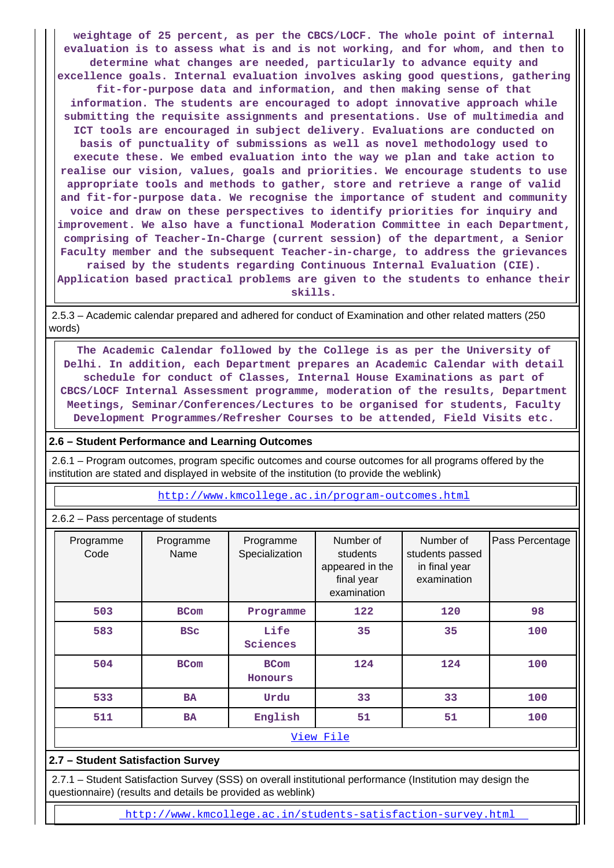**weightage of 25 percent, as per the CBCS/LOCF. The whole point of internal evaluation is to assess what is and is not working, and for whom, and then to determine what changes are needed, particularly to advance equity and excellence goals. Internal evaluation involves asking good questions, gathering fit-for-purpose data and information, and then making sense of that information. The students are encouraged to adopt innovative approach while submitting the requisite assignments and presentations. Use of multimedia and ICT tools are encouraged in subject delivery. Evaluations are conducted on basis of punctuality of submissions as well as novel methodology used to execute these. We embed evaluation into the way we plan and take action to realise our vision, values, goals and priorities. We encourage students to use appropriate tools and methods to gather, store and retrieve a range of valid and fit-for-purpose data. We recognise the importance of student and community voice and draw on these perspectives to identify priorities for inquiry and improvement. We also have a functional Moderation Committee in each Department, comprising of Teacher-In-Charge (current session) of the department, a Senior Faculty member and the subsequent Teacher-in-charge, to address the grievances raised by the students regarding Continuous Internal Evaluation (CIE). Application based practical problems are given to the students to enhance their**

**skills.**

 2.5.3 – Academic calendar prepared and adhered for conduct of Examination and other related matters (250 words)

 **The Academic Calendar followed by the College is as per the University of Delhi. In addition, each Department prepares an Academic Calendar with detail schedule for conduct of Classes, Internal House Examinations as part of CBCS/LOCF Internal Assessment programme, moderation of the results, Department Meetings, Seminar/Conferences/Lectures to be organised for students, Faculty Development Programmes/Refresher Courses to be attended, Field Visits etc.**

#### **2.6 – Student Performance and Learning Outcomes**

 2.6.1 – Program outcomes, program specific outcomes and course outcomes for all programs offered by the institution are stated and displayed in website of the institution (to provide the weblink)

http://www.kmcollege.ac.in/program-outcomes.html

2.6.2 – Pass percentage of students

| Programme<br>Code | Programme<br>Name | Programme<br>Specialization | Number of<br>students<br>appeared in the<br>final year<br>examination | Number of<br>students passed<br>in final year<br>examination | Pass Percentage |
|-------------------|-------------------|-----------------------------|-----------------------------------------------------------------------|--------------------------------------------------------------|-----------------|
| 503               | <b>BCom</b>       | Programme                   | 122                                                                   | 120                                                          | 98              |
| 583               | <b>BSC</b>        | Life<br>Sciences            | 35                                                                    | 35                                                           | 100             |
| 504               | <b>BCom</b>       | <b>BCom</b><br>Honours      | 124                                                                   | 124                                                          | 100             |
| 533               | <b>BA</b>         | Urdu                        | 33                                                                    | 33                                                           | 100             |
| 511               | <b>BA</b>         | English                     | 51                                                                    | 51                                                           | 100             |
|                   |                   |                             | View File                                                             |                                                              |                 |

# **2.7 – Student Satisfaction Survey**

 2.7.1 – Student Satisfaction Survey (SSS) on overall institutional performance (Institution may design the questionnaire) (results and details be provided as weblink)

http://www.kmcollege.ac.in/students-satisfaction-survey.html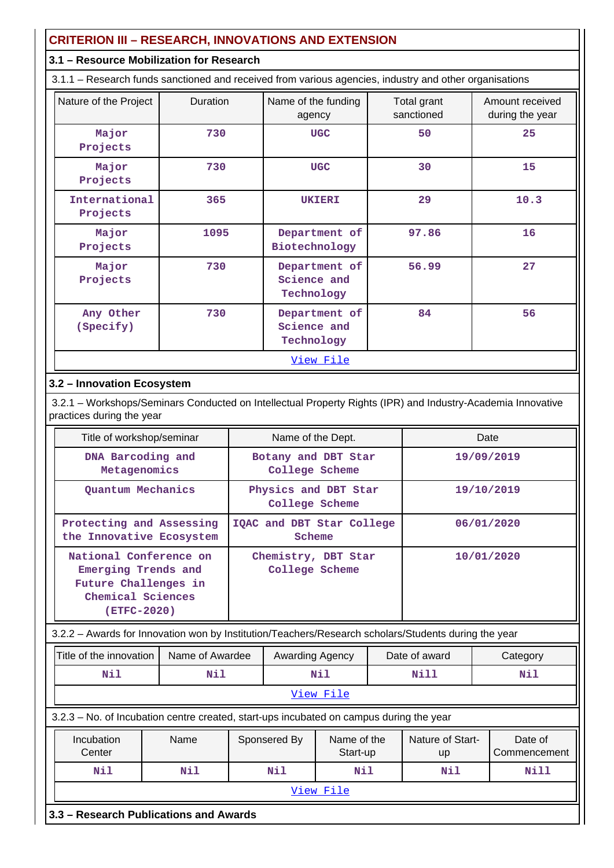# **CRITERION III – RESEARCH, INNOVATIONS AND EXTENSION**

# **3.1 – Resource Mobilization for Research**

3.1.1 – Research funds sanctioned and received from various agencies, industry and other organisations

| Nature of the Project     | Duration | Name of the funding<br>agency              | Total grant<br>sanctioned | Amount received<br>during the year |
|---------------------------|----------|--------------------------------------------|---------------------------|------------------------------------|
| Major<br>Projects         | 730      | <b>UGC</b>                                 | 50                        | 25                                 |
| Major<br>Projects         | 730      | <b>UGC</b>                                 | 30                        | 15                                 |
| International<br>Projects | 365      | <b>UKIERI</b>                              | 29                        | 10.3                               |
| Major<br>Projects         | 1095     | Department of<br>Biotechnology             | 97.86                     | 16                                 |
| Major<br>Projects         | 730      | Department of<br>Science and<br>Technology | 56.99                     | 27                                 |
| Any Other<br>(Specify)    | 730      | Department of<br>Science and<br>Technology | 84                        | 56                                 |
|                           |          | View File                                  |                           |                                    |

# **3.2 – Innovation Ecosystem**

 3.2.1 – Workshops/Seminars Conducted on Intellectual Property Rights (IPR) and Industry-Academia Innovative practices during the year

| Title of workshop/seminar                                                                                 | Name of the Dept.                      | Date       |
|-----------------------------------------------------------------------------------------------------------|----------------------------------------|------------|
| DNA Barcoding and<br>Metagenomics                                                                         | Botany and DBT Star<br>College Scheme  | 19/09/2019 |
| Quantum Mechanics                                                                                         | Physics and DBT Star<br>College Scheme | 19/10/2019 |
| Protecting and Assessing<br>the Innovative Ecosystem                                                      | IQAC and DBT Star College<br>Scheme    | 06/01/2020 |
| National Conference on<br>Emerging Trends and<br>Future Challenges in<br>Chemical Sciences<br>(ETFC-2020) | Chemistry, DBT Star<br>College Scheme  | 10/01/2020 |

3.2.2 – Awards for Innovation won by Institution/Teachers/Research scholars/Students during the year

| Title of the innovation<br>Name of Awardee |                                                                                         |  |              | <b>Awarding Agency</b>  |      |                               | Date of award           | Category |
|--------------------------------------------|-----------------------------------------------------------------------------------------|--|--------------|-------------------------|------|-------------------------------|-------------------------|----------|
|                                            | Nil<br>Nil                                                                              |  | Nil          |                         | Nill | Nil                           |                         |          |
|                                            |                                                                                         |  |              | View File               |      |                               |                         |          |
|                                            | 3.2.3 – No. of Incubation centre created, start-ups incubated on campus during the year |  |              |                         |      |                               |                         |          |
|                                            | Incubation<br>Center                                                                    |  | Sponsered By | Name of the<br>Start-up |      | <b>Nature of Start-</b><br>up | Date of<br>Commencement |          |

 **Nil Nil Nil Nil Nil Nill** View File

**3.3 – Research Publications and Awards**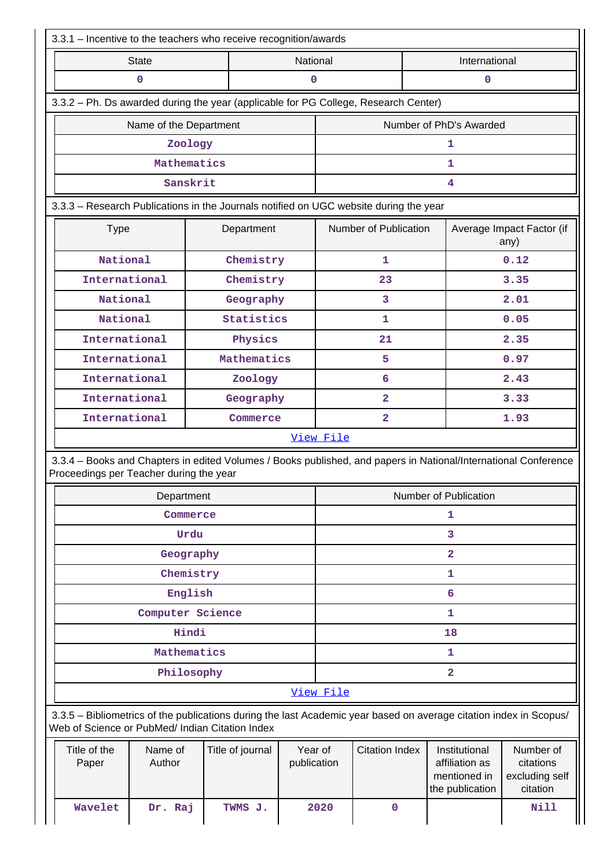| 3.3.1 - Incentive to the teachers who receive recognition/awards                                                                                                      |                        |                  |                         |                       |                       |                                                                    |                                                      |  |
|-----------------------------------------------------------------------------------------------------------------------------------------------------------------------|------------------------|------------------|-------------------------|-----------------------|-----------------------|--------------------------------------------------------------------|------------------------------------------------------|--|
| National<br>International<br><b>State</b>                                                                                                                             |                        |                  |                         |                       |                       |                                                                    |                                                      |  |
|                                                                                                                                                                       | 0                      |                  | 0<br>0                  |                       |                       |                                                                    |                                                      |  |
| 3.3.2 - Ph. Ds awarded during the year (applicable for PG College, Research Center)                                                                                   |                        |                  |                         |                       |                       |                                                                    |                                                      |  |
|                                                                                                                                                                       | Name of the Department |                  | Number of PhD's Awarded |                       |                       |                                                                    |                                                      |  |
|                                                                                                                                                                       | Zoology                |                  |                         |                       |                       | 1                                                                  |                                                      |  |
|                                                                                                                                                                       | Mathematics            |                  |                         |                       |                       | 1                                                                  |                                                      |  |
|                                                                                                                                                                       | Sanskrit               |                  |                         |                       |                       | 4                                                                  |                                                      |  |
| 3.3.3 - Research Publications in the Journals notified on UGC website during the year                                                                                 |                        |                  |                         |                       |                       |                                                                    |                                                      |  |
| <b>Type</b>                                                                                                                                                           |                        | Department       |                         |                       | Number of Publication |                                                                    | Average Impact Factor (if<br>any)                    |  |
| National                                                                                                                                                              |                        | Chemistry        |                         |                       | 1                     |                                                                    | 0.12                                                 |  |
| International                                                                                                                                                         |                        | Chemistry        |                         |                       | 23                    |                                                                    | 3.35                                                 |  |
| National                                                                                                                                                              |                        | Geography        |                         |                       | 3                     |                                                                    | 2.01                                                 |  |
| National                                                                                                                                                              |                        | Statistics       |                         |                       | 1                     |                                                                    | 0.05                                                 |  |
| International                                                                                                                                                         |                        | Physics          |                         |                       | 21                    |                                                                    | 2.35                                                 |  |
| International                                                                                                                                                         |                        | Mathematics      |                         |                       | 5                     |                                                                    | 0.97                                                 |  |
| International                                                                                                                                                         |                        | Zoology          |                         |                       | 6                     |                                                                    | 2.43                                                 |  |
| International                                                                                                                                                         |                        | Geography        |                         |                       | $\overline{2}$        |                                                                    | 3.33                                                 |  |
| International                                                                                                                                                         |                        | Commerce         |                         | $\overline{2}$        |                       |                                                                    | 1.93                                                 |  |
| 3.3.4 - Books and Chapters in edited Volumes / Books published, and papers in National/International Conference<br>Proceedings per Teacher during the year            |                        |                  |                         |                       |                       |                                                                    |                                                      |  |
|                                                                                                                                                                       | Department<br>Commerce |                  |                         | Number of Publication |                       |                                                                    |                                                      |  |
|                                                                                                                                                                       | Urdu                   |                  |                         | 1                     |                       |                                                                    |                                                      |  |
|                                                                                                                                                                       | Geography              |                  |                         | 3                     |                       |                                                                    |                                                      |  |
|                                                                                                                                                                       | Chemistry              |                  |                         | $\overline{a}$<br>1   |                       |                                                                    |                                                      |  |
|                                                                                                                                                                       | English                |                  |                         |                       |                       | 6                                                                  |                                                      |  |
|                                                                                                                                                                       | Computer Science       |                  |                         |                       |                       | 1                                                                  |                                                      |  |
|                                                                                                                                                                       | Hindi                  |                  |                         |                       |                       | 18                                                                 |                                                      |  |
|                                                                                                                                                                       | Mathematics            |                  |                         |                       |                       | 1                                                                  |                                                      |  |
|                                                                                                                                                                       | Philosophy             |                  |                         |                       |                       | $\overline{a}$                                                     |                                                      |  |
|                                                                                                                                                                       |                        |                  |                         | View File             |                       |                                                                    |                                                      |  |
| 3.3.5 - Bibliometrics of the publications during the last Academic year based on average citation index in Scopus/<br>Web of Science or PubMed/ Indian Citation Index |                        |                  |                         |                       |                       |                                                                    |                                                      |  |
| Title of the<br>Paper                                                                                                                                                 | Name of<br>Author      | Title of journal | Year of<br>publication  |                       | <b>Citation Index</b> | Institutional<br>affiliation as<br>mentioned in<br>the publication | Number of<br>citations<br>excluding self<br>citation |  |
|                                                                                                                                                                       |                        |                  |                         |                       |                       |                                                                    |                                                      |  |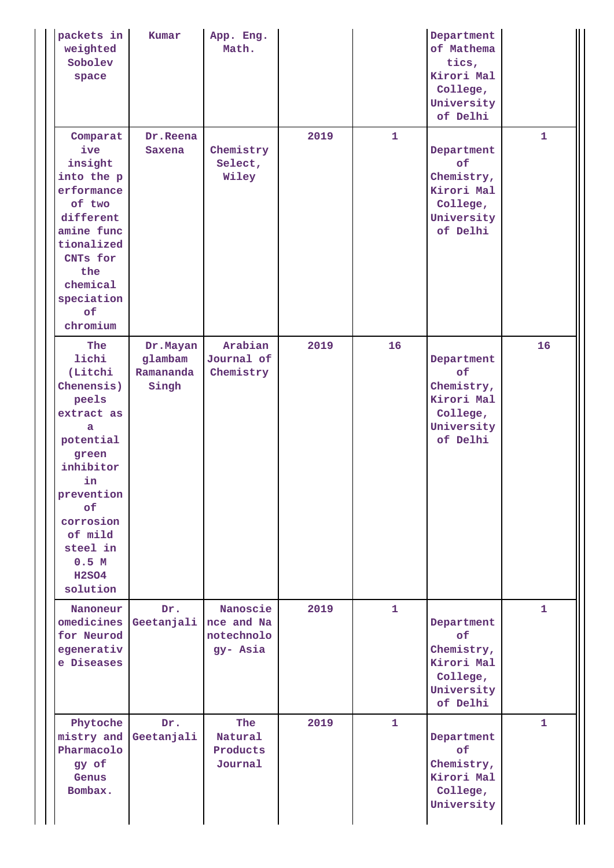| packets in<br>weighted<br>Sobolev<br>space                                                                                                                                                              | Kumar                                     | App. Eng.<br>Math.                               |      |              | Department<br>of Mathema<br>tics,<br>Kirori Mal<br>College,<br>University<br>of Delhi |              |
|---------------------------------------------------------------------------------------------------------------------------------------------------------------------------------------------------------|-------------------------------------------|--------------------------------------------------|------|--------------|---------------------------------------------------------------------------------------|--------------|
| Comparat<br>ive<br>insight<br>into the p<br>erformance<br>of two<br>different<br>amine func<br>tionalized<br>CNTs for<br>the<br>chemical<br>speciation<br>of<br>chromium                                | Dr.Reena<br>Saxena                        | Chemistry<br>Select,<br>Wiley                    | 2019 | $\mathbf{1}$ | Department<br>of<br>Chemistry,<br>Kirori Mal<br>College,<br>University<br>of Delhi    | $\mathbf{1}$ |
| The<br>lichi<br>(Litchi<br>Chenensis)<br>peels<br>extract as<br>a<br>potential<br>green<br>inhibitor<br>in<br>prevention<br>of<br>corrosion<br>of mild<br>steel in<br>0.5 M<br><b>H2SO4</b><br>solution | Dr.Mayan<br>glambam<br>Ramananda<br>Singh | Arabian<br>Journal of<br>Chemistry               | 2019 | 16           | Department<br>of<br>Chemistry,<br>Kirori Mal<br>College,<br>University<br>of Delhi    | 16           |
| Nanoneur<br>omedicines  <br>for Neurod<br>egenerativ<br>e Diseases                                                                                                                                      | Dr.<br>Geetanjali                         | Nanoscie<br>nce and Na<br>notechnolo<br>gy- Asia | 2019 | $\mathbf{1}$ | Department<br>of<br>Chemistry,<br>Kirori Mal<br>College,<br>University<br>of Delhi    | $\mathbf{1}$ |
| Phytoche<br>mistry and Geetanjali<br>Pharmacolo<br>gy of<br>Genus<br>Bombax.                                                                                                                            | Dr.                                       | The<br>Natural<br>Products<br>Journal            | 2019 | $\mathbf{1}$ | Department<br>of<br>Chemistry,<br>Kirori Mal<br>College,<br>University                | $\mathbf{1}$ |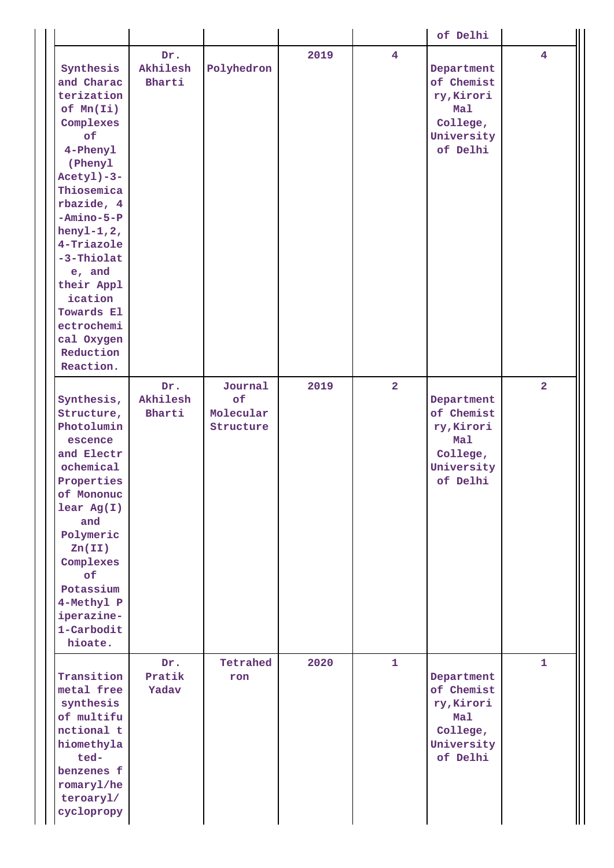|                                                                                                                                                                                                                                                                                                                |                           |                                         |      |                | of Delhi                                                                            |                |
|----------------------------------------------------------------------------------------------------------------------------------------------------------------------------------------------------------------------------------------------------------------------------------------------------------------|---------------------------|-----------------------------------------|------|----------------|-------------------------------------------------------------------------------------|----------------|
| Synthesis<br>and Charac<br>terization<br>$of$ Mn $(Ii)$<br>Complexes<br>of<br>4-Phenyl<br>(Phenyl<br>$Acety1)-3-$<br>Thiosemica<br>rbazide, 4<br>$-Amino-5-P$<br>henyl-1,2,<br>4-Triazole<br>-3-Thiolat<br>e, and<br>their Appl<br>ication<br>Towards El<br>ectrochemi<br>cal Oxygen<br>Reduction<br>Reaction. | Dr.<br>Akhilesh<br>Bharti | Polyhedron                              | 2019 | $\overline{4}$ | Department<br>of Chemist<br>ry, Kirori<br>Mal<br>College,<br>University<br>of Delhi | 4              |
| Synthesis,<br>Structure,<br>Photolumin<br>escence<br>and Electr<br>ochemical<br>Properties<br>of Mononuc<br>$lear$ Ag(I)<br>and<br>Polymeric<br>Zn(II)<br>Complexes<br>of<br>Potassium<br>4-Methyl P<br>iperazine-<br>1-Carbodit<br>hioate.                                                                    | Dr.<br>Akhilesh<br>Bharti | Journal<br>of<br>Molecular<br>Structure | 2019 | $\overline{2}$ | Department<br>of Chemist<br>ry, Kirori<br>Mal<br>College,<br>University<br>of Delhi | $\overline{2}$ |
| Transition<br>metal free<br>synthesis<br>of multifu<br>nctional t<br>hiomethyla<br>ted-<br>benzenes f<br>romaryl/he<br>teroaryl/<br>cyclopropy                                                                                                                                                                 | Dr.<br>Pratik<br>Yadav    | Tetrahed<br>ron                         | 2020 | $\mathbf{1}$   | Department<br>of Chemist<br>ry, Kirori<br>Mal<br>College,<br>University<br>of Delhi | $\mathbf{1}$   |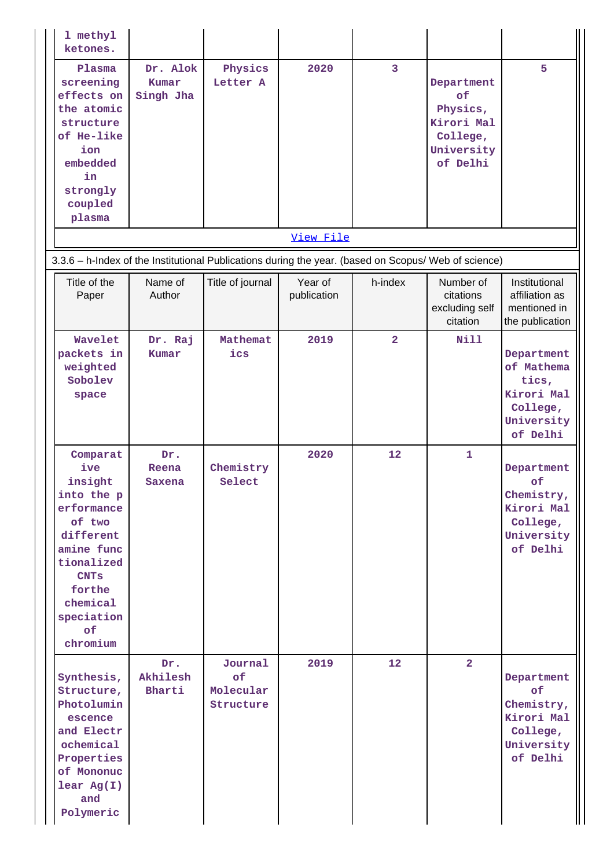| 1 methyl<br>ketones.                                                                                                                                                           |                                |                                         |                        |                |                                                                                         |                                                                                           |
|--------------------------------------------------------------------------------------------------------------------------------------------------------------------------------|--------------------------------|-----------------------------------------|------------------------|----------------|-----------------------------------------------------------------------------------------|-------------------------------------------------------------------------------------------|
| Plasma<br>screening<br>effects on<br>the atomic<br>structure<br>of He-like<br>ion<br>embedded<br>in<br>strongly<br>coupled<br>plasma                                           | Dr. Alok<br>Kumar<br>Singh Jha | Physics<br>Letter A                     | 2020                   | $\overline{3}$ | Department<br><b>of</b><br>Physics,<br>Kirori Mal<br>College,<br>University<br>of Delhi | 5                                                                                         |
|                                                                                                                                                                                |                                |                                         | View File              |                |                                                                                         |                                                                                           |
| 3.3.6 - h-Index of the Institutional Publications during the year. (based on Scopus/ Web of science)                                                                           |                                |                                         |                        |                |                                                                                         |                                                                                           |
| Title of the<br>Paper                                                                                                                                                          | Name of<br>Author              | Title of journal                        | Year of<br>publication | h-index        | Number of<br>citations<br>excluding self<br>citation                                    | Institutional<br>affiliation as<br>mentioned in<br>the publication                        |
| Wavelet<br>packets in<br>weighted<br>Sobolev<br>space                                                                                                                          | Dr. Raj<br>Kumar               | Mathemat<br>ics                         | 2019                   | $\overline{2}$ | <b>Nill</b>                                                                             | Department<br>of Mathema<br>tics,<br>Kirori Mal<br>College,<br>University<br>of Delhi     |
| Comparat<br>ive<br>insight<br>into the p<br>erformance<br>of two<br>different<br>amine func<br>tionalized<br><b>CNTs</b><br>forthe<br>chemical<br>speciation<br>of<br>chromium | Dr.<br>Reena<br>Saxena         | Chemistry<br>Select                     | 2020                   | 12             | 1                                                                                       | Department<br><b>of</b><br>Chemistry,<br>Kirori Mal<br>College,<br>University<br>of Delhi |
| Synthesis,<br>Structure,<br>Photolumin<br>escence<br>and Electr<br>ochemical<br>Properties<br>of Mononuc<br>$lear$ Ag(I)<br>and<br>Polymeric                                   | Dr.<br>Akhilesh<br>Bharti      | Journal<br>of<br>Molecular<br>Structure | 2019                   | 12             | $\overline{2}$                                                                          | Department<br>of<br>Chemistry,<br>Kirori Mal<br>College,<br>University<br>of Delhi        |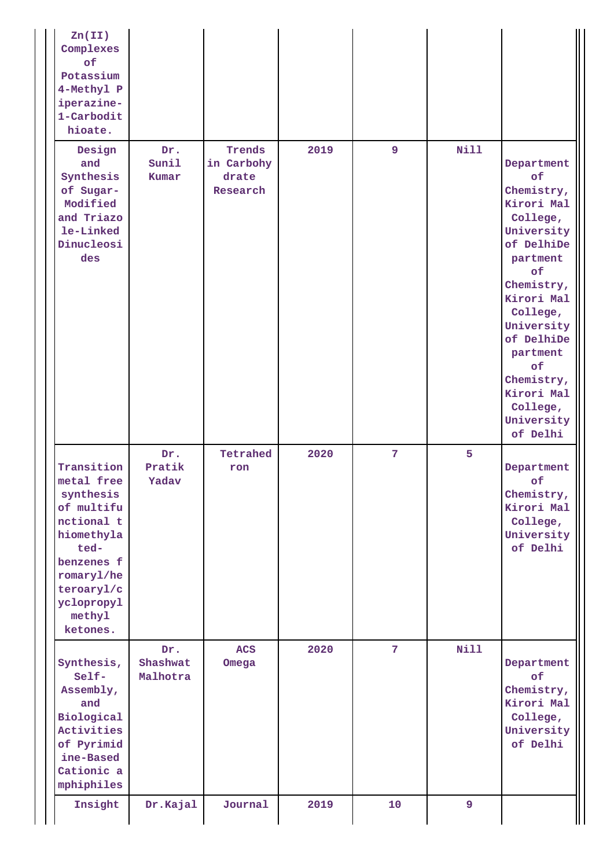| Zn(II)<br>Complexes<br>of<br>Potassium<br>4-Methyl P<br>iperazine-<br>1-Carbodit<br>hioate.                                                                           |                             |                                           |      |                |             |                                                                                                                                                                                                                                                                |
|-----------------------------------------------------------------------------------------------------------------------------------------------------------------------|-----------------------------|-------------------------------------------|------|----------------|-------------|----------------------------------------------------------------------------------------------------------------------------------------------------------------------------------------------------------------------------------------------------------------|
| Design<br>and<br>Synthesis<br>of Sugar-<br>Modified<br>and Triazo<br>le-Linked<br>Dinucleosi<br>des                                                                   | Dr.<br>Sunil<br>Kumar       | Trends<br>in Carbohy<br>drate<br>Research | 2019 | $\overline{9}$ | <b>Nill</b> | Department<br>of<br>Chemistry,<br>Kirori Mal<br>College,<br>University<br>of DelhiDe<br>partment<br>of<br>Chemistry,<br>Kirori Mal<br>College,<br>University<br>of DelhiDe<br>partment<br>of<br>Chemistry,<br>Kirori Mal<br>College,<br>University<br>of Delhi |
| Transition<br>metal free<br>synthesis<br>of multifu<br>nctional t<br>hiomethyla<br>ted-<br>benzenes f<br>romaryl/he<br>teroaryl/c<br>yclopropyl<br>methyl<br>ketones. | Dr.<br>Pratik<br>Yadav      | Tetrahed<br>ron                           | 2020 | 7 <sup>1</sup> | 5           | Department<br>of<br>Chemistry,<br>Kirori Mal<br>College,<br>University<br>of Delhi                                                                                                                                                                             |
| Synthesis,<br>Self-<br>Assembly,<br>and<br>Biological<br>Activities<br>of Pyrimid<br>ine-Based<br>Cationic a<br>mphiphiles                                            | Dr.<br>Shashwat<br>Malhotra | <b>ACS</b><br>Omega                       | 2020 | 7 <sup>1</sup> | <b>Nill</b> | Department<br>of<br>Chemistry,<br>Kirori Mal<br>College,<br>University<br>of Delhi                                                                                                                                                                             |
| Insight                                                                                                                                                               | Dr.Kajal                    | Journal                                   | 2019 | 10             | 9           |                                                                                                                                                                                                                                                                |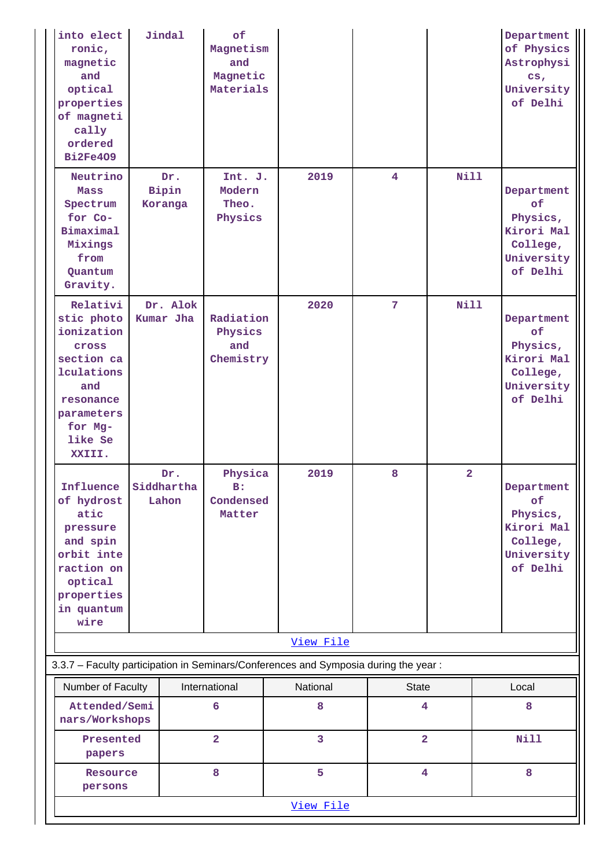| into elect<br>ronic,<br>magnetic<br>and<br>optical<br>properties<br>of magneti<br>cally<br>ordered<br><b>Bi2Fe409</b>                              | Jindal                  | of<br>Magnetism<br>and<br>Magnetic<br>Materials |                                                                                     |                                         |                | Department<br>of Physics<br>Astrophysi<br>cs <sub>r</sub><br>University<br>of Delhi |
|----------------------------------------------------------------------------------------------------------------------------------------------------|-------------------------|-------------------------------------------------|-------------------------------------------------------------------------------------|-----------------------------------------|----------------|-------------------------------------------------------------------------------------|
| Neutrino<br>Mass<br>Spectrum<br>for Co-<br>Bimaximal<br>Mixings<br>from<br>Quantum<br>Gravity.                                                     | Dr.<br>Bipin<br>Koranga | Int. J.<br>Modern<br>Theo.<br>Physics           | 2019                                                                                | $\overline{4}$                          | <b>Nill</b>    | Department<br>of<br>Physics,<br>Kirori Mal<br>College,<br>University<br>of Delhi    |
| Relativi<br>stic photo<br>ionization<br><b>Cross</b><br>section ca<br>lculations<br>and<br>resonance<br>parameters<br>for Mg-<br>like Se<br>XXIII. | Dr. Alok<br>Kumar Jha   | Radiation<br>Physics<br>and<br>Chemistry        | 2020                                                                                | 7 <sup>1</sup>                          | <b>Nill</b>    | Department<br>of<br>Physics,<br>Kirori Mal<br>College,<br>University<br>of Delhi    |
| Influence Siddhartha<br>of hydrost<br>atic<br>pressure<br>and spin<br>orbit inte<br>raction on<br>optical<br>properties<br>in quantum<br>wire      | Dr.<br>Lahon            | Physica<br>$B$ :<br>Condensed<br>Matter         | 2019                                                                                | 8                                       | $\overline{a}$ | Department<br>of<br>Physics,<br>Kirori Mal<br>College,<br>University<br>of Delhi    |
|                                                                                                                                                    |                         |                                                 | View File                                                                           |                                         |                |                                                                                     |
|                                                                                                                                                    |                         |                                                 | 3.3.7 - Faculty participation in Seminars/Conferences and Symposia during the year: |                                         |                |                                                                                     |
| Number of Faculty<br>Attended/Semi                                                                                                                 |                         | International<br>6                              | National<br>8                                                                       | <b>State</b><br>$\overline{\mathbf{4}}$ |                | Local<br>8                                                                          |
| nars/Workshops<br>Presented                                                                                                                        |                         | $\overline{2}$                                  | 3                                                                                   | $\overline{\mathbf{2}}$                 |                | <b>Nill</b>                                                                         |
| papers                                                                                                                                             |                         |                                                 |                                                                                     |                                         |                |                                                                                     |
| Resource<br>persons                                                                                                                                |                         | 8                                               | 5                                                                                   | 4                                       |                | 8                                                                                   |
|                                                                                                                                                    |                         |                                                 | View File                                                                           |                                         |                |                                                                                     |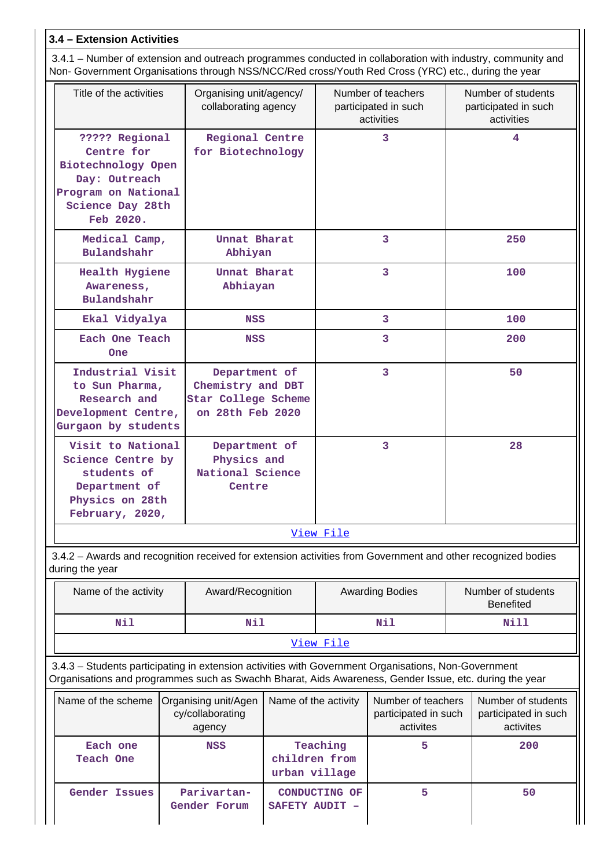# **3.4 – Extension Activities**

 3.4.1 – Number of extension and outreach programmes conducted in collaboration with industry, community and Non- Government Organisations through NSS/NCC/Red cross/Youth Red Cross (YRC) etc., during the year

| Title of the activities                                                                                                                                                                                        | Organising unit/agency/<br>collaborating agency |                                |                                                         | Number of teachers<br>participated in such<br>activities | Number of students<br>participated in such<br>activities |  |
|----------------------------------------------------------------------------------------------------------------------------------------------------------------------------------------------------------------|-------------------------------------------------|--------------------------------|---------------------------------------------------------|----------------------------------------------------------|----------------------------------------------------------|--|
| ????? Regional<br>Regional Centre<br>Centre for<br>for Biotechnology<br>Biotechnology Open<br>Day: Outreach<br>Program on National<br>Science Day 28th<br>Feb 2020.                                            |                                                 |                                |                                                         | 3                                                        | 4                                                        |  |
| Medical Camp,<br>Bulandshahr                                                                                                                                                                                   | Unnat Bharat<br>Abhiyan                         |                                |                                                         | $\overline{3}$                                           | 250                                                      |  |
| Awareness,<br>Bulandshahr                                                                                                                                                                                      | Unnat Bharat<br>Health Hygiene<br>Abhiayan      |                                |                                                         | 3                                                        | 100                                                      |  |
| Ekal Vidyalya                                                                                                                                                                                                  | NSS                                             |                                |                                                         | 3                                                        | 100                                                      |  |
| Each One Teach<br><b>One</b>                                                                                                                                                                                   | <b>NSS</b>                                      |                                |                                                         | 3                                                        | 200                                                      |  |
| Industrial Visit<br>Department of<br>Chemistry and DBT<br>to Sun Pharma,<br>Research and<br>Star College Scheme<br>Development Centre,<br>on 28th Feb 2020<br>Gurgaon by students                              |                                                 |                                |                                                         | 3                                                        | 50                                                       |  |
| Visit to National<br>Department of<br>Physics and<br>Science Centre by<br>National Science<br>students of<br>Department of<br>Centre<br>Physics on 28th<br>February, 2020,                                     |                                                 |                                | 3                                                       |                                                          | 28                                                       |  |
|                                                                                                                                                                                                                |                                                 |                                | View File                                               |                                                          |                                                          |  |
| 3.4.2 - Awards and recognition received for extension activities from Government and other recognized bodies<br>during the year                                                                                |                                                 |                                |                                                         |                                                          |                                                          |  |
| Name of the activity                                                                                                                                                                                           | Award/Recognition                               |                                |                                                         | <b>Awarding Bodies</b>                                   | Number of students<br><b>Benefited</b>                   |  |
| Nil                                                                                                                                                                                                            | Nil                                             |                                |                                                         | Nil                                                      | Nill                                                     |  |
|                                                                                                                                                                                                                |                                                 |                                | View File                                               |                                                          |                                                          |  |
| 3.4.3 - Students participating in extension activities with Government Organisations, Non-Government<br>Organisations and programmes such as Swachh Bharat, Aids Awareness, Gender Issue, etc. during the year |                                                 |                                |                                                         |                                                          |                                                          |  |
| Name of the scheme<br>Organising unit/Agen                                                                                                                                                                     | Name of the activity                            |                                | Number of teachers<br>participated in such<br>activites | Number of students<br>participated in such<br>activites  |                                                          |  |
| Each one<br>Teach One                                                                                                                                                                                          | NSS                                             | children from<br>urban village | Teaching                                                | 5                                                        | 200                                                      |  |
| <b>Gender Issues</b>                                                                                                                                                                                           | Parivartan-<br>Gender Forum                     | SAFETY AUDIT -                 | CONDUCTING OF                                           | 5                                                        | 50                                                       |  |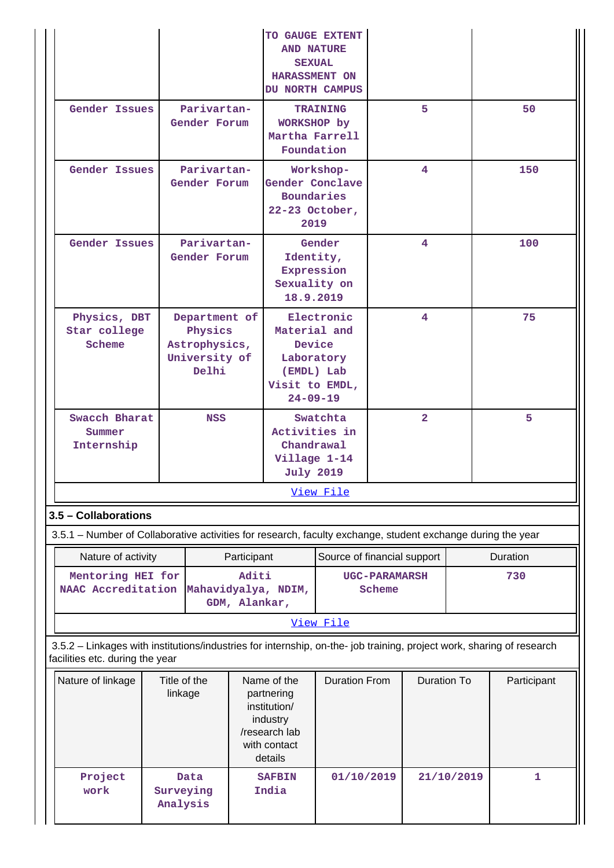|                                                                                                                                                          |                         |                                                                     |                        | TO GAUGE EXTENT<br><b>AND NATURE</b><br><b>SEXUAL</b><br>HARASSMENT ON<br>DU NORTH CAMPUS         |                             |                                |                    |            |              |
|----------------------------------------------------------------------------------------------------------------------------------------------------------|-------------------------|---------------------------------------------------------------------|------------------------|---------------------------------------------------------------------------------------------------|-----------------------------|--------------------------------|--------------------|------------|--------------|
| <b>Gender Issues</b>                                                                                                                                     |                         | Parivartan-<br>Gender Forum                                         |                        | WORKSHOP by<br>Martha Farrell<br>Foundation                                                       | <b>TRAINING</b>             |                                | 5                  |            | 50           |
| Gender Issues                                                                                                                                            |                         | Parivartan-<br>Gender Forum                                         |                        | Workshop-<br>Gender Conclave<br><b>Boundaries</b><br>22-23 October,<br>2019                       |                             |                                | 4                  |            | 150          |
| <b>Gender Issues</b>                                                                                                                                     |                         | Parivartan-<br>Gender Forum                                         |                        | Identity,<br>Expression<br>Sexuality on<br>18.9.2019                                              | Gender                      |                                | 4                  |            | 100          |
| Physics, DBT<br>Star college<br>Scheme                                                                                                                   |                         | Department of<br>Physics<br>Astrophysics,<br>University of<br>Delhi |                        | Material and<br>Device<br>Laboratory<br>Visit to EMDL,<br>$24 - 09 - 19$                          | Electronic<br>(EMDL) Lab    | 4                              |                    |            | 75           |
| <b>Swacch Bharat</b><br>Summer<br>Internship                                                                                                             |                         | <b>NSS</b>                                                          |                        | Activities in<br>Chandrawal<br>Village 1-14<br><b>July 2019</b>                                   | Swatchta                    | $\overline{2}$                 |                    |            | 5            |
|                                                                                                                                                          |                         |                                                                     |                        |                                                                                                   | View File                   |                                |                    |            |              |
| 3.5 - Collaborations                                                                                                                                     |                         |                                                                     |                        |                                                                                                   |                             |                                |                    |            |              |
| 3.5.1 – Number of Collaborative activities for research, faculty exchange, student exchange during the year                                              |                         |                                                                     |                        |                                                                                                   |                             |                                |                    |            |              |
| Nature of activity                                                                                                                                       |                         |                                                                     | Participant            |                                                                                                   | Source of financial support |                                |                    |            | Duration     |
| Mentoring HEI for<br>NAAC Accreditation                                                                                                                  |                         |                                                                     | Aditi<br>GDM, Alankar, | Mahavidyalya, NDIM,                                                                               |                             | <b>UGC-PARAMARSH</b><br>Scheme |                    |            | 730          |
|                                                                                                                                                          |                         |                                                                     |                        |                                                                                                   | View File                   |                                |                    |            |              |
| 3.5.2 - Linkages with institutions/industries for internship, on-the- job training, project work, sharing of research<br>facilities etc. during the year |                         |                                                                     |                        |                                                                                                   |                             |                                |                    |            |              |
| Nature of linkage                                                                                                                                        | Title of the<br>linkage |                                                                     |                        | Name of the<br>partnering<br>institution/<br>industry<br>/research lab<br>with contact<br>details | <b>Duration From</b>        |                                | <b>Duration To</b> |            | Participant  |
| Project<br>work                                                                                                                                          | Surveying<br>Analysis   | Data                                                                |                        | <b>SAFBIN</b><br>India                                                                            | 01/10/2019                  |                                |                    | 21/10/2019 | $\mathbf{1}$ |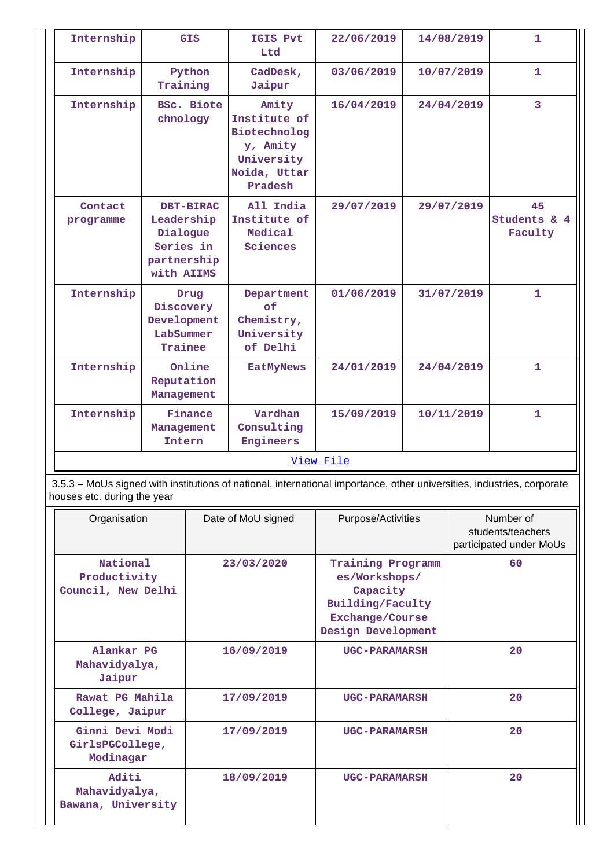| Internship                                      |                                                                  | <b>GIS</b>        | IGIS Pvt<br>Ltd                                                                            | 22/06/2019                                                                                                             |  | 14/08/2019 | 1                                                         |  |
|-------------------------------------------------|------------------------------------------------------------------|-------------------|--------------------------------------------------------------------------------------------|------------------------------------------------------------------------------------------------------------------------|--|------------|-----------------------------------------------------------|--|
| Internship                                      | Training                                                         | Python            | CadDesk,<br>Jaipur                                                                         | 03/06/2019                                                                                                             |  | 10/07/2019 | 1.                                                        |  |
| Internship                                      | chnology                                                         | <b>BSc. Biote</b> | Amity<br>Institute of<br>Biotechnolog<br>y, Amity<br>University<br>Noida, Uttar<br>Pradesh | 16/04/2019                                                                                                             |  | 24/04/2019 | 3                                                         |  |
| Contact<br>programme                            | Leadership<br>Dialogue<br>Series in<br>partnership<br>with AIIMS | <b>DBT-BIRAC</b>  | All India<br>Institute of<br>Medical<br>Sciences                                           | 29/07/2019                                                                                                             |  | 29/07/2019 | 45<br>Students & 4<br>Faculty                             |  |
| Internship                                      | Discovery<br>Development<br>LabSummer<br>Trainee                 | Drug              | Department<br>of<br>Chemistry,<br>University<br>of Delhi                                   | 01/06/2019                                                                                                             |  | 31/07/2019 | 1                                                         |  |
| Internship                                      | Reputation<br>Management                                         | Online            | <b>EatMyNews</b>                                                                           | 24/01/2019                                                                                                             |  | 24/04/2019 | $\mathbf{1}$                                              |  |
| Internship                                      | Management<br>Intern                                             | Finance           | Vardhan<br>Consulting<br>Engineers                                                         | 15/09/2019                                                                                                             |  | 10/11/2019 | 1                                                         |  |
|                                                 |                                                                  |                   |                                                                                            | View File                                                                                                              |  |            |                                                           |  |
| houses etc. during the year                     |                                                                  |                   |                                                                                            | 3.5.3 – MoUs signed with institutions of national, international importance, other universities, industries, corporate |  |            |                                                           |  |
| Organisation                                    |                                                                  |                   | Date of MoU signed                                                                         | Purpose/Activities                                                                                                     |  |            | Number of<br>students/teachers<br>participated under MoUs |  |
| National<br>Productivity<br>Council, New Delhi  |                                                                  |                   | 23/03/2020                                                                                 | Training Programm<br>es/Workshops/<br>Capacity<br>Building/Faculty<br>Exchange/Course<br>Design Development            |  |            | 60                                                        |  |
| Alankar PG<br>Mahavidyalya,<br>Jaipur           |                                                                  |                   | 16/09/2019                                                                                 | <b>UGC-PARAMARSH</b>                                                                                                   |  |            | 20                                                        |  |
| Rawat PG Mahila<br>College, Jaipur              |                                                                  |                   | 17/09/2019                                                                                 | <b>UGC-PARAMARSH</b>                                                                                                   |  |            | 20                                                        |  |
| Ginni Devi Modi<br>GirlsPGCollege,<br>Modinagar |                                                                  |                   | 17/09/2019                                                                                 | <b>UGC-PARAMARSH</b>                                                                                                   |  |            | 20                                                        |  |
| Aditi<br>Mahavidyalya,<br>Bawana, University    |                                                                  |                   | 18/09/2019                                                                                 | <b>UGC-PARAMARSH</b>                                                                                                   |  |            | 20                                                        |  |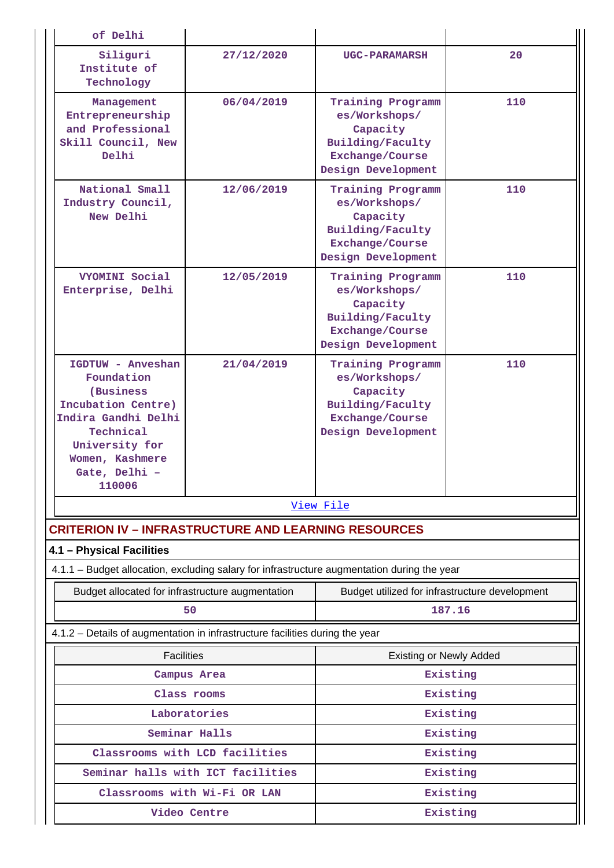| of Delhi                                                                                                                                                               |                                   |                                                                                                             |          |  |  |  |
|------------------------------------------------------------------------------------------------------------------------------------------------------------------------|-----------------------------------|-------------------------------------------------------------------------------------------------------------|----------|--|--|--|
| Siliguri<br>Institute of<br>Technology                                                                                                                                 | 27/12/2020                        | <b>UGC-PARAMARSH</b>                                                                                        | 20       |  |  |  |
| Management<br>Entrepreneurship<br>and Professional<br>Skill Council, New<br>Delhi                                                                                      | 06/04/2019                        | Training Programm<br>es/Workshops/<br>Capacity<br>Building/Faculty<br>Exchange/Course<br>Design Development | 110      |  |  |  |
| National Small<br>Industry Council,<br>New Delhi                                                                                                                       | 12/06/2019                        | Training Programm<br>es/Workshops/<br>Capacity<br>Building/Faculty<br>Exchange/Course<br>Design Development | 110      |  |  |  |
| <b>VYOMINI Social</b><br>Enterprise, Delhi                                                                                                                             | 12/05/2019                        | Training Programm<br>es/Workshops/<br>Capacity<br>Building/Faculty<br>Exchange/Course<br>Design Development | 110      |  |  |  |
| IGDTUW - Anveshan<br>Foundation<br>(Business<br>Incubation Centre)<br>Indira Gandhi Delhi<br>Technical<br>University for<br>Women, Kashmere<br>Gate, Delhi -<br>110006 | 21/04/2019                        | Training Programm<br>es/Workshops/<br>Capacity<br>Building/Faculty<br>Exchange/Course<br>Design Development | 110      |  |  |  |
|                                                                                                                                                                        |                                   | View File                                                                                                   |          |  |  |  |
| <b>CRITERION IV - INFRASTRUCTURE AND LEARNING RESOURCES</b>                                                                                                            |                                   |                                                                                                             |          |  |  |  |
| 4.1 - Physical Facilities                                                                                                                                              |                                   |                                                                                                             |          |  |  |  |
| 4.1.1 - Budget allocation, excluding salary for infrastructure augmentation during the year                                                                            |                                   |                                                                                                             |          |  |  |  |
| Budget allocated for infrastructure augmentation                                                                                                                       | 50                                | Budget utilized for infrastructure development<br>187.16                                                    |          |  |  |  |
| 4.1.2 - Details of augmentation in infrastructure facilities during the year                                                                                           |                                   |                                                                                                             |          |  |  |  |
| <b>Facilities</b>                                                                                                                                                      |                                   | <b>Existing or Newly Added</b>                                                                              |          |  |  |  |
|                                                                                                                                                                        | Campus Area                       |                                                                                                             | Existing |  |  |  |
|                                                                                                                                                                        | Class rooms                       |                                                                                                             | Existing |  |  |  |
|                                                                                                                                                                        | Laboratories                      | Existing                                                                                                    |          |  |  |  |
|                                                                                                                                                                        | Seminar Halls                     |                                                                                                             | Existing |  |  |  |
|                                                                                                                                                                        | Classrooms with LCD facilities    | Existing                                                                                                    |          |  |  |  |
|                                                                                                                                                                        | Seminar halls with ICT facilities |                                                                                                             | Existing |  |  |  |
|                                                                                                                                                                        | Classrooms with Wi-Fi OR LAN      |                                                                                                             | Existing |  |  |  |
|                                                                                                                                                                        | Video Centre                      | Existing                                                                                                    |          |  |  |  |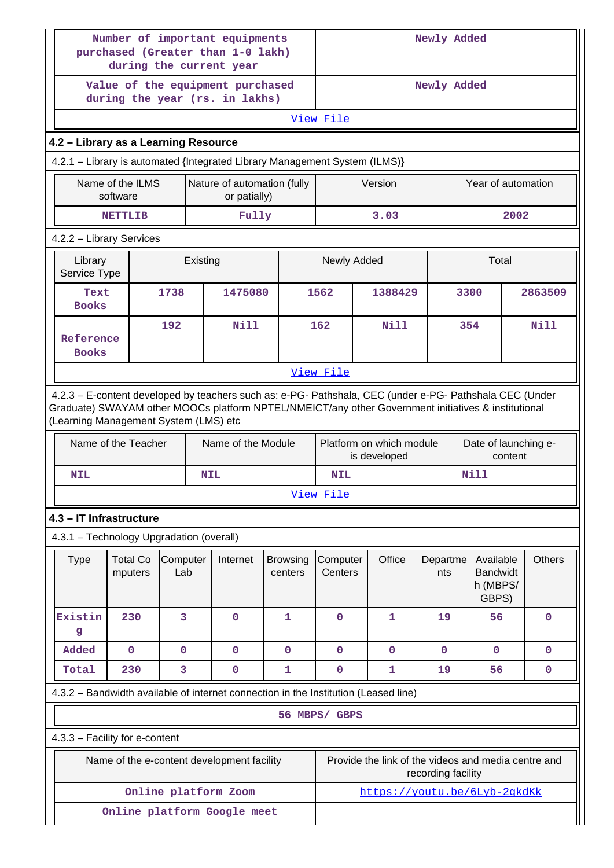|                                          |                                                             |                 | Number of important equipments<br>purchased (Greater than 1-0 lakh)<br>during the current year                                                                                                                 |                            | Newly Added                            |                                                     |                 |                    |                                                   |                      |
|------------------------------------------|-------------------------------------------------------------|-----------------|----------------------------------------------------------------------------------------------------------------------------------------------------------------------------------------------------------------|----------------------------|----------------------------------------|-----------------------------------------------------|-----------------|--------------------|---------------------------------------------------|----------------------|
|                                          |                                                             |                 | Value of the equipment purchased<br>during the year (rs. in lakhs)                                                                                                                                             |                            | Newly Added                            |                                                     |                 |                    |                                                   |                      |
|                                          |                                                             |                 |                                                                                                                                                                                                                |                            | View File                              |                                                     |                 |                    |                                                   |                      |
| 4.2 - Library as a Learning Resource     |                                                             |                 |                                                                                                                                                                                                                |                            |                                        |                                                     |                 |                    |                                                   |                      |
|                                          |                                                             |                 | 4.2.1 - Library is automated {Integrated Library Management System (ILMS)}                                                                                                                                     |                            |                                        |                                                     |                 |                    |                                                   |                      |
|                                          | Name of the ILMS<br>software                                |                 | Nature of automation (fully<br>or patially)                                                                                                                                                                    |                            |                                        | Version                                             |                 |                    | Year of automation                                |                      |
|                                          | Fully<br><b>NETTLIB</b>                                     |                 |                                                                                                                                                                                                                |                            |                                        | 3.03                                                |                 |                    |                                                   | 2002                 |
| 4.2.2 - Library Services                 |                                                             |                 |                                                                                                                                                                                                                |                            |                                        |                                                     |                 |                    |                                                   |                      |
|                                          | Newly Added<br>Total<br>Library<br>Existing<br>Service Type |                 |                                                                                                                                                                                                                |                            |                                        |                                                     |                 |                    |                                                   |                      |
| Text<br><b>Books</b>                     |                                                             | 1738            | 1475080                                                                                                                                                                                                        |                            | 1562                                   | 1388429                                             |                 | 3300               |                                                   | 2863509              |
| Reference<br><b>Books</b>                |                                                             | 192             | Nill                                                                                                                                                                                                           |                            | 162                                    | Nill                                                |                 | 354                |                                                   | Nill                 |
|                                          | View File                                                   |                 |                                                                                                                                                                                                                |                            |                                        |                                                     |                 |                    |                                                   |                      |
| (Learning Management System (LMS) etc    |                                                             |                 | 4.2.3 - E-content developed by teachers such as: e-PG- Pathshala, CEC (under e-PG- Pathshala CEC (Under<br>Graduate) SWAYAM other MOOCs platform NPTEL/NMEICT/any other Government initiatives & institutional |                            |                                        |                                                     |                 |                    |                                                   |                      |
|                                          | Name of the Teacher                                         |                 | Name of the Module                                                                                                                                                                                             |                            |                                        | Platform on which module<br>is developed            |                 |                    | content                                           | Date of launching e- |
| <b>NIL</b>                               |                                                             |                 | <b>NIL</b>                                                                                                                                                                                                     |                            | <b>Nill</b><br><b>NIL</b><br>View File |                                                     |                 |                    |                                                   |                      |
| 4.3 - IT Infrastructure                  |                                                             |                 |                                                                                                                                                                                                                |                            |                                        |                                                     |                 |                    |                                                   |                      |
| 4.3.1 - Technology Upgradation (overall) |                                                             |                 |                                                                                                                                                                                                                |                            |                                        |                                                     |                 |                    |                                                   |                      |
| <b>Type</b>                              | <b>Total Co</b><br>mputers                                  | Computer<br>Lab | Internet                                                                                                                                                                                                       | <b>Browsing</b><br>centers | Computer<br>Centers                    | Office                                              | Departme<br>nts |                    | Available<br><b>Bandwidt</b><br>h (MBPS/<br>GBPS) | <b>Others</b>        |
| Existin<br>$\mathbf{g}$                  | 230                                                         | 3               | $\mathbf{0}$                                                                                                                                                                                                   | 1                          | $\mathbf 0$                            | 1                                                   | 19              |                    | 56                                                | $\mathbf 0$          |
| Added                                    | $\mathbf 0$                                                 | $\mathbf{O}$    | $\mathbf{O}$                                                                                                                                                                                                   | $\mathbf{0}$               | $\mathbf 0$                            | $\mathbf 0$                                         | $\mathbf 0$     |                    | $\mathbf 0$                                       | $\mathbf 0$          |
| Total                                    | 230                                                         | 3               | $\mathbf 0$                                                                                                                                                                                                    | 1                          | $\mathbf 0$                            | 1                                                   | 19              |                    | 56                                                | $\mathbf 0$          |
|                                          |                                                             |                 | 4.3.2 - Bandwidth available of internet connection in the Institution (Leased line)                                                                                                                            |                            |                                        |                                                     |                 |                    |                                                   |                      |
|                                          |                                                             |                 |                                                                                                                                                                                                                |                            | 56 MBPS/ GBPS                          |                                                     |                 |                    |                                                   |                      |
| 4.3.3 - Facility for e-content           |                                                             |                 |                                                                                                                                                                                                                |                            |                                        |                                                     |                 |                    |                                                   |                      |
|                                          |                                                             |                 | Name of the e-content development facility                                                                                                                                                                     |                            |                                        | Provide the link of the videos and media centre and |                 | recording facility |                                                   |                      |
|                                          |                                                             |                 | Online platform Zoom                                                                                                                                                                                           |                            |                                        | https://youtu.be/6Lyb-2qkdKk                        |                 |                    |                                                   |                      |
|                                          |                                                             |                 | Online platform Google meet                                                                                                                                                                                    |                            |                                        |                                                     |                 |                    |                                                   |                      |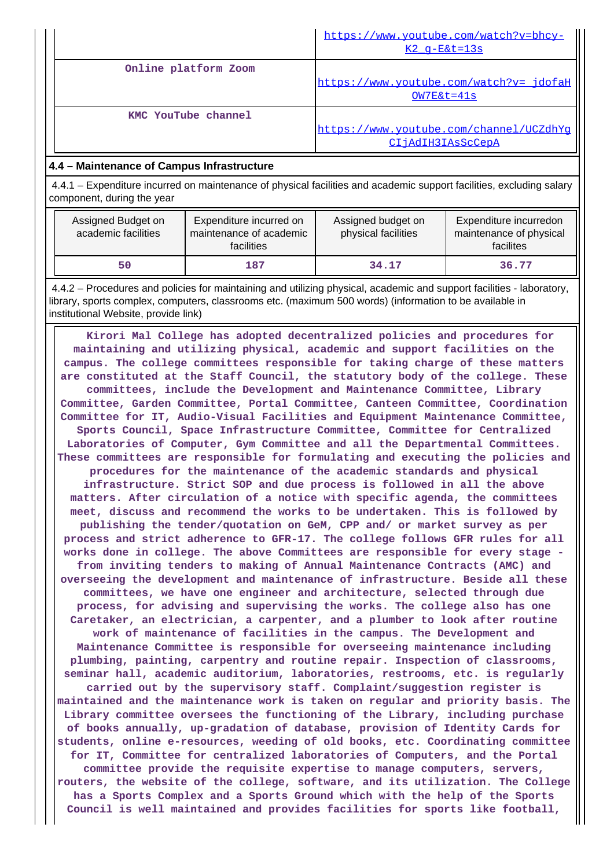|                      | https://www.youtube.com/watch?v=bhcy-<br>$K2$ q-E&t=13s      |
|----------------------|--------------------------------------------------------------|
| Online platform Zoom |                                                              |
|                      | https://www.youtube.com/watch?v= jdofaH<br>$OW7E&t=41s$      |
| KMC YouTube channel  | https://www.youtube.com/channel/UCZdhYq<br>CIjAdIH3IAsScCepA |

# **4.4 – Maintenance of Campus Infrastructure**

 4.4.1 – Expenditure incurred on maintenance of physical facilities and academic support facilities, excluding salary component, during the year

| Assigned Budget on<br>academic facilities | Expenditure incurred on<br>maintenance of academic<br>facilities | Assigned budget on<br>physical facilities | Expenditure incurredon<br>maintenance of physical<br>facilites |
|-------------------------------------------|------------------------------------------------------------------|-------------------------------------------|----------------------------------------------------------------|
| 50                                        | 187                                                              | 34.17                                     | 36.77                                                          |

 4.4.2 – Procedures and policies for maintaining and utilizing physical, academic and support facilities - laboratory, library, sports complex, computers, classrooms etc. (maximum 500 words) (information to be available in institutional Website, provide link)

 **Kirori Mal College has adopted decentralized policies and procedures for maintaining and utilizing physical, academic and support facilities on the campus. The college committees responsible for taking charge of these matters are constituted at the Staff Council, the statutory body of the college. These committees, include the Development and Maintenance Committee, Library Committee, Garden Committee, Portal Committee, Canteen Committee, Coordination Committee for IT, Audio-Visual Facilities and Equipment Maintenance Committee, Sports Council, Space Infrastructure Committee, Committee for Centralized Laboratories of Computer, Gym Committee and all the Departmental Committees. These committees are responsible for formulating and executing the policies and procedures for the maintenance of the academic standards and physical infrastructure. Strict SOP and due process is followed in all the above matters. After circulation of a notice with specific agenda, the committees meet, discuss and recommend the works to be undertaken. This is followed by publishing the tender/quotation on GeM, CPP and/ or market survey as per process and strict adherence to GFR-17. The college follows GFR rules for all works done in college. The above Committees are responsible for every stage from inviting tenders to making of Annual Maintenance Contracts (AMC) and overseeing the development and maintenance of infrastructure. Beside all these committees, we have one engineer and architecture, selected through due process, for advising and supervising the works. The college also has one Caretaker, an electrician, a carpenter, and a plumber to look after routine work of maintenance of facilities in the campus. The Development and Maintenance Committee is responsible for overseeing maintenance including plumbing, painting, carpentry and routine repair. Inspection of classrooms, seminar hall, academic auditorium, laboratories, restrooms, etc. is regularly carried out by the supervisory staff. Complaint/suggestion register is maintained and the maintenance work is taken on regular and priority basis. The Library committee oversees the functioning of the Library, including purchase of books annually, up-gradation of database, provision of Identity Cards for students, online e-resources, weeding of old books, etc. Coordinating committee for IT, Committee for centralized laboratories of Computers, and the Portal committee provide the requisite expertise to manage computers, servers, routers, the website of the college, software, and its utilization. The College has a Sports Complex and a Sports Ground which with the help of the Sports Council is well maintained and provides facilities for sports like football,**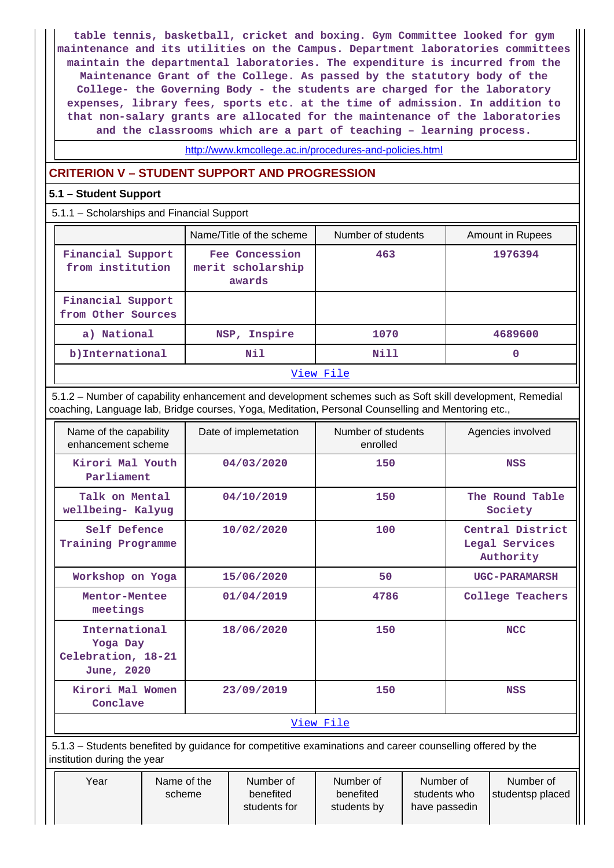**table tennis, basketball, cricket and boxing. Gym Committee looked for gym maintenance and its utilities on the Campus. Department laboratories committees maintain the departmental laboratories. The expenditure is incurred from the Maintenance Grant of the College. As passed by the statutory body of the College- the Governing Body - the students are charged for the laboratory expenses, library fees, sports etc. at the time of admission. In addition to that non-salary grants are allocated for the maintenance of the laboratories and the classrooms which are a part of teaching – learning process.**

http://www.kmcollege.ac.in/procedures-and-policies.html

# **CRITERION V – STUDENT SUPPORT AND PROGRESSION**

# **5.1 – Student Support**

5.1.1 – Scholarships and Financial Support

|                                         | Name/Title of the scheme                      | Number of students | Amount in Rupees |  |  |  |  |
|-----------------------------------------|-----------------------------------------------|--------------------|------------------|--|--|--|--|
| Financial Support<br>from institution   | Fee Concession<br>merit scholarship<br>awards | 463                | 1976394          |  |  |  |  |
| Financial Support<br>from Other Sources |                                               |                    |                  |  |  |  |  |
| a) National                             | NSP, Inspire                                  | 1070               | 4689600          |  |  |  |  |
| b) International                        | Nil                                           | Nill               | 0                |  |  |  |  |
|                                         | View File                                     |                    |                  |  |  |  |  |

# 5.1.2 – Number of capability enhancement and development schemes such as Soft skill development, Remedial coaching, Language lab, Bridge courses, Yoga, Meditation, Personal Counselling and Mentoring etc.,

| Name of the capability<br>enhancement scheme                  | Date of implemetation | Number of students<br>enrolled | Agencies involved                               |  |  |  |  |
|---------------------------------------------------------------|-----------------------|--------------------------------|-------------------------------------------------|--|--|--|--|
| Kirori Mal Youth<br>Parliament                                | 04/03/2020            | 150                            | <b>NSS</b>                                      |  |  |  |  |
| Talk on Mental<br>wellbeing- Kalyug                           | 04/10/2019            | 150                            | The Round Table<br>Society                      |  |  |  |  |
| Self Defence<br>Training Programme                            | 10/02/2020            | 100                            | Central District<br>Legal Services<br>Authority |  |  |  |  |
| Workshop on Yoga                                              | 15/06/2020            | 50                             | <b>UGC-PARAMARSH</b>                            |  |  |  |  |
| Mentor-Mentee<br>meetings                                     | 01/04/2019            | 4786                           | College Teachers                                |  |  |  |  |
| International<br>Yoga Day<br>Celebration, 18-21<br>June, 2020 | 18/06/2020            | 150                            | <b>NCC</b>                                      |  |  |  |  |
| Kirori Mal Women<br>Conclave                                  | 23/09/2019            | 150                            | <b>NSS</b>                                      |  |  |  |  |
|                                                               | View File             |                                |                                                 |  |  |  |  |

 5.1.3 – Students benefited by guidance for competitive examinations and career counselling offered by the institution during the year

| Year | Name of the<br>scheme | Number of<br>benefited<br>students for | Number of<br>benefited<br>students by | Number of<br>students who<br>have passedin | Number of<br>studentsp placed |
|------|-----------------------|----------------------------------------|---------------------------------------|--------------------------------------------|-------------------------------|
|      |                       |                                        |                                       |                                            |                               |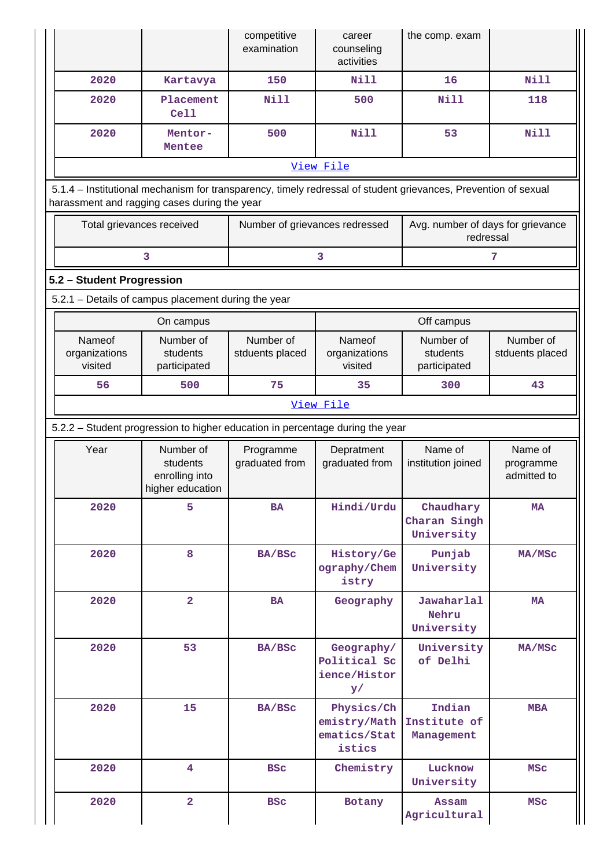|                                                                                                                                                                |                                                          | competitive<br>examination     | career<br>counseling<br>activities                   | the comp. exam                                 |                              |                               |                                     |  |  |  |
|----------------------------------------------------------------------------------------------------------------------------------------------------------------|----------------------------------------------------------|--------------------------------|------------------------------------------------------|------------------------------------------------|------------------------------|-------------------------------|-------------------------------------|--|--|--|
| 2020                                                                                                                                                           | Kartavya                                                 | 150                            | <b>Nill</b>                                          | 16                                             | Nill                         |                               |                                     |  |  |  |
| 2020                                                                                                                                                           | Placement<br><b>Cell</b>                                 | <b>Nill</b>                    | 500                                                  | <b>Nill</b>                                    | 118                          |                               |                                     |  |  |  |
| 2020                                                                                                                                                           | Mentor-<br>Mentee                                        | 500                            | <b>Nill</b>                                          | 53                                             | <b>Nill</b>                  |                               |                                     |  |  |  |
|                                                                                                                                                                |                                                          |                                | View File                                            |                                                |                              |                               |                                     |  |  |  |
| 5.1.4 - Institutional mechanism for transparency, timely redressal of student grievances, Prevention of sexual<br>harassment and ragging cases during the year |                                                          |                                |                                                      |                                                |                              |                               |                                     |  |  |  |
| Total grievances received                                                                                                                                      |                                                          | Number of grievances redressed |                                                      | Avg. number of days for grievance<br>redressal |                              |                               |                                     |  |  |  |
|                                                                                                                                                                | 3                                                        |                                | 3                                                    |                                                | 7                            |                               |                                     |  |  |  |
| 5.2 - Student Progression                                                                                                                                      |                                                          |                                |                                                      |                                                |                              |                               |                                     |  |  |  |
| 5.2.1 - Details of campus placement during the year                                                                                                            |                                                          |                                |                                                      |                                                |                              |                               |                                     |  |  |  |
|                                                                                                                                                                | On campus                                                |                                |                                                      | Off campus                                     |                              |                               |                                     |  |  |  |
| Nameof<br>organizations<br>visited                                                                                                                             | Number of<br>students<br>stduents placed<br>participated |                                | Nameof<br>organizations<br>visited                   | Number of<br>students<br>participated          | Number of<br>stduents placed |                               |                                     |  |  |  |
| 56                                                                                                                                                             | 500                                                      | 75                             | 35                                                   | 300                                            | 43                           |                               |                                     |  |  |  |
|                                                                                                                                                                |                                                          |                                | View File                                            |                                                |                              |                               |                                     |  |  |  |
| 5.2.2 - Student progression to higher education in percentage during the year                                                                                  |                                                          |                                |                                                      |                                                |                              |                               |                                     |  |  |  |
| Year                                                                                                                                                           | Number of<br>students<br>enrolling into                  |                                | Programme<br>graduated from<br>higher education      |                                                | Depratment<br>graduated from | Name of<br>institution joined | Name of<br>programme<br>admitted to |  |  |  |
| 2020                                                                                                                                                           | 5                                                        | <b>BA</b>                      | Hindi/Urdu                                           | Chaudhary<br>Charan Singh<br>University        | <b>MA</b>                    |                               |                                     |  |  |  |
| 2020                                                                                                                                                           | 8                                                        | <b>BA/BSC</b>                  | History/Ge<br>ography/Chem<br>istry                  | Punjab<br>University                           | MA/MSc                       |                               |                                     |  |  |  |
| 2020                                                                                                                                                           | $\overline{a}$                                           | <b>BA</b>                      | Geography                                            | Jawaharlal<br>Nehru<br>University              | <b>MA</b>                    |                               |                                     |  |  |  |
| 2020<br>53                                                                                                                                                     |                                                          | BA/BSc                         | Geography/<br>Political Sc<br>ience/Histor<br>y/     | University<br>of Delhi                         | MA/MSc                       |                               |                                     |  |  |  |
| 2020                                                                                                                                                           | 15                                                       | BA/BSC                         | Physics/Ch<br>emistry/Math<br>ematics/Stat<br>istics | Indian<br>Institute of<br>Management           | <b>MBA</b>                   |                               |                                     |  |  |  |
| 2020                                                                                                                                                           | $\overline{4}$                                           | <b>BSC</b>                     | Chemistry                                            | Lucknow<br>University                          | <b>MSC</b>                   |                               |                                     |  |  |  |
| 2020                                                                                                                                                           | $\overline{\mathbf{2}}$                                  | <b>BSC</b>                     | Botany                                               | <b>Assam</b><br>Agricultural                   | <b>MSC</b>                   |                               |                                     |  |  |  |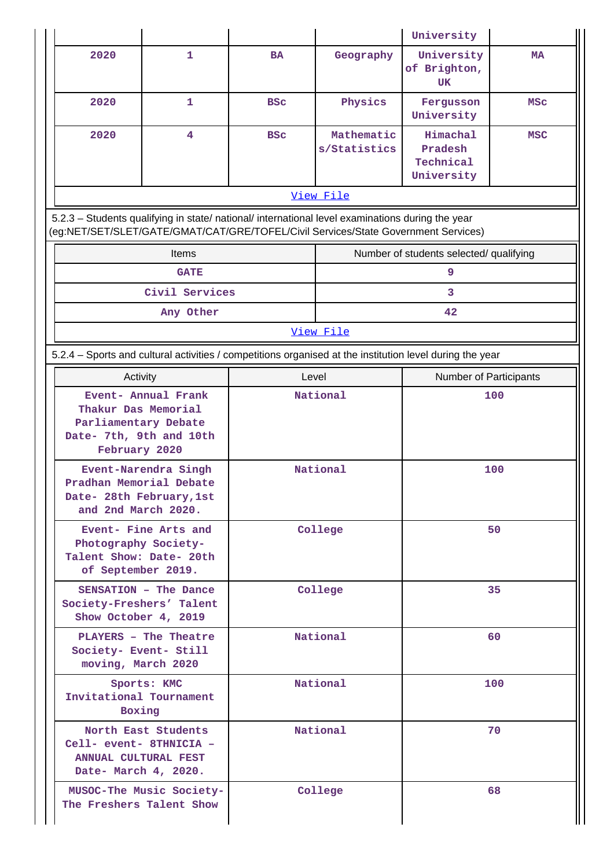|                                                                                                                                                                                        |                                                              |            |                            | University                                     |            |  |
|----------------------------------------------------------------------------------------------------------------------------------------------------------------------------------------|--------------------------------------------------------------|------------|----------------------------|------------------------------------------------|------------|--|
| 2020                                                                                                                                                                                   | $\mathbf{1}$                                                 | <b>BA</b>  | Geography                  | University<br>of Brighton,<br><b>UK</b>        | <b>MA</b>  |  |
| 2020                                                                                                                                                                                   | 1                                                            | <b>BSC</b> | Physics                    | Fergusson<br>University                        | MSC        |  |
| 2020                                                                                                                                                                                   | 4                                                            | <b>BSC</b> | Mathematic<br>s/Statistics | Himachal<br>Pradesh<br>Technical<br>University | <b>MSC</b> |  |
|                                                                                                                                                                                        |                                                              |            | View File                  |                                                |            |  |
| 5.2.3 - Students qualifying in state/ national/ international level examinations during the year<br>(eg:NET/SET/SLET/GATE/GMAT/CAT/GRE/TOFEL/Civil Services/State Government Services) |                                                              |            |                            |                                                |            |  |
|                                                                                                                                                                                        | <b>Items</b>                                                 |            |                            | Number of students selected/ qualifying        |            |  |
|                                                                                                                                                                                        | <b>GATE</b>                                                  |            |                            | 9                                              |            |  |
|                                                                                                                                                                                        | Civil Services                                               |            |                            | 3                                              |            |  |
|                                                                                                                                                                                        | Any Other                                                    |            |                            | 42                                             |            |  |
|                                                                                                                                                                                        |                                                              |            | View File                  |                                                |            |  |
| 5.2.4 - Sports and cultural activities / competitions organised at the institution level during the year                                                                               |                                                              |            |                            |                                                |            |  |
| Activity                                                                                                                                                                               |                                                              | Level      |                            | Number of Participants<br>100                  |            |  |
| Thakur Das Memorial<br>Parliamentary Debate<br>Date- 7th, 9th and 10th<br>February 2020                                                                                                | Event- Annual Frank                                          |            | National                   |                                                |            |  |
| Pradhan Memorial Debate<br>Date- 28th February, 1st<br>and 2nd March 2020.                                                                                                             | Event-Narendra Singh                                         |            | National                   | 100                                            |            |  |
| Photography Society-<br>Talent Show: Date- 20th<br>of September 2019.                                                                                                                  | Event- Fine Arts and                                         |            | College                    | 50                                             |            |  |
| Society-Freshers' Talent<br>Show October 4, 2019                                                                                                                                       | SENSATION - The Dance                                        |            | College                    | 35                                             |            |  |
| Society- Event- Still<br>moving, March 2020                                                                                                                                            | PLAYERS - The Theatre                                        |            | National                   | 60                                             |            |  |
|                                                                                                                                                                                        | National<br>Sports: KMC<br>Invitational Tournament<br>Boxing |            |                            |                                                | 100        |  |
| Cell- event- 8THNICIA -<br><b>ANNUAL CULTURAL FEST</b><br>Date- March 4, 2020.                                                                                                         | North East Students                                          |            | National                   |                                                | 70         |  |
| The Freshers Talent Show                                                                                                                                                               | MUSOC-The Music Society-                                     |            | College                    |                                                | 68         |  |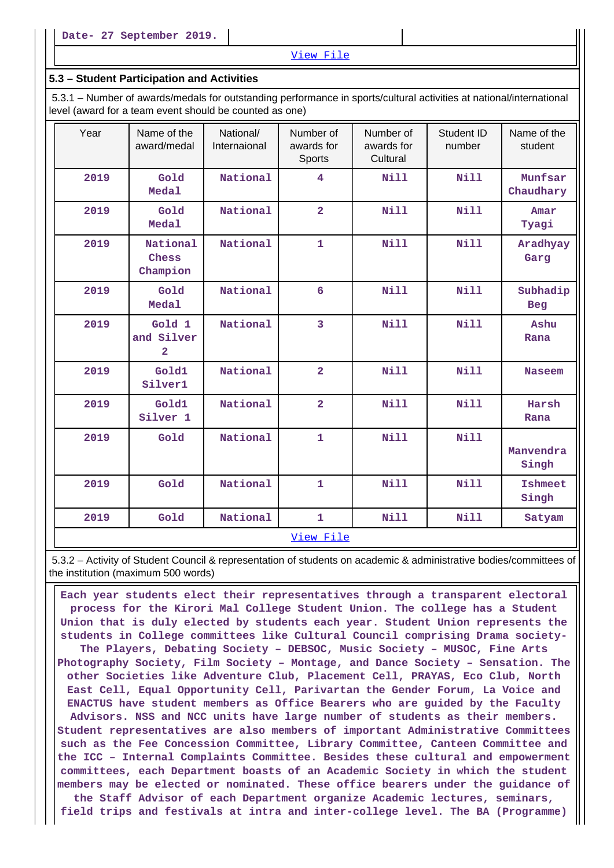#### View File

#### **5.3 – Student Participation and Activities**

 5.3.1 – Number of awards/medals for outstanding performance in sports/cultural activities at national/international level (award for a team event should be counted as one)

| Year | Name of the<br>award/medal                      | National/<br>Internaional | Number of<br>awards for<br>Sports | Number of<br>awards for<br>Cultural | Student ID<br>number | Name of the<br>student  |  |  |  |  |
|------|-------------------------------------------------|---------------------------|-----------------------------------|-------------------------------------|----------------------|-------------------------|--|--|--|--|
| 2019 | Gold<br>Medal                                   | National                  | 4                                 | <b>Nill</b>                         | <b>Nill</b>          | Munfsar<br>Chaudhary    |  |  |  |  |
| 2019 | Gold<br>Medal                                   | National                  | $\overline{2}$                    | <b>Nill</b>                         | <b>Nill</b>          | Amar<br>Tyagi           |  |  |  |  |
| 2019 | National<br>Chess<br>Champion                   |                           | $\mathbf{1}$                      | <b>Nill</b>                         | <b>Nill</b>          | Aradhyay<br>Garg        |  |  |  |  |
| 2019 | Gold<br><b>Medal</b>                            | National                  | 6                                 | <b>Nill</b>                         | Nill                 | Subhadip<br><b>Beg</b>  |  |  |  |  |
| 2019 | Gold 1<br>and Silver<br>$\overline{\mathbf{2}}$ | National                  | $\overline{3}$                    | Nill                                | <b>Nill</b>          | Ashu<br>Rana            |  |  |  |  |
| 2019 | Gold1<br>Silver1                                | National                  | $\overline{2}$                    | Nill                                | Nill                 | <b>Naseem</b>           |  |  |  |  |
| 2019 | Gold1<br>Silver 1                               | National                  | $\overline{2}$                    | <b>Nill</b>                         | <b>Nill</b>          | Harsh<br>Rana           |  |  |  |  |
| 2019 | Gold                                            | National                  | $\mathbf{1}$                      | <b>Nill</b>                         | <b>Nill</b>          | Manvendra<br>Singh      |  |  |  |  |
| 2019 | Gold                                            | National                  | $\mathbf{1}$                      | <b>Nill</b>                         | <b>Nill</b>          | <b>Ishmeet</b><br>Singh |  |  |  |  |
| 2019 | Gold                                            | National                  | $\mathbf{1}$                      | <b>Nill</b>                         | Nill                 | Satyam                  |  |  |  |  |
|      | View File                                       |                           |                                   |                                     |                      |                         |  |  |  |  |

 5.3.2 – Activity of Student Council & representation of students on academic & administrative bodies/committees of the institution (maximum 500 words)

 **Each year students elect their representatives through a transparent electoral process for the Kirori Mal College Student Union. The college has a Student Union that is duly elected by students each year. Student Union represents the students in College committees like Cultural Council comprising Drama society-The Players, Debating Society – DEBSOC, Music Society – MUSOC, Fine Arts Photography Society, Film Society – Montage, and Dance Society – Sensation. The other Societies like Adventure Club, Placement Cell, PRAYAS, Eco Club, North East Cell, Equal Opportunity Cell, Parivartan the Gender Forum, La Voice and ENACTUS have student members as Office Bearers who are guided by the Faculty Advisors. NSS and NCC units have large number of students as their members. Student representatives are also members of important Administrative Committees such as the Fee Concession Committee, Library Committee, Canteen Committee and the ICC – Internal Complaints Committee. Besides these cultural and empowerment committees, each Department boasts of an Academic Society in which the student members may be elected or nominated. These office bearers under the guidance of the Staff Advisor of each Department organize Academic lectures, seminars, field trips and festivals at intra and inter-college level. The BA (Programme)**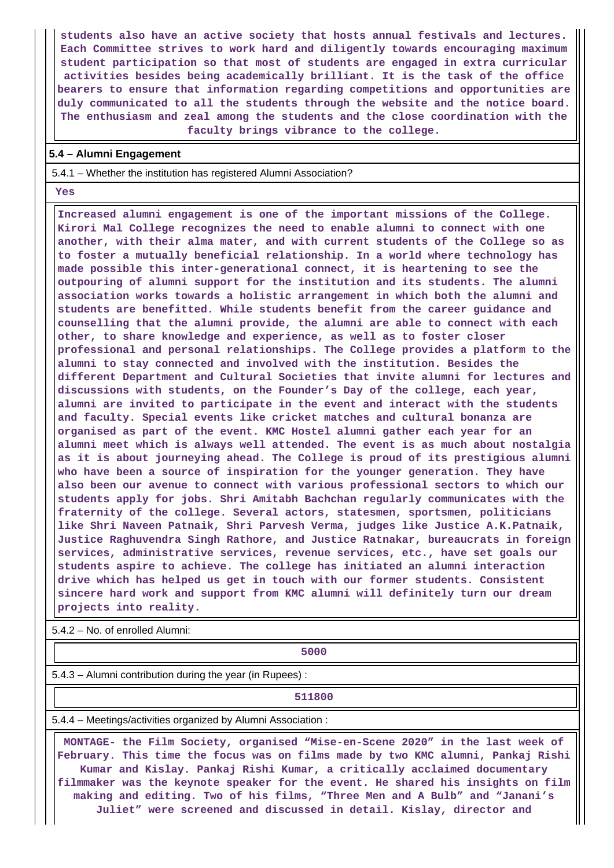**students also have an active society that hosts annual festivals and lectures. Each Committee strives to work hard and diligently towards encouraging maximum student participation so that most of students are engaged in extra curricular activities besides being academically brilliant. It is the task of the office bearers to ensure that information regarding competitions and opportunities are duly communicated to all the students through the website and the notice board. The enthusiasm and zeal among the students and the close coordination with the faculty brings vibrance to the college.**

#### **5.4 – Alumni Engagement**

5.4.1 – Whether the institution has registered Alumni Association?

 **Yes**

 **Increased alumni engagement is one of the important missions of the College. Kirori Mal College recognizes the need to enable alumni to connect with one another, with their alma mater, and with current students of the College so as to foster a mutually beneficial relationship. In a world where technology has made possible this inter-generational connect, it is heartening to see the outpouring of alumni support for the institution and its students. The alumni association works towards a holistic arrangement in which both the alumni and students are benefitted. While students benefit from the career guidance and counselling that the alumni provide, the alumni are able to connect with each other, to share knowledge and experience, as well as to foster closer professional and personal relationships. The College provides a platform to the alumni to stay connected and involved with the institution. Besides the different Department and Cultural Societies that invite alumni for lectures and discussions with students, on the Founder's Day of the college, each year, alumni are invited to participate in the event and interact with the students and faculty. Special events like cricket matches and cultural bonanza are organised as part of the event. KMC Hostel alumni gather each year for an alumni meet which is always well attended. The event is as much about nostalgia as it is about journeying ahead. The College is proud of its prestigious alumni who have been a source of inspiration for the younger generation. They have also been our avenue to connect with various professional sectors to which our students apply for jobs. Shri Amitabh Bachchan regularly communicates with the fraternity of the college. Several actors, statesmen, sportsmen, politicians like Shri Naveen Patnaik, Shri Parvesh Verma, judges like Justice A.K.Patnaik, Justice Raghuvendra Singh Rathore, and Justice Ratnakar, bureaucrats in foreign services, administrative services, revenue services, etc., have set goals our students aspire to achieve. The college has initiated an alumni interaction drive which has helped us get in touch with our former students. Consistent sincere hard work and support from KMC alumni will definitely turn our dream projects into reality.**

5.4.2 – No. of enrolled Alumni:

**1** 

5.4.3 – Alumni contribution during the year (in Rupees) :

**511800**

5.4.4 – Meetings/activities organized by Alumni Association :

 **MONTAGE- the Film Society, organised "Mise-en-Scene 2020" in the last week of February. This time the focus was on films made by two KMC alumni, Pankaj Rishi Kumar and Kislay. Pankaj Rishi Kumar, a critically acclaimed documentary filmmaker was the keynote speaker for the event. He shared his insights on film making and editing. Two of his films, "Three Men and A Bulb" and "Janani's Juliet" were screened and discussed in detail. Kislay, director and**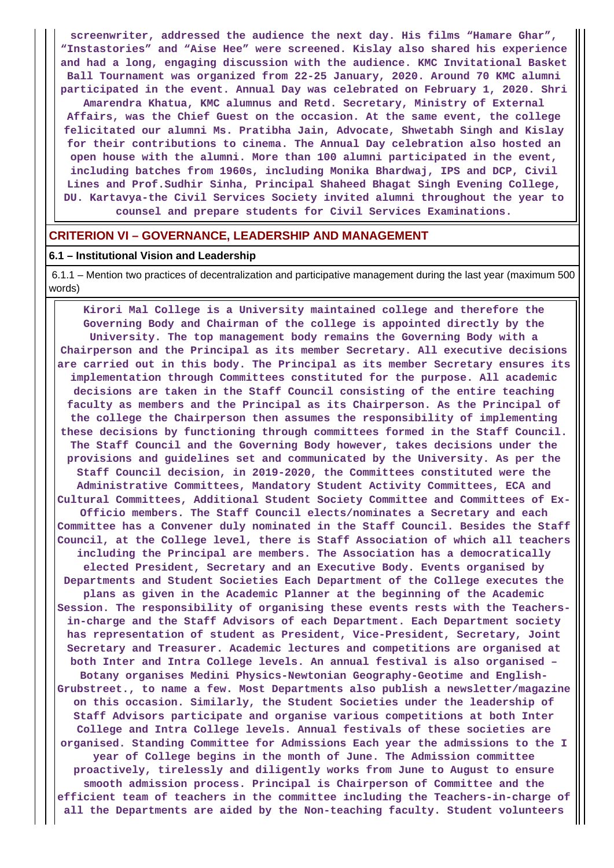**screenwriter, addressed the audience the next day. His films "Hamare Ghar", "Instastories" and "Aise Hee" were screened. Kislay also shared his experience and had a long, engaging discussion with the audience. KMC Invitational Basket Ball Tournament was organized from 22-25 January, 2020. Around 70 KMC alumni participated in the event. Annual Day was celebrated on February 1, 2020. Shri Amarendra Khatua, KMC alumnus and Retd. Secretary, Ministry of External Affairs, was the Chief Guest on the occasion. At the same event, the college felicitated our alumni Ms. Pratibha Jain, Advocate, Shwetabh Singh and Kislay for their contributions to cinema. The Annual Day celebration also hosted an open house with the alumni. More than 100 alumni participated in the event, including batches from 1960s, including Monika Bhardwaj, IPS and DCP, Civil Lines and Prof.Sudhir Sinha, Principal Shaheed Bhagat Singh Evening College, DU. Kartavya-the Civil Services Society invited alumni throughout the year to counsel and prepare students for Civil Services Examinations.**

#### **CRITERION VI – GOVERNANCE, LEADERSHIP AND MANAGEMENT**

#### **6.1 – Institutional Vision and Leadership**

 6.1.1 – Mention two practices of decentralization and participative management during the last year (maximum 500 words)

 **Kirori Mal College is a University maintained college and therefore the Governing Body and Chairman of the college is appointed directly by the University. The top management body remains the Governing Body with a Chairperson and the Principal as its member Secretary. All executive decisions are carried out in this body. The Principal as its member Secretary ensures its implementation through Committees constituted for the purpose. All academic decisions are taken in the Staff Council consisting of the entire teaching faculty as members and the Principal as its Chairperson. As the Principal of the college the Chairperson then assumes the responsibility of implementing these decisions by functioning through committees formed in the Staff Council. The Staff Council and the Governing Body however, takes decisions under the provisions and guidelines set and communicated by the University. As per the Staff Council decision, in 2019-2020, the Committees constituted were the Administrative Committees, Mandatory Student Activity Committees, ECA and Cultural Committees, Additional Student Society Committee and Committees of Ex-Officio members. The Staff Council elects/nominates a Secretary and each Committee has a Convener duly nominated in the Staff Council. Besides the Staff Council, at the College level, there is Staff Association of which all teachers including the Principal are members. The Association has a democratically elected President, Secretary and an Executive Body. Events organised by Departments and Student Societies Each Department of the College executes the plans as given in the Academic Planner at the beginning of the Academic Session. The responsibility of organising these events rests with the Teachersin-charge and the Staff Advisors of each Department. Each Department society has representation of student as President, Vice-President, Secretary, Joint Secretary and Treasurer. Academic lectures and competitions are organised at both Inter and Intra College levels. An annual festival is also organised – Botany organises Medini Physics-Newtonian Geography-Geotime and English-Grubstreet., to name a few. Most Departments also publish a newsletter/magazine on this occasion. Similarly, the Student Societies under the leadership of Staff Advisors participate and organise various competitions at both Inter College and Intra College levels. Annual festivals of these societies are organised. Standing Committee for Admissions Each year the admissions to the I year of College begins in the month of June. The Admission committee proactively, tirelessly and diligently works from June to August to ensure smooth admission process. Principal is Chairperson of Committee and the efficient team of teachers in the committee including the Teachers-in-charge of all the Departments are aided by the Non-teaching faculty. Student volunteers**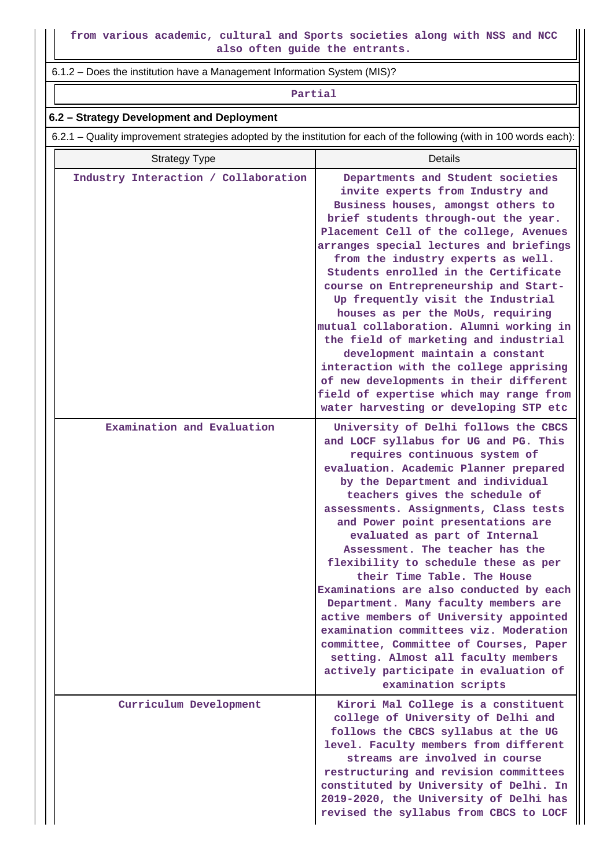**from various academic, cultural and Sports societies along with NSS and NCC also often guide the entrants.**

6.1.2 – Does the institution have a Management Information System (MIS)?

#### **Partial**

### **6.2 – Strategy Development and Deployment**

6.2.1 – Quality improvement strategies adopted by the institution for each of the following (with in 100 words each):

| <b>Strategy Type</b>                 | Details                                                                                                                                                                                                                                                                                                                                                                                                                                                                                                                                                                                                                                                                                                                                                                        |
|--------------------------------------|--------------------------------------------------------------------------------------------------------------------------------------------------------------------------------------------------------------------------------------------------------------------------------------------------------------------------------------------------------------------------------------------------------------------------------------------------------------------------------------------------------------------------------------------------------------------------------------------------------------------------------------------------------------------------------------------------------------------------------------------------------------------------------|
| Industry Interaction / Collaboration | Departments and Student societies<br>invite experts from Industry and<br>Business houses, amongst others to<br>brief students through-out the year.<br>Placement Cell of the college, Avenues<br>arranges special lectures and briefings<br>from the industry experts as well.<br>Students enrolled in the Certificate<br>course on Entrepreneurship and Start-<br>Up frequently visit the Industrial<br>houses as per the MoUs, requiring<br>mutual collaboration. Alumni working in<br>the field of marketing and industrial<br>development maintain a constant<br>interaction with the college apprising<br>of new developments in their different<br>field of expertise which may range from<br>water harvesting or developing STP etc                                     |
| Examination and Evaluation           | University of Delhi follows the CBCS<br>and LOCF syllabus for UG and PG. This<br>requires continuous system of<br>evaluation. Academic Planner prepared<br>by the Department and individual<br>teachers gives the schedule of<br>assessments. Assignments, Class tests<br>and Power point presentations are<br>evaluated as part of Internal<br>Assessment. The teacher has the<br>flexibility to schedule these as per<br>their Time Table. The House<br>Examinations are also conducted by each<br>Department. Many faculty members are<br>active members of University appointed<br>examination committees viz. Moderation<br>committee, Committee of Courses, Paper<br>setting. Almost all faculty members<br>actively participate in evaluation of<br>examination scripts |
| Curriculum Development               | Kirori Mal College is a constituent<br>college of University of Delhi and<br>follows the CBCS syllabus at the UG<br>level. Faculty members from different<br>streams are involved in course<br>restructuring and revision committees<br>constituted by University of Delhi. In<br>2019-2020, the University of Delhi has<br>revised the syllabus from CBCS to LOCF                                                                                                                                                                                                                                                                                                                                                                                                             |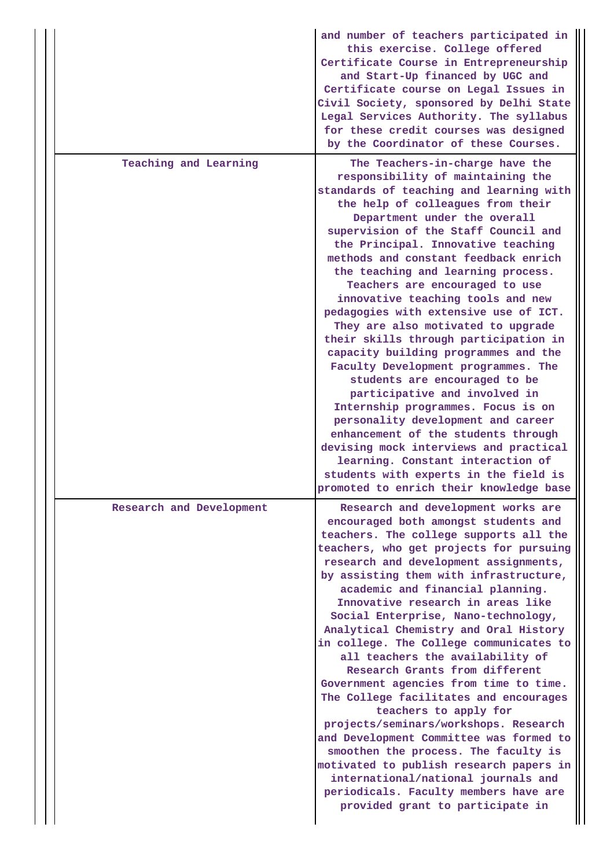|                          | and number of teachers participated in<br>this exercise. College offered<br>Certificate Course in Entrepreneurship<br>and Start-Up financed by UGC and<br>Certificate course on Legal Issues in<br>Civil Society, sponsored by Delhi State<br>Legal Services Authority. The syllabus<br>for these credit courses was designed<br>by the Coordinator of these Courses.                                                                                                                                                                                                                                                                                                                                                                                                                                                                                                                                                                                                                  |
|--------------------------|----------------------------------------------------------------------------------------------------------------------------------------------------------------------------------------------------------------------------------------------------------------------------------------------------------------------------------------------------------------------------------------------------------------------------------------------------------------------------------------------------------------------------------------------------------------------------------------------------------------------------------------------------------------------------------------------------------------------------------------------------------------------------------------------------------------------------------------------------------------------------------------------------------------------------------------------------------------------------------------|
| Teaching and Learning    | The Teachers-in-charge have the<br>responsibility of maintaining the<br>standards of teaching and learning with<br>the help of colleagues from their<br>Department under the overall<br>supervision of the Staff Council and<br>the Principal. Innovative teaching<br>methods and constant feedback enrich<br>the teaching and learning process.<br>Teachers are encouraged to use<br>innovative teaching tools and new<br>pedagogies with extensive use of ICT.<br>They are also motivated to upgrade<br>their skills through participation in<br>capacity building programmes and the<br>Faculty Development programmes. The<br>students are encouraged to be<br>participative and involved in<br>Internship programmes. Focus is on<br>personality development and career<br>enhancement of the students through<br>devising mock interviews and practical<br>learning. Constant interaction of<br>students with experts in the field is<br>promoted to enrich their knowledge base |
| Research and Development | Research and development works are<br>encouraged both amongst students and<br>teachers. The college supports all the<br>teachers, who get projects for pursuing<br>research and development assignments,<br>by assisting them with infrastructure,<br>academic and financial planning.<br>Innovative research in areas like<br>Social Enterprise, Nano-technology,<br>Analytical Chemistry and Oral History<br>in college. The College communicates to<br>all teachers the availability of<br>Research Grants from different<br>Government agencies from time to time.<br>The College facilitates and encourages<br>teachers to apply for<br>projects/seminars/workshops. Research<br>and Development Committee was formed to<br>smoothen the process. The faculty is<br>motivated to publish research papers in<br>international/national journals and<br>periodicals. Faculty members have are<br>provided grant to participate in                                                   |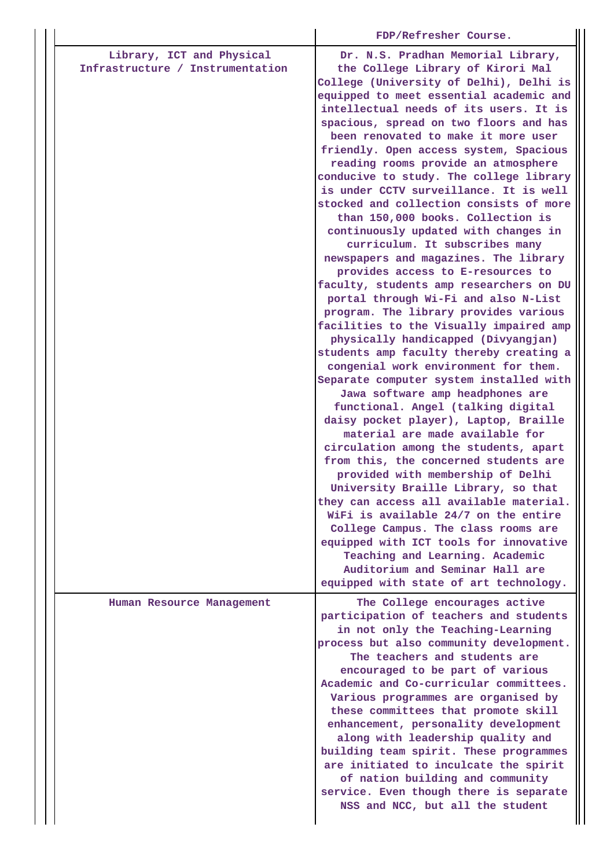|                                                               | FDP/Refresher Course.                                                                                                                                                                                                                                                                                                                                                                                                                                                                                                                                                                                                                                                                                                                                                                                                                                                                                                                                                                                                                                                                                                                                                                                                                                                                                                                                                                                                                                                                            |
|---------------------------------------------------------------|--------------------------------------------------------------------------------------------------------------------------------------------------------------------------------------------------------------------------------------------------------------------------------------------------------------------------------------------------------------------------------------------------------------------------------------------------------------------------------------------------------------------------------------------------------------------------------------------------------------------------------------------------------------------------------------------------------------------------------------------------------------------------------------------------------------------------------------------------------------------------------------------------------------------------------------------------------------------------------------------------------------------------------------------------------------------------------------------------------------------------------------------------------------------------------------------------------------------------------------------------------------------------------------------------------------------------------------------------------------------------------------------------------------------------------------------------------------------------------------------------|
| Library, ICT and Physical<br>Infrastructure / Instrumentation | Dr. N.S. Pradhan Memorial Library,<br>the College Library of Kirori Mal<br>College (University of Delhi), Delhi is<br>equipped to meet essential academic and<br>intellectual needs of its users. It is<br>spacious, spread on two floors and has<br>been renovated to make it more user<br>friendly. Open access system, Spacious<br>reading rooms provide an atmosphere<br>conducive to study. The college library<br>is under CCTV surveillance. It is well<br>stocked and collection consists of more<br>than 150,000 books. Collection is<br>continuously updated with changes in<br>curriculum. It subscribes many<br>newspapers and magazines. The library<br>provides access to E-resources to<br>faculty, students amp researchers on DU<br>portal through Wi-Fi and also N-List<br>program. The library provides various<br>facilities to the Visually impaired amp<br>physically handicapped (Divyangjan)<br>students amp faculty thereby creating a<br>congenial work environment for them.<br>Separate computer system installed with<br>Jawa software amp headphones are<br>functional. Angel (talking digital<br>daisy pocket player), Laptop, Braille<br>material are made available for<br>circulation among the students, apart<br>from this, the concerned students are<br>provided with membership of Delhi<br>University Braille Library, so that<br>they can access all available material.<br>WiFi is available 24/7 on the entire<br>College Campus. The class rooms are |
|                                                               | equipped with ICT tools for innovative<br>Teaching and Learning. Academic<br>Auditorium and Seminar Hall are<br>equipped with state of art technology.                                                                                                                                                                                                                                                                                                                                                                                                                                                                                                                                                                                                                                                                                                                                                                                                                                                                                                                                                                                                                                                                                                                                                                                                                                                                                                                                           |
| Human Resource Management                                     | The College encourages active<br>participation of teachers and students<br>in not only the Teaching-Learning<br>process but also community development.<br>The teachers and students are<br>encouraged to be part of various<br>Academic and Co-curricular committees.<br>Various programmes are organised by<br>these committees that promote skill<br>enhancement, personality development<br>along with leadership quality and<br>building team spirit. These programmes<br>are initiated to inculcate the spirit<br>of nation building and community<br>service. Even though there is separate<br>NSS and NCC, but all the student                                                                                                                                                                                                                                                                                                                                                                                                                                                                                                                                                                                                                                                                                                                                                                                                                                                           |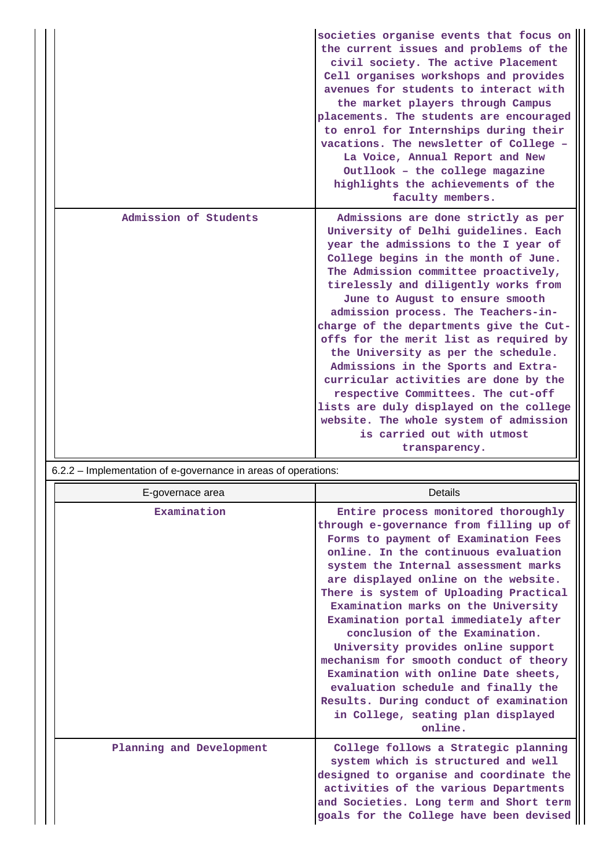|                       | societies organise events that focus on<br>the current issues and problems of the<br>civil society. The active Placement<br>Cell organises workshops and provides<br>avenues for students to interact with<br>the market players through Campus<br>placements. The students are encouraged<br>to enrol for Internships during their<br>vacations. The newsletter of College -<br>La Voice, Annual Report and New<br>Outllook - the college magazine<br>highlights the achievements of the<br>faculty members.                                                                                                                                                                                               |
|-----------------------|-------------------------------------------------------------------------------------------------------------------------------------------------------------------------------------------------------------------------------------------------------------------------------------------------------------------------------------------------------------------------------------------------------------------------------------------------------------------------------------------------------------------------------------------------------------------------------------------------------------------------------------------------------------------------------------------------------------|
| Admission of Students | Admissions are done strictly as per<br>University of Delhi guidelines. Each<br>year the admissions to the I year of<br>College begins in the month of June.<br>The Admission committee proactively,<br>tirelessly and diligently works from<br>June to August to ensure smooth<br>admission process. The Teachers-in-<br>charge of the departments give the Cut-<br>offs for the merit list as required by<br>the University as per the schedule.<br>Admissions in the Sports and Extra-<br>curricular activities are done by the<br>respective Committees. The cut-off<br>lists are duly displayed on the college<br>website. The whole system of admission<br>is carried out with utmost<br>transparency. |

# 6.2.2 – Implementation of e-governance in areas of operations:

| E-governace area         | Details                                                                                                                                                                                                                                                                                                                                                                                                                                                                                                                                                                                                                                                             |
|--------------------------|---------------------------------------------------------------------------------------------------------------------------------------------------------------------------------------------------------------------------------------------------------------------------------------------------------------------------------------------------------------------------------------------------------------------------------------------------------------------------------------------------------------------------------------------------------------------------------------------------------------------------------------------------------------------|
| Examination              | Entire process monitored thoroughly<br>through e-governance from filling up of<br>Forms to payment of Examination Fees<br>online. In the continuous evaluation<br>system the Internal assessment marks<br>are displayed online on the website.<br>There is system of Uploading Practical<br>Examination marks on the University<br>Examination portal immediately after<br>conclusion of the Examination.<br>University provides online support<br>mechanism for smooth conduct of theory<br>Examination with online Date sheets,<br>evaluation schedule and finally the<br>Results. During conduct of examination<br>in College, seating plan displayed<br>online. |
| Planning and Development | College follows a Strategic planning<br>system which is structured and well<br>designed to organise and coordinate the<br>activities of the various Departments<br>and Societies. Long term and Short term<br>goals for the College have been devised                                                                                                                                                                                                                                                                                                                                                                                                               |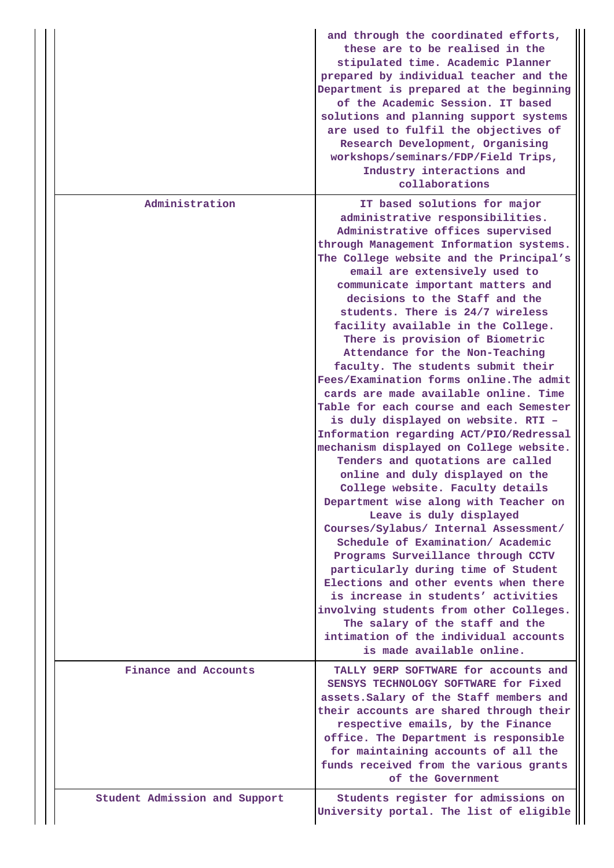|                               | and through the coordinated efforts,<br>these are to be realised in the<br>stipulated time. Academic Planner<br>prepared by individual teacher and the<br>Department is prepared at the beginning<br>of the Academic Session. IT based<br>solutions and planning support systems<br>are used to fulfil the objectives of<br>Research Development, Organising<br>workshops/seminars/FDP/Field Trips,<br>Industry interactions and<br>collaborations                                                                                                                                                                                                                                                                                                                                                                                                                                                                                                                                                                                                                                                                                                                                                                                                                                                                                     |
|-------------------------------|----------------------------------------------------------------------------------------------------------------------------------------------------------------------------------------------------------------------------------------------------------------------------------------------------------------------------------------------------------------------------------------------------------------------------------------------------------------------------------------------------------------------------------------------------------------------------------------------------------------------------------------------------------------------------------------------------------------------------------------------------------------------------------------------------------------------------------------------------------------------------------------------------------------------------------------------------------------------------------------------------------------------------------------------------------------------------------------------------------------------------------------------------------------------------------------------------------------------------------------------------------------------------------------------------------------------------------------|
| Administration                | IT based solutions for major<br>administrative responsibilities.<br>Administrative offices supervised<br>through Management Information systems.<br>The College website and the Principal's<br>email are extensively used to<br>communicate important matters and<br>decisions to the Staff and the<br>students. There is 24/7 wireless<br>facility available in the College.<br>There is provision of Biometric<br>Attendance for the Non-Teaching<br>faculty. The students submit their<br>Fees/Examination forms online. The admit<br>cards are made available online. Time<br>Table for each course and each Semester<br>is duly displayed on website. RTI -<br>Information regarding ACT/PIO/Redressal<br>mechanism displayed on College website.<br>Tenders and quotations are called<br>online and duly displayed on the<br>College website. Faculty details<br>Department wise along with Teacher on<br>Leave is duly displayed<br>Courses/Sylabus/ Internal Assessment/<br>Schedule of Examination/ Academic<br>Programs Surveillance through CCTV<br>particularly during time of Student<br>Elections and other events when there<br>is increase in students' activities<br>involving students from other Colleges.<br>The salary of the staff and the<br>intimation of the individual accounts<br>is made available online. |
| Finance and Accounts          | TALLY 9ERP SOFTWARE for accounts and<br>SENSYS TECHNOLOGY SOFTWARE for Fixed<br>assets. Salary of the Staff members and<br>their accounts are shared through their<br>respective emails, by the Finance<br>office. The Department is responsible<br>for maintaining accounts of all the<br>funds received from the various grants<br>of the Government                                                                                                                                                                                                                                                                                                                                                                                                                                                                                                                                                                                                                                                                                                                                                                                                                                                                                                                                                                                 |
| Student Admission and Support | Students register for admissions on<br>University portal. The list of eligible                                                                                                                                                                                                                                                                                                                                                                                                                                                                                                                                                                                                                                                                                                                                                                                                                                                                                                                                                                                                                                                                                                                                                                                                                                                         |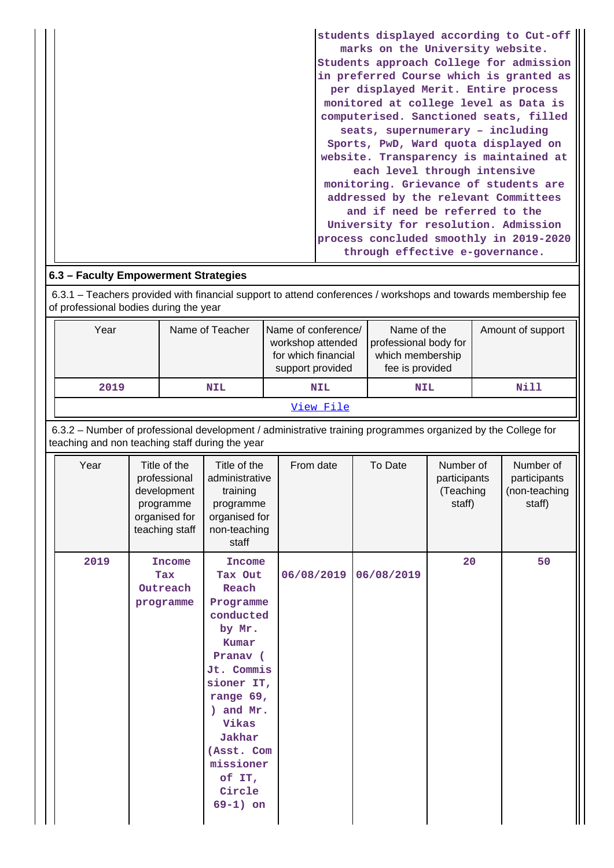| students displayed according to Cut-off<br>marks on the University website. |
|-----------------------------------------------------------------------------|
| Students approach College for admission                                     |
| in preferred Course which is granted as                                     |
| per displayed Merit. Entire process                                         |
| monitored at college level as Data is                                       |
| computerised. Sanctioned seats, filled                                      |
| seats, supernumerary - including                                            |
| Sports, PwD, Ward quota displayed on                                        |
| website. Transparency is maintained at                                      |
| each level through intensive                                                |
| monitoring. Grievance of students are                                       |
| addressed by the relevant Committees                                        |
| and if need be referred to the                                              |
| University for resolution. Admission                                        |
| process concluded smoothly in 2019-2020                                     |
| through effective e-governance.                                             |

# **6.3 – Faculty Empowerment Strategies**

 6.3.1 – Teachers provided with financial support to attend conferences / workshops and towards membership fee of professional bodies during the year

|                                                                                                                                                                 | Year<br>Name of Teacher<br>2019<br><b>NIL</b> |  |                                                                                             | Name of conference/<br>workshop attended<br>for which financial<br>support provided<br><b>NIL</b>                                                                                                                                |  | Name of the<br>professional body for<br>which membership<br>fee is provided<br><b>NIL</b> |  | Amount of support<br><b>Nill</b> |                                                  |  |                                                      |
|-----------------------------------------------------------------------------------------------------------------------------------------------------------------|-----------------------------------------------|--|---------------------------------------------------------------------------------------------|----------------------------------------------------------------------------------------------------------------------------------------------------------------------------------------------------------------------------------|--|-------------------------------------------------------------------------------------------|--|----------------------------------|--------------------------------------------------|--|------------------------------------------------------|
|                                                                                                                                                                 |                                               |  |                                                                                             |                                                                                                                                                                                                                                  |  | View File                                                                                 |  |                                  |                                                  |  |                                                      |
| 6.3.2 - Number of professional development / administrative training programmes organized by the College for<br>teaching and non teaching staff during the year |                                               |  |                                                                                             |                                                                                                                                                                                                                                  |  |                                                                                           |  |                                  |                                                  |  |                                                      |
|                                                                                                                                                                 | Year                                          |  | Title of the<br>professional<br>development<br>programme<br>organised for<br>teaching staff | Title of the<br>administrative<br>training<br>programme<br>organised for<br>non-teaching<br>staff                                                                                                                                |  | From date                                                                                 |  | To Date                          | Number of<br>participants<br>(Teaching<br>staff) |  | Number of<br>participants<br>(non-teaching<br>staff) |
|                                                                                                                                                                 | 2019                                          |  | <b>Income</b><br>Tax<br>Outreach<br>programme                                               | <b>Income</b><br>Tax Out<br>Reach<br>Programme<br>conducted<br>by Mr.<br>Kumar<br>Pranav (<br>Jt. Commis<br>sioner IT,<br>range 69,<br>) and Mr.<br>Vikas<br>Jakhar<br>(Asst. Com<br>missioner<br>of IT,<br>Circle<br>$69-1)$ on |  | 06/08/2019                                                                                |  | 06/08/2019                       | 20                                               |  | 50                                                   |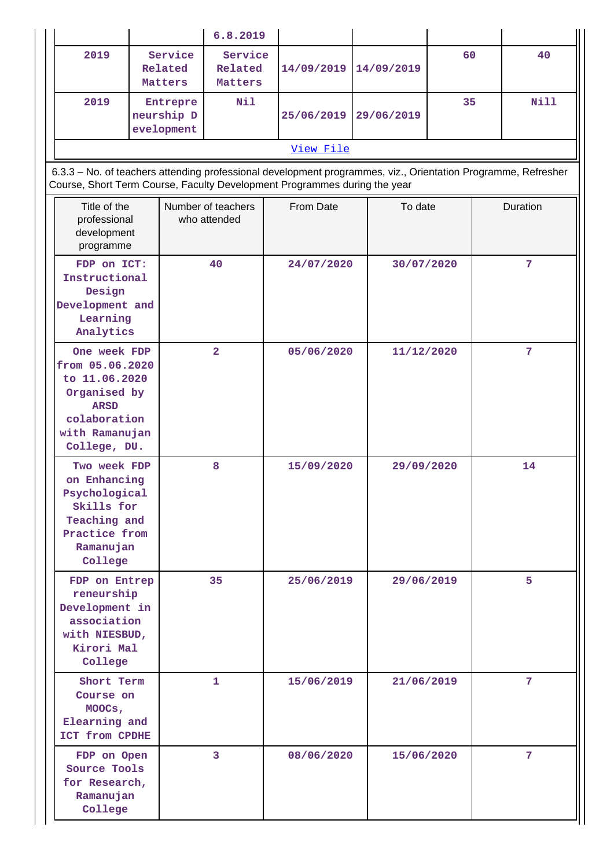|                                                                                                        |                                                                                                                                                                                            |                               |              | 6.8.2019                           |            |            |            |                  |   |                |  |
|--------------------------------------------------------------------------------------------------------|--------------------------------------------------------------------------------------------------------------------------------------------------------------------------------------------|-------------------------------|--------------|------------------------------------|------------|------------|------------|------------------|---|----------------|--|
|                                                                                                        | 2019                                                                                                                                                                                       | Service<br>Related<br>Matters |              | Service<br>Related<br>Matters      | 14/09/2019 |            | 14/09/2019 | 60               |   | 40             |  |
|                                                                                                        | 2019<br>Entrepre<br>neurship D<br>evelopment                                                                                                                                               |                               |              | Nil                                | 25/06/2019 |            |            | 35<br>29/06/2019 |   | Nill           |  |
|                                                                                                        |                                                                                                                                                                                            |                               |              |                                    | View File  |            |            |                  |   |                |  |
|                                                                                                        | 6.3.3 - No. of teachers attending professional development programmes, viz., Orientation Programme, Refresher<br>Course, Short Term Course, Faculty Development Programmes during the year |                               |              |                                    |            |            |            |                  |   |                |  |
|                                                                                                        | Title of the<br>professional<br>development<br>programme                                                                                                                                   |                               |              | Number of teachers<br>who attended | From Date  |            | To date    |                  |   | Duration       |  |
| FDP on ICT:<br>Instructional<br>Design<br>Development and<br>Learning<br>Analytics                     |                                                                                                                                                                                            |                               |              | 40                                 |            | 24/07/2020 |            | 30/07/2020       |   | $\overline{7}$ |  |
|                                                                                                        | One week FDP<br>from 05.06.2020<br>to 11.06.2020<br>Organised by<br><b>ARSD</b><br>colaboration<br>with Ramanujan<br>College, DU.                                                          |                               |              | $\overline{\mathbf{2}}$            | 05/06/2020 |            | 11/12/2020 |                  | 7 |                |  |
|                                                                                                        | Two week FDP<br>on Enhancing<br>Psychological<br>Skills for<br>Teaching and<br>Practice from<br>Ramanujan<br>College                                                                       |                               |              | 8                                  | 15/09/2020 |            | 29/09/2020 |                  |   | 14             |  |
| FDP on Entrep<br>reneurship<br>Development in<br>association<br>with NIESBUD,<br>Kirori Mal<br>College |                                                                                                                                                                                            | 35                            |              | 25/06/2019                         |            | 29/06/2019 |            | 5                |   |                |  |
| Short Term<br>Course on<br>MOOCs,<br>Elearning and<br>ICT from CPDHE                                   |                                                                                                                                                                                            |                               | $\mathbf{1}$ | 15/06/2019                         |            | 21/06/2019 |            | 7                |   |                |  |
| FDP on Open<br>Source Tools<br>for Research,<br>Ramanujan<br>College                                   |                                                                                                                                                                                            |                               | 3            | 08/06/2020                         |            | 15/06/2020 |            |                  | 7 |                |  |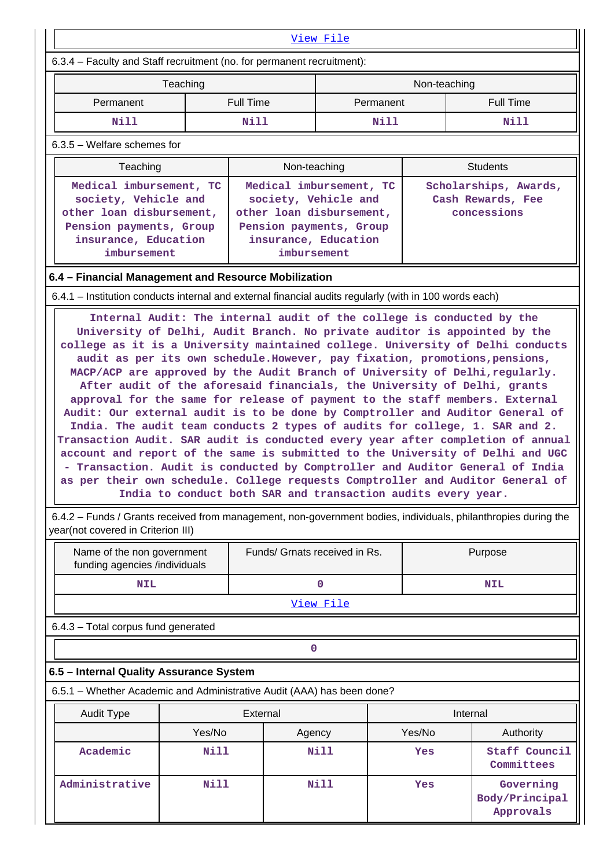|                                                                                                                                                                                                                                                                                                                                                                                                                                                                                                                                                                                                                                                                                                                                                                                                                                                                                                                                                                                                                                                                                                                                                                                                                                                          |                                                                                                                                                                                                                                                                                                                                                                                         |                               | <u>View File</u> |              |                                          |  |  |
|----------------------------------------------------------------------------------------------------------------------------------------------------------------------------------------------------------------------------------------------------------------------------------------------------------------------------------------------------------------------------------------------------------------------------------------------------------------------------------------------------------------------------------------------------------------------------------------------------------------------------------------------------------------------------------------------------------------------------------------------------------------------------------------------------------------------------------------------------------------------------------------------------------------------------------------------------------------------------------------------------------------------------------------------------------------------------------------------------------------------------------------------------------------------------------------------------------------------------------------------------------|-----------------------------------------------------------------------------------------------------------------------------------------------------------------------------------------------------------------------------------------------------------------------------------------------------------------------------------------------------------------------------------------|-------------------------------|------------------|--------------|------------------------------------------|--|--|
| 6.3.4 - Faculty and Staff recruitment (no. for permanent recruitment):                                                                                                                                                                                                                                                                                                                                                                                                                                                                                                                                                                                                                                                                                                                                                                                                                                                                                                                                                                                                                                                                                                                                                                                   |                                                                                                                                                                                                                                                                                                                                                                                         |                               |                  |              |                                          |  |  |
|                                                                                                                                                                                                                                                                                                                                                                                                                                                                                                                                                                                                                                                                                                                                                                                                                                                                                                                                                                                                                                                                                                                                                                                                                                                          | Teaching                                                                                                                                                                                                                                                                                                                                                                                |                               |                  | Non-teaching |                                          |  |  |
| Permanent                                                                                                                                                                                                                                                                                                                                                                                                                                                                                                                                                                                                                                                                                                                                                                                                                                                                                                                                                                                                                                                                                                                                                                                                                                                |                                                                                                                                                                                                                                                                                                                                                                                         | <b>Full Time</b>              | Permanent        |              | <b>Full Time</b>                         |  |  |
| Nill                                                                                                                                                                                                                                                                                                                                                                                                                                                                                                                                                                                                                                                                                                                                                                                                                                                                                                                                                                                                                                                                                                                                                                                                                                                     |                                                                                                                                                                                                                                                                                                                                                                                         | Nill                          | Nill             |              | Nill                                     |  |  |
| 6.3.5 - Welfare schemes for                                                                                                                                                                                                                                                                                                                                                                                                                                                                                                                                                                                                                                                                                                                                                                                                                                                                                                                                                                                                                                                                                                                                                                                                                              |                                                                                                                                                                                                                                                                                                                                                                                         |                               |                  |              |                                          |  |  |
|                                                                                                                                                                                                                                                                                                                                                                                                                                                                                                                                                                                                                                                                                                                                                                                                                                                                                                                                                                                                                                                                                                                                                                                                                                                          |                                                                                                                                                                                                                                                                                                                                                                                         |                               |                  |              | <b>Students</b>                          |  |  |
|                                                                                                                                                                                                                                                                                                                                                                                                                                                                                                                                                                                                                                                                                                                                                                                                                                                                                                                                                                                                                                                                                                                                                                                                                                                          | Non-teaching<br>Teaching<br>Medical imbursement, TC<br>Medical imbursement, TC<br>Scholarships, Awards,<br>society, Vehicle and<br>society, Vehicle and<br>Cash Rewards, Fee<br>other loan disbursement,<br>other loan disbursement,<br>concessions<br>Pension payments, Group<br>Pension payments, Group<br>insurance, Education<br>insurance, Education<br>imbursement<br>imbursement |                               |                  |              |                                          |  |  |
| 6.4 - Financial Management and Resource Mobilization                                                                                                                                                                                                                                                                                                                                                                                                                                                                                                                                                                                                                                                                                                                                                                                                                                                                                                                                                                                                                                                                                                                                                                                                     |                                                                                                                                                                                                                                                                                                                                                                                         |                               |                  |              |                                          |  |  |
| 6.4.1 – Institution conducts internal and external financial audits regularly (with in 100 words each)                                                                                                                                                                                                                                                                                                                                                                                                                                                                                                                                                                                                                                                                                                                                                                                                                                                                                                                                                                                                                                                                                                                                                   |                                                                                                                                                                                                                                                                                                                                                                                         |                               |                  |              |                                          |  |  |
| Internal Audit: The internal audit of the college is conducted by the<br>University of Delhi, Audit Branch. No private auditor is appointed by the<br>college as it is a University maintained college. University of Delhi conducts<br>audit as per its own schedule. However, pay fixation, promotions, pensions,<br>MACP/ACP are approved by the Audit Branch of University of Delhi, regularly.<br>After audit of the aforesaid financials, the University of Delhi, grants<br>approval for the same for release of payment to the staff members. External<br>Audit: Our external audit is to be done by Comptroller and Auditor General of<br>India. The audit team conducts 2 types of audits for college, 1. SAR and 2.<br>Transaction Audit. SAR audit is conducted every year after completion of annual<br>account and report of the same is submitted to the University of Delhi and UGC<br>- Transaction. Audit is conducted by Comptroller and Auditor General of India<br>as per their own schedule. College requests Comptroller and Auditor General of<br>India to conduct both SAR and transaction audits every year.<br>6.4.2 - Funds / Grants received from management, non-government bodies, individuals, philanthropies during the |                                                                                                                                                                                                                                                                                                                                                                                         |                               |                  |              |                                          |  |  |
| year(not covered in Criterion III)<br>Name of the non government<br>funding agencies /individuals                                                                                                                                                                                                                                                                                                                                                                                                                                                                                                                                                                                                                                                                                                                                                                                                                                                                                                                                                                                                                                                                                                                                                        |                                                                                                                                                                                                                                                                                                                                                                                         | Funds/ Grnats received in Rs. |                  |              | Purpose                                  |  |  |
| <b>NIL</b>                                                                                                                                                                                                                                                                                                                                                                                                                                                                                                                                                                                                                                                                                                                                                                                                                                                                                                                                                                                                                                                                                                                                                                                                                                               |                                                                                                                                                                                                                                                                                                                                                                                         |                               | $\mathbf 0$      |              | <b>NIL</b>                               |  |  |
|                                                                                                                                                                                                                                                                                                                                                                                                                                                                                                                                                                                                                                                                                                                                                                                                                                                                                                                                                                                                                                                                                                                                                                                                                                                          |                                                                                                                                                                                                                                                                                                                                                                                         |                               | View File        |              |                                          |  |  |
| 6.4.3 - Total corpus fund generated                                                                                                                                                                                                                                                                                                                                                                                                                                                                                                                                                                                                                                                                                                                                                                                                                                                                                                                                                                                                                                                                                                                                                                                                                      |                                                                                                                                                                                                                                                                                                                                                                                         |                               |                  |              |                                          |  |  |
|                                                                                                                                                                                                                                                                                                                                                                                                                                                                                                                                                                                                                                                                                                                                                                                                                                                                                                                                                                                                                                                                                                                                                                                                                                                          |                                                                                                                                                                                                                                                                                                                                                                                         | 0                             |                  |              |                                          |  |  |
| 6.5 - Internal Quality Assurance System                                                                                                                                                                                                                                                                                                                                                                                                                                                                                                                                                                                                                                                                                                                                                                                                                                                                                                                                                                                                                                                                                                                                                                                                                  |                                                                                                                                                                                                                                                                                                                                                                                         |                               |                  |              |                                          |  |  |
| 6.5.1 - Whether Academic and Administrative Audit (AAA) has been done?                                                                                                                                                                                                                                                                                                                                                                                                                                                                                                                                                                                                                                                                                                                                                                                                                                                                                                                                                                                                                                                                                                                                                                                   |                                                                                                                                                                                                                                                                                                                                                                                         |                               |                  |              |                                          |  |  |
| <b>Audit Type</b>                                                                                                                                                                                                                                                                                                                                                                                                                                                                                                                                                                                                                                                                                                                                                                                                                                                                                                                                                                                                                                                                                                                                                                                                                                        |                                                                                                                                                                                                                                                                                                                                                                                         | External                      |                  |              | Internal                                 |  |  |
|                                                                                                                                                                                                                                                                                                                                                                                                                                                                                                                                                                                                                                                                                                                                                                                                                                                                                                                                                                                                                                                                                                                                                                                                                                                          | Yes/No                                                                                                                                                                                                                                                                                                                                                                                  | Agency                        |                  | Yes/No       | Authority                                |  |  |
| Academic                                                                                                                                                                                                                                                                                                                                                                                                                                                                                                                                                                                                                                                                                                                                                                                                                                                                                                                                                                                                                                                                                                                                                                                                                                                 | <b>Nill</b>                                                                                                                                                                                                                                                                                                                                                                             |                               | Nill             | Yes          | Staff Council<br>Committees              |  |  |
| Administrative                                                                                                                                                                                                                                                                                                                                                                                                                                                                                                                                                                                                                                                                                                                                                                                                                                                                                                                                                                                                                                                                                                                                                                                                                                           | <b>Nill</b>                                                                                                                                                                                                                                                                                                                                                                             |                               | <b>Nill</b>      | Yes          | Governing<br>Body/Principal<br>Approvals |  |  |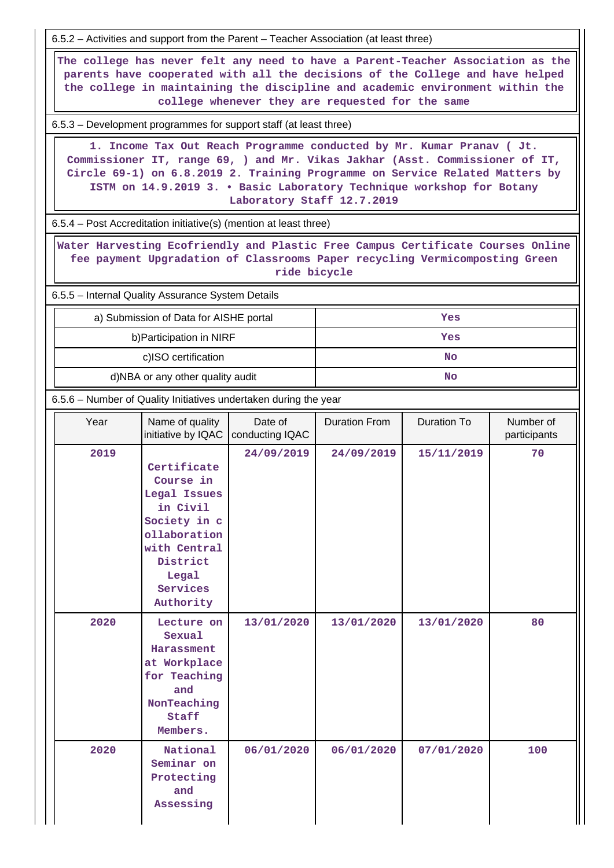6.5.2 – Activities and support from the Parent – Teacher Association (at least three) **The college has never felt any need to have a Parent-Teacher Association as the parents have cooperated with all the decisions of the College and have helped the college in maintaining the discipline and academic environment within the college whenever they are requested for the same** 6.5.3 – Development programmes for support staff (at least three) **1. Income Tax Out Reach Programme conducted by Mr. Kumar Pranav ( Jt. Commissioner IT, range 69, ) and Mr. Vikas Jakhar (Asst. Commissioner of IT, Circle 69-1) on 6.8.2019 2. Training Programme on Service Related Matters by ISTM on 14.9.2019 3. • Basic Laboratory Technique workshop for Botany Laboratory Staff 12.7.2019** 6.5.4 – Post Accreditation initiative(s) (mention at least three) **Water Harvesting Ecofriendly and Plastic Free Campus Certificate Courses Online fee payment Upgradation of Classrooms Paper recycling Vermicomposting Green ride bicycle** 6.5.5 – Internal Quality Assurance System Details a) Submission of Data for AISHE portal **Yes** b)Participation in NIRF **Yes** c)ISO certification **No** d)NBA or any other quality audit **No**  6.5.6 – Number of Quality Initiatives undertaken during the year Year | Name of quality initiative by IQAC Date of conducting IQAC Duration From | Duration To | Number of participants  **2019 Certificate Course in Legal Issues in Civil Society in c ollaboration with Central District Legal Services Authority 24/09/2019 24/09/2019 15/11/2019 70 2020 Lecture on Sexual Harassment at Workplace for Teaching and NonTeaching Staff Members. 13/01/2020 13/01/2020 13/01/2020 80 2020 National Seminar on Protecting and Assessing 06/01/2020 06/01/2020 07/01/2020 100**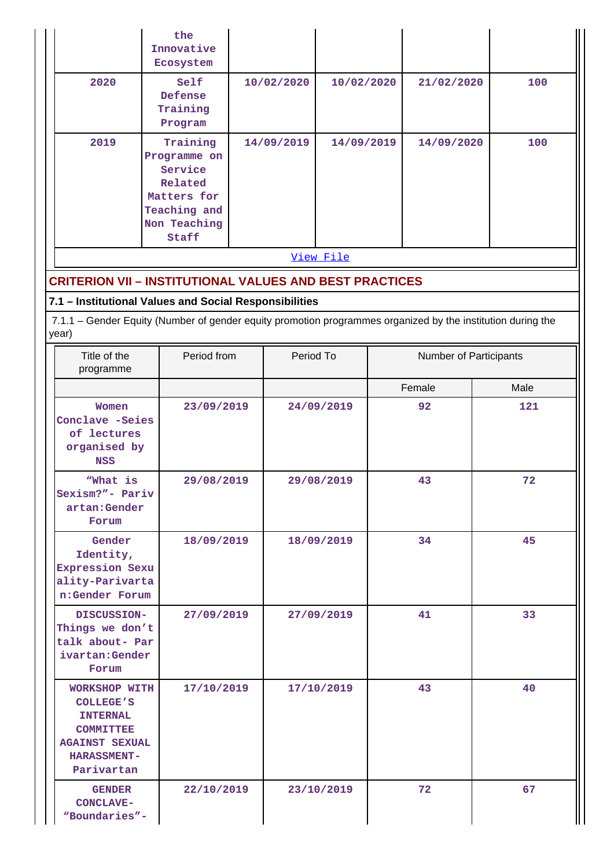|           | the<br>Innovative<br>Ecosystem                                                                         |            |            |            |     |  |  |
|-----------|--------------------------------------------------------------------------------------------------------|------------|------------|------------|-----|--|--|
| 2020      | Self<br>Defense<br>Training<br>Program                                                                 | 10/02/2020 | 10/02/2020 | 21/02/2020 | 100 |  |  |
| 2019      | Training<br>Programme on<br>Service<br>Related<br>Matters for<br>Teaching and<br>Non Teaching<br>Staff | 14/09/2019 | 14/09/2019 | 14/09/2020 | 100 |  |  |
| View File |                                                                                                        |            |            |            |     |  |  |

# **CRITERION VII – INSTITUTIONAL VALUES AND BEST PRACTICES**

# **7.1 – Institutional Values and Social Responsibilities**

 7.1.1 – Gender Equity (Number of gender equity promotion programmes organized by the institution during the year)

| Title of the<br>programme                                                                                                             | Period from | Period To  | Number of Participants |      |
|---------------------------------------------------------------------------------------------------------------------------------------|-------------|------------|------------------------|------|
|                                                                                                                                       |             |            | Female                 | Male |
| Women<br>Conclave -Seies<br>of lectures<br>organised by<br><b>NSS</b>                                                                 | 23/09/2019  | 24/09/2019 | 92                     | 121  |
| "What is<br>Sexism?"- Pariv<br>artan: Gender<br>Forum                                                                                 | 29/08/2019  | 29/08/2019 | 43                     | 72   |
| Gender<br>Identity,<br>Expression Sexu<br>ality-Parivarta<br>n:Gender Forum                                                           | 18/09/2019  | 18/09/2019 | 34                     | 45   |
| DISCUSSION-<br>Things we don't<br>talk about- Par<br>ivartan: Gender<br>Forum                                                         | 27/09/2019  | 27/09/2019 | 41                     | 33   |
| WORKSHOP WITH<br><b>COLLEGE'S</b><br><b>INTERNAL</b><br><b>COMMITTEE</b><br><b>AGAINST SEXUAL</b><br><b>HARASSMENT-</b><br>Parivartan | 17/10/2019  | 17/10/2019 | 43                     | 40   |
| <b>GENDER</b><br><b>CONCLAVE-</b><br>"Boundaries"-                                                                                    | 22/10/2019  | 23/10/2019 | 72                     | 67   |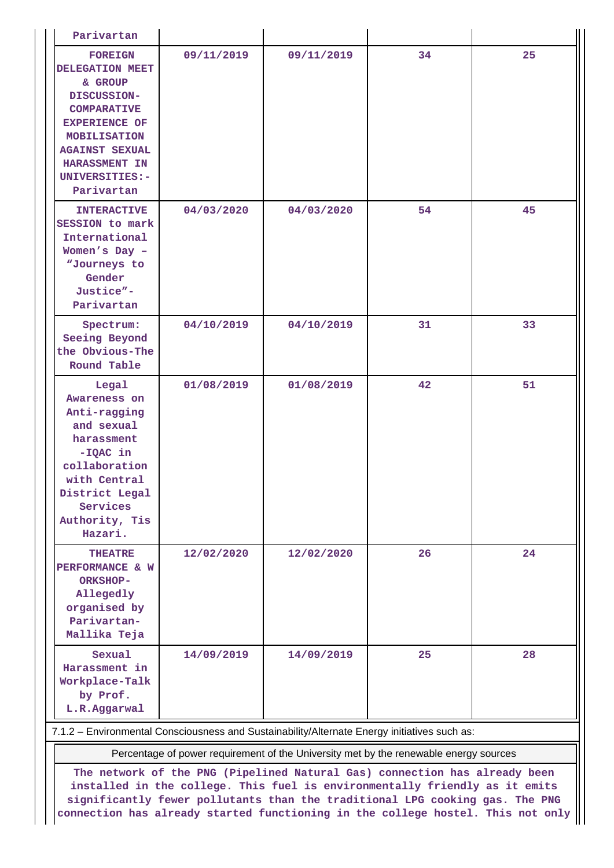| Parivartan                                                                                                                                                                                                 |            |            |    |    |
|------------------------------------------------------------------------------------------------------------------------------------------------------------------------------------------------------------|------------|------------|----|----|
| <b>FOREIGN</b><br>DELEGATION MEET<br>& GROUP<br>DISCUSSION-<br><b>COMPARATIVE</b><br><b>EXPERIENCE OF</b><br><b>MOBILISATION</b><br><b>AGAINST SEXUAL</b><br>HARASSMENT IN<br>UNIVERSITIES:-<br>Parivartan | 09/11/2019 | 09/11/2019 | 34 | 25 |
| <b>INTERACTIVE</b><br>SESSION to mark<br>International<br>Women's Day -<br>"Journeys to<br>Gender<br>Justice"-<br>Parivartan                                                                               | 04/03/2020 | 04/03/2020 | 54 | 45 |
| Spectrum:<br>Seeing Beyond<br>the Obvious-The<br>Round Table                                                                                                                                               | 04/10/2019 | 04/10/2019 | 31 | 33 |
| Legal<br>Awareness on<br>Anti-ragging<br>and sexual<br>harassment<br>$-IQAC$ in<br>collaboration<br>with Central<br>District Legal<br>Services<br>Authority, Tis<br>Hazari.                                | 01/08/2019 | 01/08/2019 | 42 | 51 |
| <b>THEATRE</b><br>PERFORMANCE & W<br>ORKSHOP-<br>Allegedly<br>organised by<br>Parivartan-<br>Mallika Teja                                                                                                  | 12/02/2020 | 12/02/2020 | 26 | 24 |
| Sexual<br>Harassment in<br>Workplace-Talk<br>by Prof.<br>L.R.Aggarwal<br>7.1.2 - Environmental Consciousness and Sustainability/Alternate Energy initiatives such as:                                      | 14/09/2019 | 14/09/2019 | 25 | 28 |

Percentage of power requirement of the University met by the renewable energy sources

**The network of the PNG (Pipelined Natural Gas) connection has already been installed in the college. This fuel is environmentally friendly as it emits significantly fewer pollutants than the traditional LPG cooking gas. The PNG connection has already started functioning in the college hostel. This not only**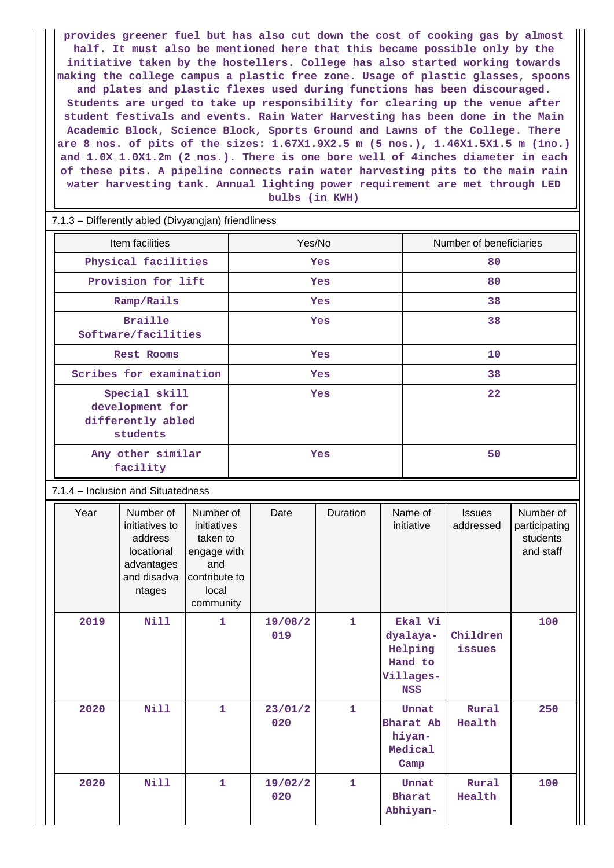**provides greener fuel but has also cut down the cost of cooking gas by almost half. It must also be mentioned here that this became possible only by the initiative taken by the hostellers. College has also started working towards making the college campus a plastic free zone. Usage of plastic glasses, spoons and plates and plastic flexes used during functions has been discouraged. Students are urged to take up responsibility for clearing up the venue after student festivals and events. Rain Water Harvesting has been done in the Main Academic Block, Science Block, Sports Ground and Lawns of the College. There are 8 nos. of pits of the sizes: 1.67X1.9X2.5 m (5 nos.), 1.46X1.5X1.5 m (1no.) and 1.0X 1.0X1.2m (2 nos.). There is one bore well of 4inches diameter in each of these pits. A pipeline connects rain water harvesting pits to the main rain water harvesting tank. Annual lighting power requirement are met through LED bulbs (in KWH)**

| 7.1.3 - Differently abled (Divyangjan) friendliness               |            |                         |  |  |  |  |  |
|-------------------------------------------------------------------|------------|-------------------------|--|--|--|--|--|
| Item facilities                                                   | Yes/No     | Number of beneficiaries |  |  |  |  |  |
| Physical facilities                                               | Yes        | 80                      |  |  |  |  |  |
| Provision for lift                                                | Yes        | 80                      |  |  |  |  |  |
| Ramp/Rails                                                        | <b>Yes</b> | 38                      |  |  |  |  |  |
| <b>Braille</b><br>Software/facilities                             | Yes        | 38                      |  |  |  |  |  |
| <b>Rest Rooms</b>                                                 | <b>Yes</b> | 10                      |  |  |  |  |  |
| Scribes for examination                                           | Yes        | 38                      |  |  |  |  |  |
| Special skill<br>development for<br>differently abled<br>students | Yes        | 22                      |  |  |  |  |  |
| Any other similar<br>facility                                     | Yes        | 50                      |  |  |  |  |  |

7.1.4 – Inclusion and Situatedness

| Year | Number of<br>initiatives to<br>address<br>locational<br>advantages<br>and disadva<br>ntages | Number of<br>initiatives<br>taken to<br>engage with<br>and<br>contribute to<br>local<br>community | Date           | Duration     | Name of<br>initiative                                                | <b>Issues</b><br>addressed | Number of<br>participating<br>students<br>and staff |
|------|---------------------------------------------------------------------------------------------|---------------------------------------------------------------------------------------------------|----------------|--------------|----------------------------------------------------------------------|----------------------------|-----------------------------------------------------|
| 2019 | <b>Nill</b>                                                                                 | 1                                                                                                 | 19/08/2<br>019 | $\mathbf{1}$ | Ekal Vi<br>dyalaya-<br>Helping<br>Hand to<br>Villages-<br><b>NSS</b> | Children<br>issues         | 100                                                 |
| 2020 | <b>Nill</b>                                                                                 | $\mathbf{1}$                                                                                      | 23/01/2<br>020 | $\mathbf{1}$ | Unnat<br>Bharat Ab<br>hiyan-<br>Medical<br>Camp                      | Rural<br>Health            | 250                                                 |
| 2020 | <b>Nill</b>                                                                                 | $\mathbf{1}$                                                                                      | 19/02/2<br>020 | $\mathbf{1}$ | Unnat<br><b>Bharat</b><br>Abhiyan-                                   | Rural<br>Health            | 100                                                 |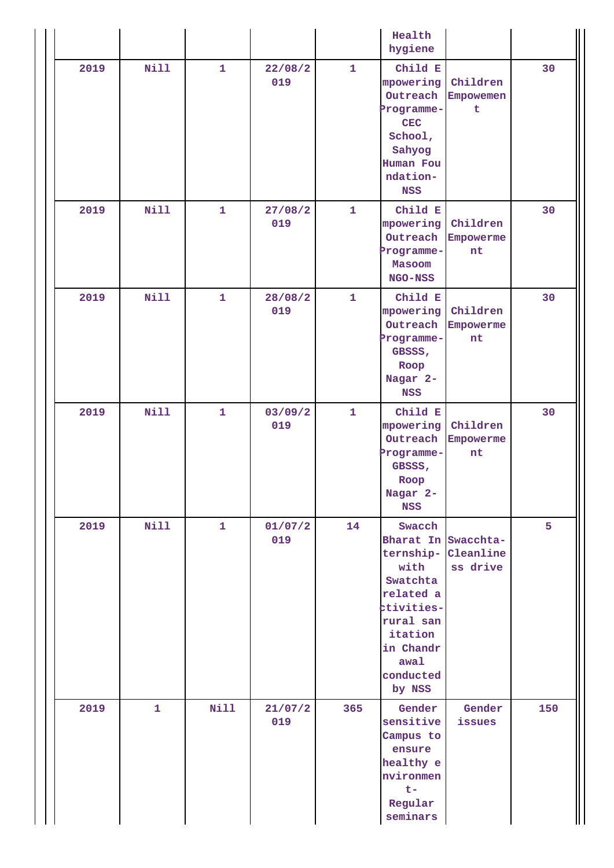|      |              |              |                |              | Health<br>hygiene                                                                                                                                             |                             |     |
|------|--------------|--------------|----------------|--------------|---------------------------------------------------------------------------------------------------------------------------------------------------------------|-----------------------------|-----|
| 2019 | Nill         | $\mathbf{1}$ | 22/08/2<br>019 | $\mathbf{1}$ | Child E<br>mpowering<br>Outreach<br>Programme-<br><b>CEC</b><br>School,<br>Sahyog<br>Human Fou<br>ndation-<br><b>NSS</b>                                      | Children<br>Empowemen<br>t  | 30  |
| 2019 | <b>Nill</b>  | $\mathbf{1}$ | 27/08/2<br>019 | $\mathbf{1}$ | Child E<br>mpowering<br>Outreach<br>Programme-<br>Masoom<br><b>NGO-NSS</b>                                                                                    | Children<br>Empowerme<br>nt | 30  |
| 2019 | Nill         | $\mathbf{1}$ | 28/08/2<br>019 | $\mathbf{1}$ | Child E<br>mpowering<br>Outreach<br>Programme-<br>GBSSS,<br>Roop<br>Nagar 2-<br><b>NSS</b>                                                                    | Children<br>Empowerme<br>nt | 30  |
| 2019 | Nill         | $\mathbf{1}$ | 03/09/2<br>019 | $\mathbf{1}$ | Child E<br>mpowering<br>Outreach<br>Programme-<br>GBSSS,<br>Roop<br>Nagar 2-<br><b>NSS</b>                                                                    | Children<br>Empowerme<br>nt | 30  |
| 2019 | Nill         | $\mathbf{1}$ | 01/07/2<br>019 | 14           | Swacch<br>Bharat In Swacchta-<br>ternship-<br>with<br>Swatchta<br>related a<br>ctivities-<br>rural san<br>itation<br>in Chandr<br>awal<br>conducted<br>by NSS | Cleanline<br>ss drive       | 5   |
| 2019 | $\mathbf{1}$ | <b>Nill</b>  | 21/07/2<br>019 | 365          | Gender<br>sensitive<br>Campus to<br>ensure<br>healthy e<br>nvironmen<br>$t -$<br>Regular<br>seminars                                                          | Gender<br>issues            | 150 |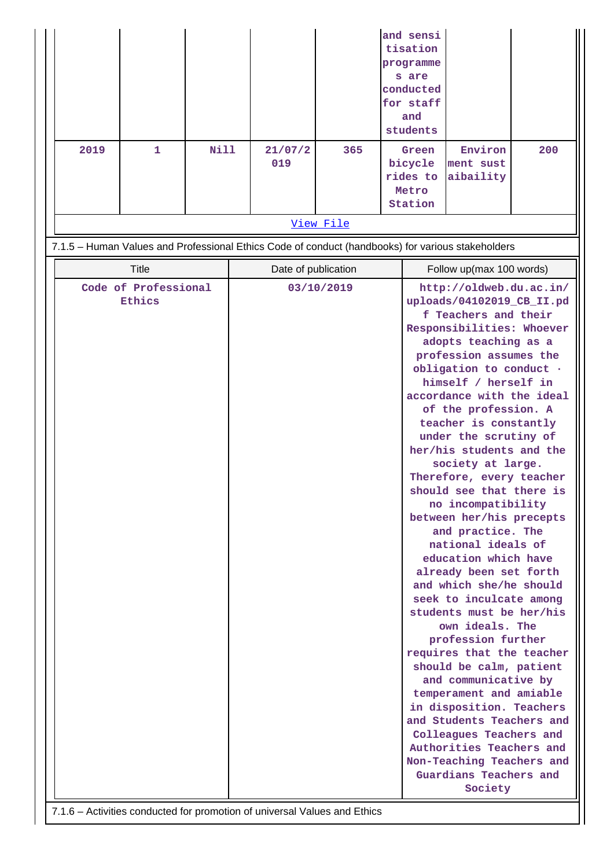| 2019 | 1                              | <b>Nill</b> | 21/07/2                                                                                           | 365        | and sensi<br>tisation<br>programme<br>s are<br>conducted<br>for staff<br>and<br>students<br>Green                                                                                                                                                                                                                                                                                                                                                                                                                                                                                                                                                                                                                                                                                                                                                                                                                                                                                                                                 | Environ                | 200 |
|------|--------------------------------|-------------|---------------------------------------------------------------------------------------------------|------------|-----------------------------------------------------------------------------------------------------------------------------------------------------------------------------------------------------------------------------------------------------------------------------------------------------------------------------------------------------------------------------------------------------------------------------------------------------------------------------------------------------------------------------------------------------------------------------------------------------------------------------------------------------------------------------------------------------------------------------------------------------------------------------------------------------------------------------------------------------------------------------------------------------------------------------------------------------------------------------------------------------------------------------------|------------------------|-----|
|      |                                |             | 019                                                                                               |            | bicycle<br>rides to<br>Metro<br>Station                                                                                                                                                                                                                                                                                                                                                                                                                                                                                                                                                                                                                                                                                                                                                                                                                                                                                                                                                                                           | ment sust<br>aibaility |     |
|      |                                |             |                                                                                                   | View File  |                                                                                                                                                                                                                                                                                                                                                                                                                                                                                                                                                                                                                                                                                                                                                                                                                                                                                                                                                                                                                                   |                        |     |
|      |                                |             | 7.1.5 - Human Values and Professional Ethics Code of conduct (handbooks) for various stakeholders |            |                                                                                                                                                                                                                                                                                                                                                                                                                                                                                                                                                                                                                                                                                                                                                                                                                                                                                                                                                                                                                                   |                        |     |
|      | <b>Title</b>                   |             | Date of publication                                                                               |            |                                                                                                                                                                                                                                                                                                                                                                                                                                                                                                                                                                                                                                                                                                                                                                                                                                                                                                                                                                                                                                   |                        |     |
|      | Code of Professional<br>Ethics |             |                                                                                                   | 03/10/2019 | Follow up(max 100 words)<br>http://oldweb.du.ac.in/<br>uploads/04102019_CB_II.pd<br>f Teachers and their<br>Responsibilities: Whoever<br>adopts teaching as a<br>profession assumes the<br>obligation to conduct .<br>himself / herself in<br>accordance with the ideal<br>of the profession. A<br>teacher is constantly<br>under the scrutiny of<br>her/his students and the<br>society at large.<br>Therefore, every teacher<br>should see that there is<br>no incompatibility<br>between her/his precepts<br>and practice. The<br>national ideals of<br>education which have<br>already been set forth<br>and which she/he should<br>seek to inculcate among<br>students must be her/his<br>own ideals. The<br>profession further<br>requires that the teacher<br>should be calm, patient<br>and communicative by<br>temperament and amiable<br>in disposition. Teachers<br>and Students Teachers and<br>Colleagues Teachers and<br>Authorities Teachers and<br>Non-Teaching Teachers and<br>Guardians Teachers and<br>Society |                        |     |

7.1.6 – Activities conducted for promotion of universal Values and Ethics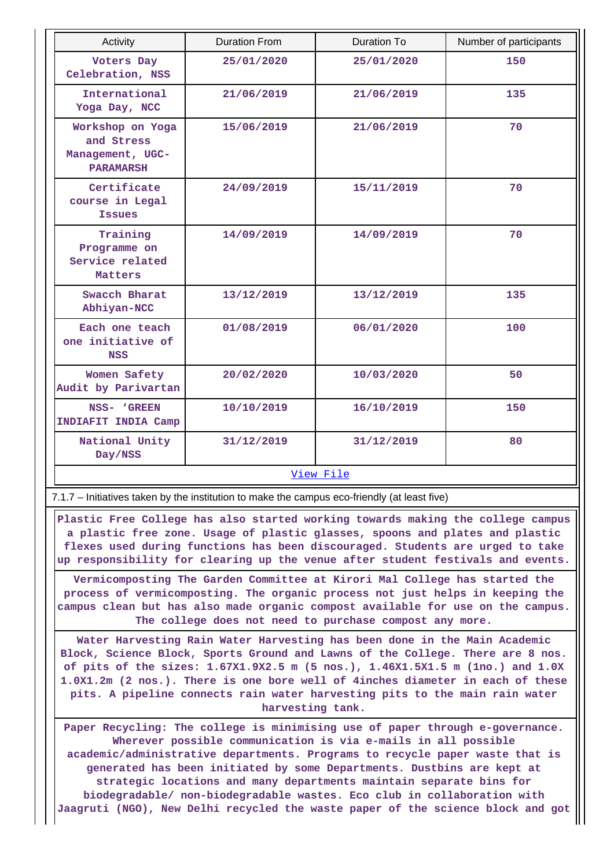| Activity                                                               | <b>Duration From</b> | Duration To | Number of participants |  |  |  |  |  |
|------------------------------------------------------------------------|----------------------|-------------|------------------------|--|--|--|--|--|
| Voters Day<br>Celebration, NSS                                         | 25/01/2020           | 25/01/2020  | 150                    |  |  |  |  |  |
| International<br>Yoga Day, NCC                                         | 21/06/2019           | 21/06/2019  | 135                    |  |  |  |  |  |
| Workshop on Yoga<br>and Stress<br>Management, UGC-<br><b>PARAMARSH</b> | 15/06/2019           | 21/06/2019  | 70                     |  |  |  |  |  |
| Certificate<br>course in Legal<br><b>Issues</b>                        | 24/09/2019           | 15/11/2019  | 70                     |  |  |  |  |  |
| Training<br>Programme on<br>Service related<br>Matters                 | 14/09/2019           | 14/09/2019  | 70                     |  |  |  |  |  |
| Swacch Bharat<br>Abhiyan-NCC                                           | 13/12/2019           | 13/12/2019  | 135                    |  |  |  |  |  |
| Each one teach<br>one initiative of<br><b>NSS</b>                      | 01/08/2019           | 06/01/2020  | 100                    |  |  |  |  |  |
| Women Safety<br>Audit by Parivartan                                    | 20/02/2020           | 10/03/2020  | 50                     |  |  |  |  |  |
| NSS- 'GREEN<br>INDIAFIT INDIA Camp                                     | 10/10/2019           | 16/10/2019  | 150                    |  |  |  |  |  |
| National Unity<br>Day/NSS                                              | 31/12/2019           | 31/12/2019  | 80                     |  |  |  |  |  |
|                                                                        | View File            |             |                        |  |  |  |  |  |

7.1.7 – Initiatives taken by the institution to make the campus eco-friendly (at least five)

 **Plastic Free College has also started working towards making the college campus a plastic free zone. Usage of plastic glasses, spoons and plates and plastic flexes used during functions has been discouraged. Students are urged to take up responsibility for clearing up the venue after student festivals and events.**

**Vermicomposting The Garden Committee at Kirori Mal College has started the process of vermicomposting. The organic process not just helps in keeping the campus clean but has also made organic compost available for use on the campus. The college does not need to purchase compost any more.**

**Water Harvesting Rain Water Harvesting has been done in the Main Academic Block, Science Block, Sports Ground and Lawns of the College. There are 8 nos. of pits of the sizes: 1.67X1.9X2.5 m (5 nos.), 1.46X1.5X1.5 m (1no.) and 1.0X 1.0X1.2m (2 nos.). There is one bore well of 4inches diameter in each of these pits. A pipeline connects rain water harvesting pits to the main rain water harvesting tank.**

**Paper Recycling: The college is minimising use of paper through e-governance. Wherever possible communication is via e-mails in all possible academic/administrative departments. Programs to recycle paper waste that is generated has been initiated by some Departments. Dustbins are kept at strategic locations and many departments maintain separate bins for biodegradable/ non-biodegradable wastes. Eco club in collaboration with Jaagruti (NGO), New Delhi recycled the waste paper of the science block and got**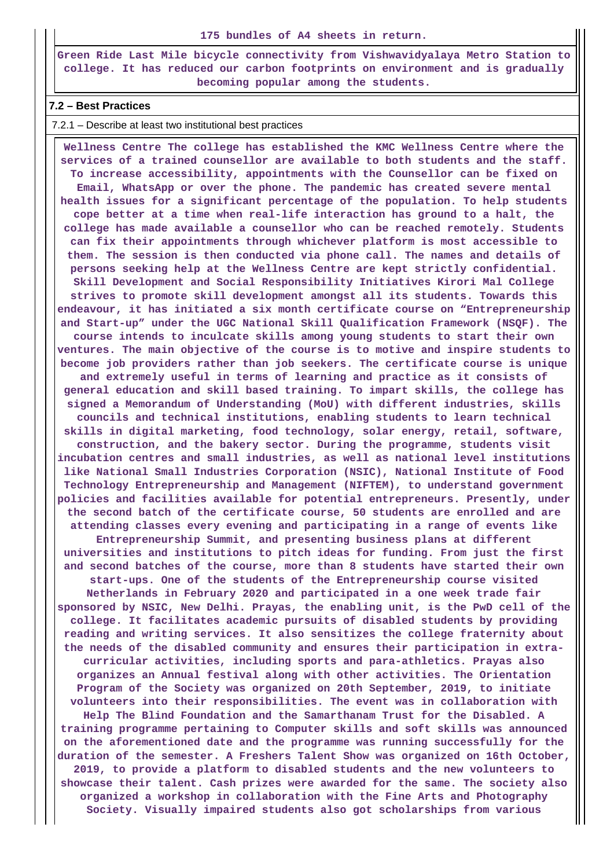#### **175 bundles of A4 sheets in return.**

**Green Ride Last Mile bicycle connectivity from Vishwavidyalaya Metro Station to college. It has reduced our carbon footprints on environment and is gradually becoming popular among the students.**

#### **7.2 – Best Practices**

#### 7.2.1 – Describe at least two institutional best practices

 **Wellness Centre The college has established the KMC Wellness Centre where the services of a trained counsellor are available to both students and the staff. To increase accessibility, appointments with the Counsellor can be fixed on Email, WhatsApp or over the phone. The pandemic has created severe mental health issues for a significant percentage of the population. To help students cope better at a time when real-life interaction has ground to a halt, the college has made available a counsellor who can be reached remotely. Students can fix their appointments through whichever platform is most accessible to them. The session is then conducted via phone call. The names and details of persons seeking help at the Wellness Centre are kept strictly confidential. Skill Development and Social Responsibility Initiatives Kirori Mal College strives to promote skill development amongst all its students. Towards this endeavour, it has initiated a six month certificate course on "Entrepreneurship and Start-up" under the UGC National Skill Qualification Framework (NSQF). The course intends to inculcate skills among young students to start their own ventures. The main objective of the course is to motive and inspire students to become job providers rather than job seekers. The certificate course is unique and extremely useful in terms of learning and practice as it consists of general education and skill based training. To impart skills, the college has signed a Memorandum of Understanding (MoU) with different industries, skills councils and technical institutions, enabling students to learn technical skills in digital marketing, food technology, solar energy, retail, software, construction, and the bakery sector. During the programme, students visit incubation centres and small industries, as well as national level institutions like National Small Industries Corporation (NSIC), National Institute of Food Technology Entrepreneurship and Management (NIFTEM), to understand government policies and facilities available for potential entrepreneurs. Presently, under the second batch of the certificate course, 50 students are enrolled and are attending classes every evening and participating in a range of events like Entrepreneurship Summit, and presenting business plans at different universities and institutions to pitch ideas for funding. From just the first and second batches of the course, more than 8 students have started their own start-ups. One of the students of the Entrepreneurship course visited Netherlands in February 2020 and participated in a one week trade fair sponsored by NSIC, New Delhi. Prayas, the enabling unit, is the PwD cell of the college. It facilitates academic pursuits of disabled students by providing reading and writing services. It also sensitizes the college fraternity about the needs of the disabled community and ensures their participation in extracurricular activities, including sports and para-athletics. Prayas also organizes an Annual festival along with other activities. The Orientation Program of the Society was organized on 20th September, 2019, to initiate volunteers into their responsibilities. The event was in collaboration with Help The Blind Foundation and the Samarthanam Trust for the Disabled. A training programme pertaining to Computer skills and soft skills was announced on the aforementioned date and the programme was running successfully for the duration of the semester. A Freshers Talent Show was organized on 16th October, 2019, to provide a platform to disabled students and the new volunteers to showcase their talent. Cash prizes were awarded for the same. The society also organized a workshop in collaboration with the Fine Arts and Photography Society. Visually impaired students also got scholarships from various**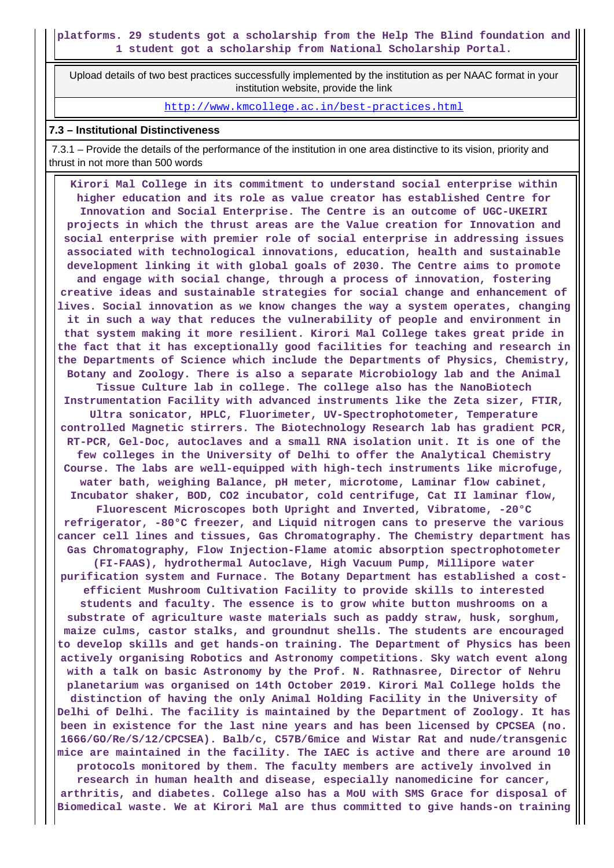Upload details of two best practices successfully implemented by the institution as per NAAC format in your institution website, provide the link

## http://www.kmcollege.ac.in/best-practices.html

#### **7.3 – Institutional Distinctiveness**

 7.3.1 – Provide the details of the performance of the institution in one area distinctive to its vision, priority and thrust in not more than 500 words

 **Kirori Mal College in its commitment to understand social enterprise within higher education and its role as value creator has established Centre for Innovation and Social Enterprise. The Centre is an outcome of UGC-UKEIRI projects in which the thrust areas are the Value creation for Innovation and social enterprise with premier role of social enterprise in addressing issues associated with technological innovations, education, health and sustainable development linking it with global goals of 2030. The Centre aims to promote and engage with social change, through a process of innovation, fostering creative ideas and sustainable strategies for social change and enhancement of lives. Social innovation as we know changes the way a system operates, changing it in such a way that reduces the vulnerability of people and environment in that system making it more resilient. Kirori Mal College takes great pride in the fact that it has exceptionally good facilities for teaching and research in the Departments of Science which include the Departments of Physics, Chemistry, Botany and Zoology. There is also a separate Microbiology lab and the Animal Tissue Culture lab in college. The college also has the NanoBiotech Instrumentation Facility with advanced instruments like the Zeta sizer, FTIR, Ultra sonicator, HPLC, Fluorimeter, UV-Spectrophotometer, Temperature controlled Magnetic stirrers. The Biotechnology Research lab has gradient PCR, RT-PCR, Gel-Doc, autoclaves and a small RNA isolation unit. It is one of the few colleges in the University of Delhi to offer the Analytical Chemistry Course. The labs are well-equipped with high-tech instruments like microfuge, water bath, weighing Balance, pH meter, microtome, Laminar flow cabinet, Incubator shaker, BOD, CO2 incubator, cold centrifuge, Cat II laminar flow, Fluorescent Microscopes both Upright and Inverted, Vibratome, -20°C refrigerator, -80°C freezer, and Liquid nitrogen cans to preserve the various cancer cell lines and tissues, Gas Chromatography. The Chemistry department has Gas Chromatography, Flow Injection-Flame atomic absorption spectrophotometer (FI-FAAS), hydrothermal Autoclave, High Vacuum Pump, Millipore water purification system and Furnace. The Botany Department has established a costefficient Mushroom Cultivation Facility to provide skills to interested students and faculty. The essence is to grow white button mushrooms on a substrate of agriculture waste materials such as paddy straw, husk, sorghum, maize culms, castor stalks, and groundnut shells. The students are encouraged to develop skills and get hands-on training. The Department of Physics has been actively organising Robotics and Astronomy competitions. Sky watch event along with a talk on basic Astronomy by the Prof. N. Rathnasree, Director of Nehru planetarium was organised on 14th October 2019. Kirori Mal College holds the distinction of having the only Animal Holding Facility in the University of Delhi of Delhi. The facility is maintained by the Department of Zoology. It has been in existence for the last nine years and has been licensed by CPCSEA (no. 1666/GO/Re/S/12/CPCSEA). Balb/c, C57B/6mice and Wistar Rat and nude/transgenic mice are maintained in the facility. The IAEC is active and there are around 10 protocols monitored by them. The faculty members are actively involved in research in human health and disease, especially nanomedicine for cancer, arthritis, and diabetes. College also has a MoU with SMS Grace for disposal of Biomedical waste. We at Kirori Mal are thus committed to give hands-on training**